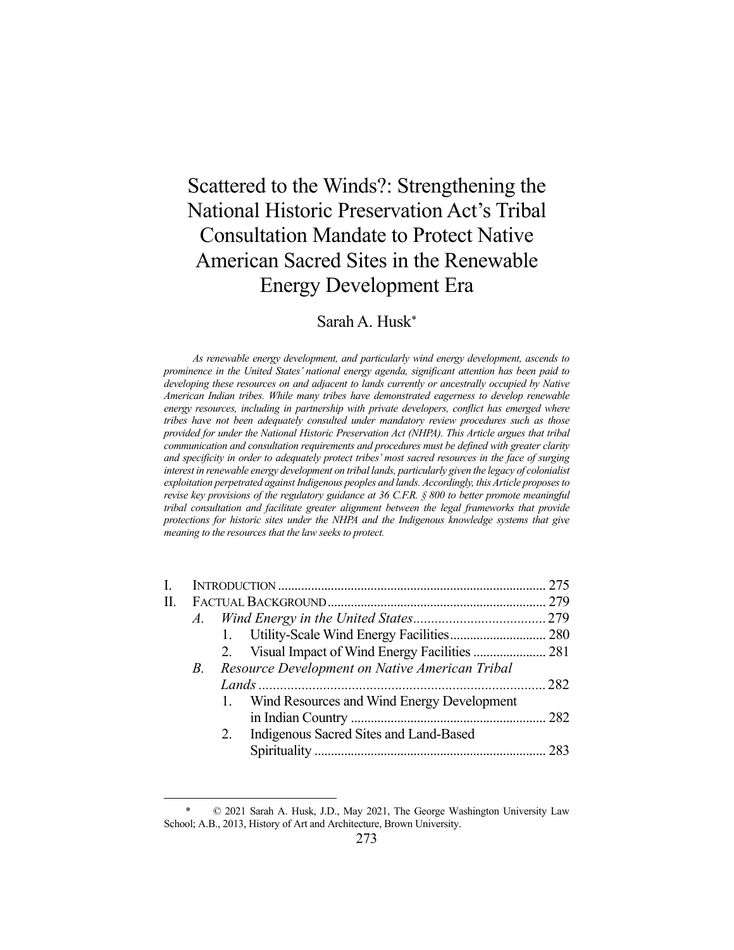# Scattered to the Winds?: Strengthening the National Historic Preservation Act's Tribal Consultation Mandate to Protect Native American Sacred Sites in the Renewable Energy Development Era

# Sarah A. Husk\*

 *As renewable energy development, and particularly wind energy development, ascends to prominence in the United States' national energy agenda, significant attention has been paid to developing these resources on and adjacent to lands currently or ancestrally occupied by Native American Indian tribes. While many tribes have demonstrated eagerness to develop renewable energy resources, including in partnership with private developers, conflict has emerged where tribes have not been adequately consulted under mandatory review procedures such as those provided for under the National Historic Preservation Act (NHPA). This Article argues that tribal communication and consultation requirements and procedures must be defined with greater clarity and specificity in order to adequately protect tribes' most sacred resources in the face of surging interest in renewable energy development on tribal lands, particularly given the legacy of colonialist exploitation perpetrated against Indigenous peoples and lands. Accordingly, this Article proposes to revise key provisions of the regulatory guidance at 36 C.F.R. § 800 to better promote meaningful tribal consultation and facilitate greater alignment between the legal frameworks that provide protections for historic sites under the NHPA and the Indigenous knowledge systems that give meaning to the resources that the law seeks to protect.* 

| П. |            |                                                |  |
|----|------------|------------------------------------------------|--|
|    |            |                                                |  |
|    |            |                                                |  |
|    |            |                                                |  |
|    | <i>B</i> . | Resource Development on Native American Tribal |  |
|    |            |                                                |  |
|    |            | 1. Wind Resources and Wind Energy Development  |  |
|    |            |                                                |  |
|    |            | 2. Indigenous Sacred Sites and Land-Based      |  |
|    |            |                                                |  |
|    |            |                                                |  |

 $© 2021$  Sarah A. Husk, J.D., May 2021, The George Washington University Law School; A.B., 2013, History of Art and Architecture, Brown University.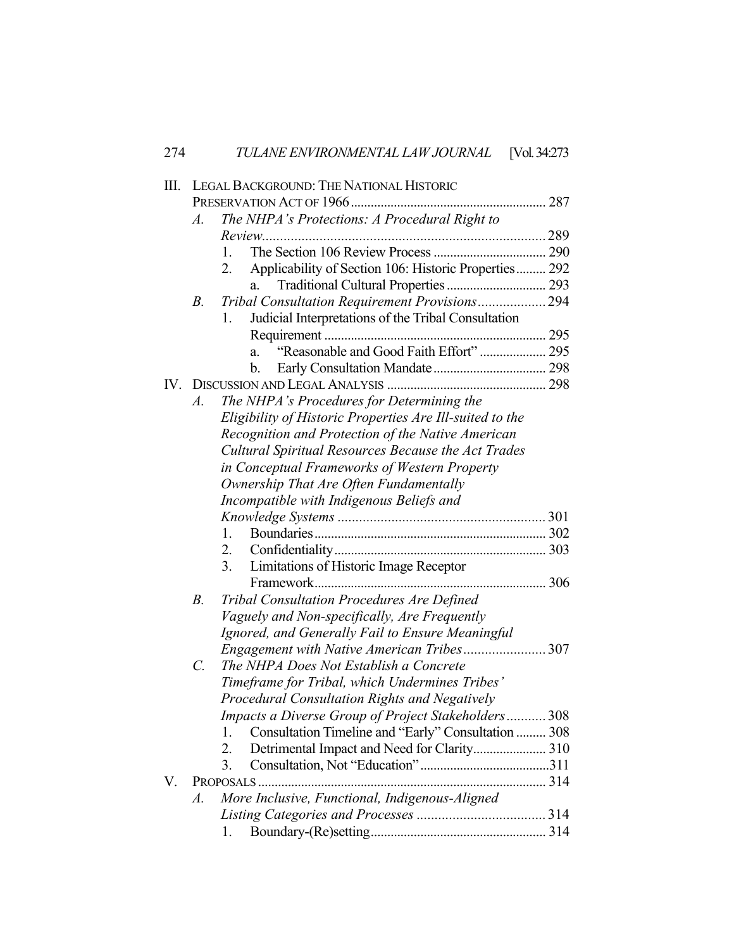| 274               | TULANE ENVIRONMENTAL LAW JOURNAL [Vol. 34:273                 |  |  |  |  |
|-------------------|---------------------------------------------------------------|--|--|--|--|
| Ш.                | LEGAL BACKGROUND: THE NATIONAL HISTORIC                       |  |  |  |  |
|                   |                                                               |  |  |  |  |
|                   | The NHPA's Protections: A Procedural Right to<br>A.           |  |  |  |  |
|                   |                                                               |  |  |  |  |
|                   | 1.                                                            |  |  |  |  |
|                   | Applicability of Section 106: Historic Properties 292<br>2.   |  |  |  |  |
|                   | Traditional Cultural Properties  293<br>a.                    |  |  |  |  |
|                   | Tribal Consultation Requirement Provisions 294<br>$B_{\cdot}$ |  |  |  |  |
|                   | Judicial Interpretations of the Tribal Consultation<br>1.     |  |  |  |  |
|                   |                                                               |  |  |  |  |
|                   | "Reasonable and Good Faith Effort"  295<br>a.                 |  |  |  |  |
|                   | b.                                                            |  |  |  |  |
| $\mathbf{IV}_{-}$ |                                                               |  |  |  |  |
|                   | The NHPA's Procedures for Determining the<br>$A$ .            |  |  |  |  |
|                   | Eligibility of Historic Properties Are Ill-suited to the      |  |  |  |  |
|                   | Recognition and Protection of the Native American             |  |  |  |  |
|                   | Cultural Spiritual Resources Because the Act Trades           |  |  |  |  |
|                   | in Conceptual Frameworks of Western Property                  |  |  |  |  |
|                   | Ownership That Are Often Fundamentally                        |  |  |  |  |
|                   | Incompatible with Indigenous Beliefs and                      |  |  |  |  |
|                   |                                                               |  |  |  |  |
|                   | 1.                                                            |  |  |  |  |
|                   | 2.                                                            |  |  |  |  |
|                   | 3.<br>Limitations of Historic Image Receptor                  |  |  |  |  |
|                   |                                                               |  |  |  |  |
|                   | Tribal Consultation Procedures Are Defined<br>$B$ .           |  |  |  |  |
|                   | Vaguely and Non-specifically, Are Frequently                  |  |  |  |  |
|                   | Ignored, and Generally Fail to Ensure Meaningful              |  |  |  |  |
|                   | Engagement with Native American Tribes307                     |  |  |  |  |
|                   | The NHPA Does Not Establish a Concrete<br>C.                  |  |  |  |  |
|                   | Timeframe for Tribal, which Undermines Tribes'                |  |  |  |  |
|                   | Procedural Consultation Rights and Negatively                 |  |  |  |  |
|                   | Impacts a Diverse Group of Project Stakeholders 308           |  |  |  |  |
|                   | Consultation Timeline and "Early" Consultation  308<br>1.     |  |  |  |  |
|                   | Detrimental Impact and Need for Clarity 310<br>2.             |  |  |  |  |
|                   | 3.                                                            |  |  |  |  |
| V.                |                                                               |  |  |  |  |
|                   | More Inclusive, Functional, Indigenous-Aligned<br>A.          |  |  |  |  |
|                   |                                                               |  |  |  |  |
|                   | 1.                                                            |  |  |  |  |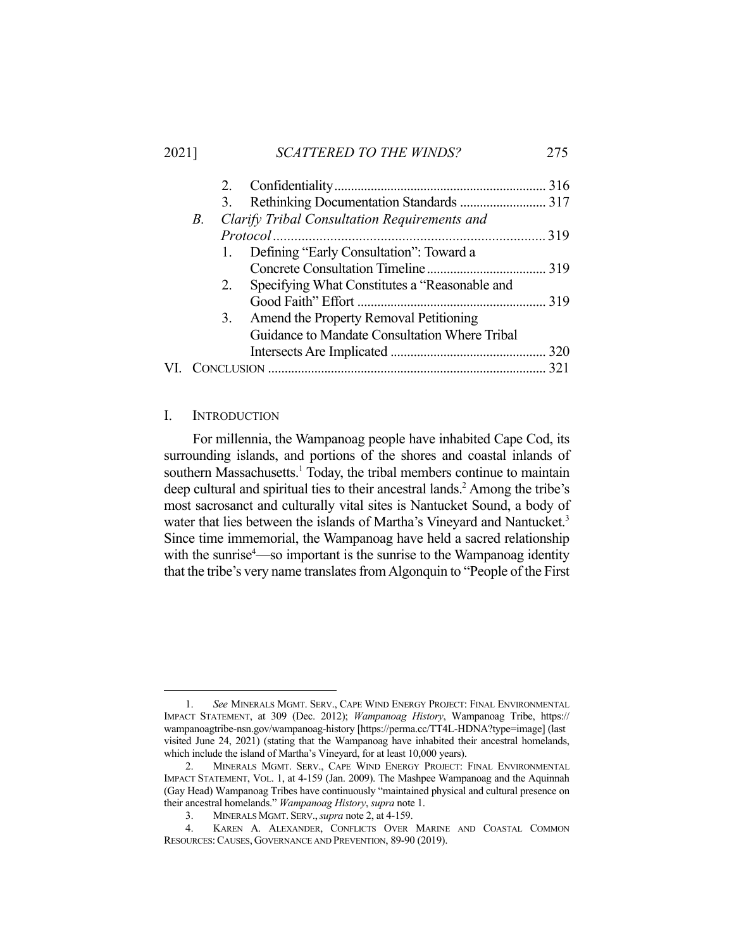## 2021] *SCATTERED TO THE WINDS?* 275

| В. |    |                                               |                                                                                                                                      |
|----|----|-----------------------------------------------|--------------------------------------------------------------------------------------------------------------------------------------|
|    |    |                                               |                                                                                                                                      |
|    |    |                                               |                                                                                                                                      |
|    |    |                                               |                                                                                                                                      |
|    | 2. | Specifying What Constitutes a "Reasonable and |                                                                                                                                      |
|    |    |                                               |                                                                                                                                      |
|    | 3. |                                               |                                                                                                                                      |
|    |    | Guidance to Mandate Consultation Where Tribal |                                                                                                                                      |
|    |    |                                               |                                                                                                                                      |
|    |    |                                               |                                                                                                                                      |
|    |    |                                               | Clarify Tribal Consultation Requirements and<br>1. Defining "Early Consultation": Toward a<br>Amend the Property Removal Petitioning |

## I. INTRODUCTION

 For millennia, the Wampanoag people have inhabited Cape Cod, its surrounding islands, and portions of the shores and coastal inlands of southern Massachusetts.<sup>1</sup> Today, the tribal members continue to maintain deep cultural and spiritual ties to their ancestral lands.<sup>2</sup> Among the tribe's most sacrosanct and culturally vital sites is Nantucket Sound, a body of water that lies between the islands of Martha's Vineyard and Nantucket.<sup>3</sup> Since time immemorial, the Wampanoag have held a sacred relationship with the sunrise<sup>4</sup>—so important is the sunrise to the Wampanoag identity that the tribe's very name translates from Algonquin to "People of the First

 <sup>1.</sup> *See* MINERALS MGMT. SERV., CAPE WIND ENERGY PROJECT: FINAL ENVIRONMENTAL IMPACT STATEMENT, at 309 (Dec. 2012); *Wampanoag History*, Wampanoag Tribe, https:// wampanoagtribe-nsn.gov/wampanoag-history [https://perma.cc/TT4L-HDNA?type=image] (last visited June 24, 2021) (stating that the Wampanoag have inhabited their ancestral homelands, which include the island of Martha's Vineyard, for at least 10,000 years).

 <sup>2.</sup> MINERALS MGMT. SERV., CAPE WIND ENERGY PROJECT: FINAL ENVIRONMENTAL IMPACT STATEMENT, VOL. 1, at 4-159 (Jan. 2009). The Mashpee Wampanoag and the Aquinnah (Gay Head) Wampanoag Tribes have continuously "maintained physical and cultural presence on their ancestral homelands." *Wampanoag History*, *supra* note 1.

 <sup>3.</sup> MINERALS MGMT. SERV.,*supra* note 2, at 4-159.

 <sup>4.</sup> KAREN A. ALEXANDER, CONFLICTS OVER MARINE AND COASTAL COMMON RESOURCES: CAUSES, GOVERNANCE AND PREVENTION, 89-90 (2019).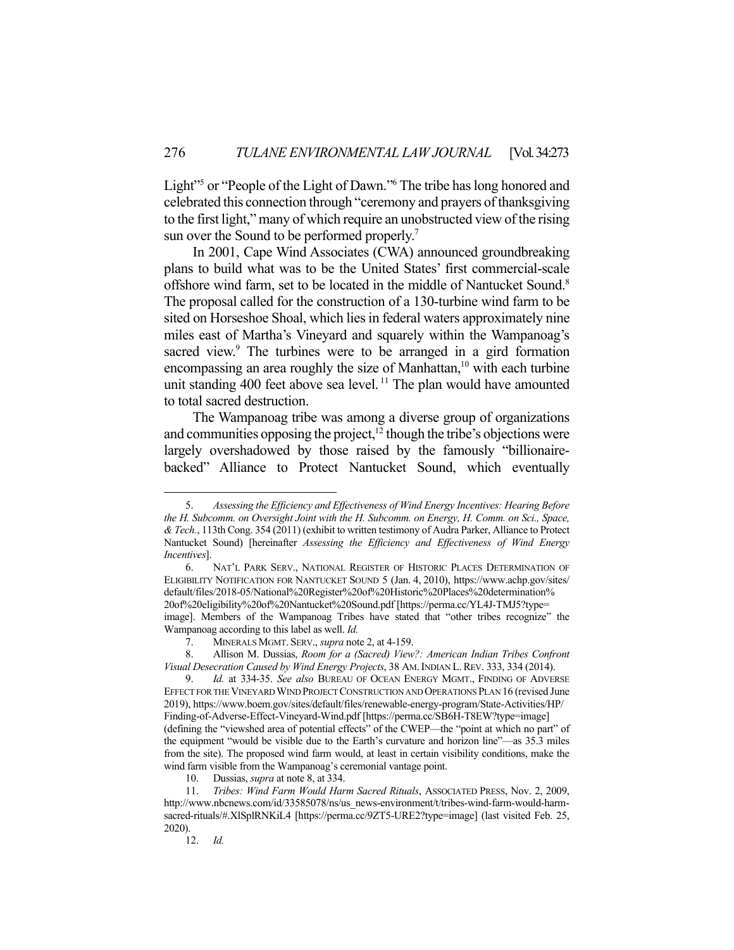Light"<sup>5</sup> or "People of the Light of Dawn."<sup>6</sup> The tribe has long honored and celebrated this connection through "ceremony and prayers of thanksgiving to the first light," many of which require an unobstructed view of the rising sun over the Sound to be performed properly.<sup>7</sup>

 In 2001, Cape Wind Associates (CWA) announced groundbreaking plans to build what was to be the United States' first commercial-scale offshore wind farm, set to be located in the middle of Nantucket Sound.<sup>8</sup> The proposal called for the construction of a 130-turbine wind farm to be sited on Horseshoe Shoal, which lies in federal waters approximately nine miles east of Martha's Vineyard and squarely within the Wampanoag's sacred view.<sup>9</sup> The turbines were to be arranged in a gird formation encompassing an area roughly the size of Manhattan,<sup>10</sup> with each turbine unit standing 400 feet above sea level.<sup>11</sup> The plan would have amounted to total sacred destruction.

 The Wampanoag tribe was among a diverse group of organizations and communities opposing the project, $12$  though the tribe's objections were largely overshadowed by those raised by the famously "billionairebacked" Alliance to Protect Nantucket Sound, which eventually

 <sup>5.</sup> *Assessing the Efficiency and Effectiveness of Wind Energy Incentives: Hearing Before the H. Subcomm. on Oversight Joint with the H. Subcomm. on Energy, H. Comm. on Sci., Space, & Tech.*, 113th Cong. 354 (2011) (exhibit to written testimony of Audra Parker, Alliance to Protect Nantucket Sound) [hereinafter *Assessing the Efficiency and Effectiveness of Wind Energy Incentives*].

 <sup>6.</sup> NAT'L PARK SERV., NATIONAL REGISTER OF HISTORIC PLACES DETERMINATION OF ELIGIBILITY NOTIFICATION FOR NANTUCKET SOUND 5 (Jan. 4, 2010), https://www.achp.gov/sites/ default/files/2018-05/National%20Register%20of%20Historic%20Places%20determination% 20of%20eligibility%20of%20Nantucket%20Sound.pdf [https://perma.cc/YL4J-TMJ5?type= image]. Members of the Wampanoag Tribes have stated that "other tribes recognize" the Wampanoag according to this label as well. *Id.* 

 <sup>7.</sup> MINERALS MGMT. SERV., *supra* note 2, at 4-159.

 <sup>8.</sup> Allison M. Dussias, *Room for a (Sacred) View?: American Indian Tribes Confront Visual Desecration Caused by Wind Energy Projects*, 38 AM.INDIAN L.REV. 333, 334 (2014).

 <sup>9.</sup> *Id.* at 334-35. *See also* BUREAU OF OCEAN ENERGY MGMT., FINDING OF ADVERSE EFFECT FOR THE VINEYARD WIND PROJECT CONSTRUCTION AND OPERATIONS PLAN 16 (revised June 2019), https://www.boem.gov/sites/default/files/renewable-energy-program/State-Activities/HP/ Finding-of-Adverse-Effect-Vineyard-Wind.pdf [https://perma.cc/SB6H-T8EW?type=image] (defining the "viewshed area of potential effects" of the CWEP—the "point at which no part" of the equipment "would be visible due to the Earth's curvature and horizon line"—as 35.3 miles from the site). The proposed wind farm would, at least in certain visibility conditions, make the wind farm visible from the Wampanoag's ceremonial vantage point.

 <sup>10.</sup> Dussias, *supra* at note 8, at 334.

 <sup>11.</sup> *Tribes: Wind Farm Would Harm Sacred Rituals*, ASSOCIATED PRESS, Nov. 2, 2009, http://www.nbcnews.com/id/33585078/ns/us\_news-environment/t/tribes-wind-farm-would-harmsacred-rituals/#.XlSplRNKiL4 [https://perma.cc/9ZT5-URE2?type=image] (last visited Feb. 25, 2020).

 <sup>12.</sup> *Id.*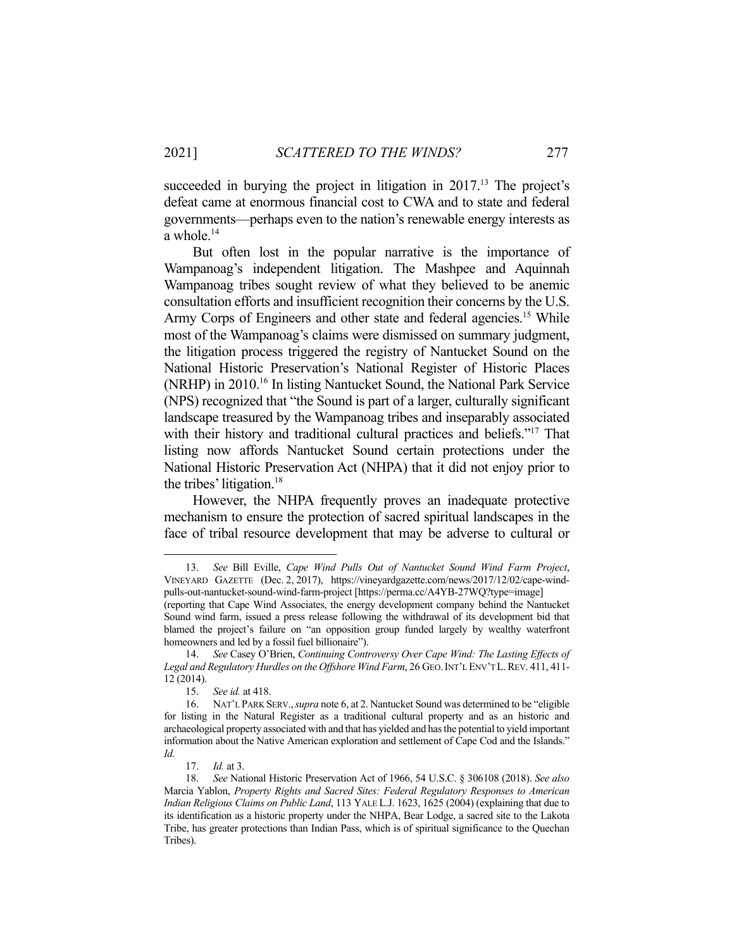succeeded in burying the project in litigation in 2017.<sup>13</sup> The project's defeat came at enormous financial cost to CWA and to state and federal governments—perhaps even to the nation's renewable energy interests as a whole.<sup>14</sup>

 But often lost in the popular narrative is the importance of Wampanoag's independent litigation. The Mashpee and Aquinnah Wampanoag tribes sought review of what they believed to be anemic consultation efforts and insufficient recognition their concerns by the U.S. Army Corps of Engineers and other state and federal agencies.<sup>15</sup> While most of the Wampanoag's claims were dismissed on summary judgment, the litigation process triggered the registry of Nantucket Sound on the National Historic Preservation's National Register of Historic Places (NRHP) in 2010.16 In listing Nantucket Sound, the National Park Service (NPS) recognized that "the Sound is part of a larger, culturally significant landscape treasured by the Wampanoag tribes and inseparably associated with their history and traditional cultural practices and beliefs."<sup>17</sup> That listing now affords Nantucket Sound certain protections under the National Historic Preservation Act (NHPA) that it did not enjoy prior to the tribes' litigation.<sup>18</sup>

 However, the NHPA frequently proves an inadequate protective mechanism to ensure the protection of sacred spiritual landscapes in the face of tribal resource development that may be adverse to cultural or

 <sup>13.</sup> *See* Bill Eville, *Cape Wind Pulls Out of Nantucket Sound Wind Farm Project*, VINEYARD GAZETTE (Dec. 2, 2017), https://vineyardgazette.com/news/2017/12/02/cape-windpulls-out-nantucket-sound-wind-farm-project [https://perma.cc/A4YB-27WQ?type=image]

<sup>(</sup>reporting that Cape Wind Associates, the energy development company behind the Nantucket Sound wind farm, issued a press release following the withdrawal of its development bid that blamed the project's failure on "an opposition group funded largely by wealthy waterfront homeowners and led by a fossil fuel billionaire").

 <sup>14.</sup> *See* Casey O'Brien, *Continuing Controversy Over Cape Wind: The Lasting Effects of Legal and Regulatory Hurdles on the Offshore Wind Farm*, 26 GEO.INT'L ENV'T L.REV. 411, 411- 12 (2014).

 <sup>15.</sup> *See id.* at 418.

 <sup>16.</sup> NAT'L PARK SERV.,*supra* note 6, at 2. Nantucket Sound was determined to be "eligible for listing in the Natural Register as a traditional cultural property and as an historic and archaeological property associated with and that has yielded and has the potential to yield important information about the Native American exploration and settlement of Cape Cod and the Islands." *Id.* 

 <sup>17.</sup> *Id.* at 3.

 <sup>18.</sup> *See* National Historic Preservation Act of 1966, 54 U.S.C. § 306108 (2018). *See also* Marcia Yablon, *Property Rights and Sacred Sites: Federal Regulatory Responses to American Indian Religious Claims on Public Land*, 113 YALE L.J. 1623, 1625 (2004) (explaining that due to its identification as a historic property under the NHPA, Bear Lodge, a sacred site to the Lakota Tribe, has greater protections than Indian Pass, which is of spiritual significance to the Quechan Tribes).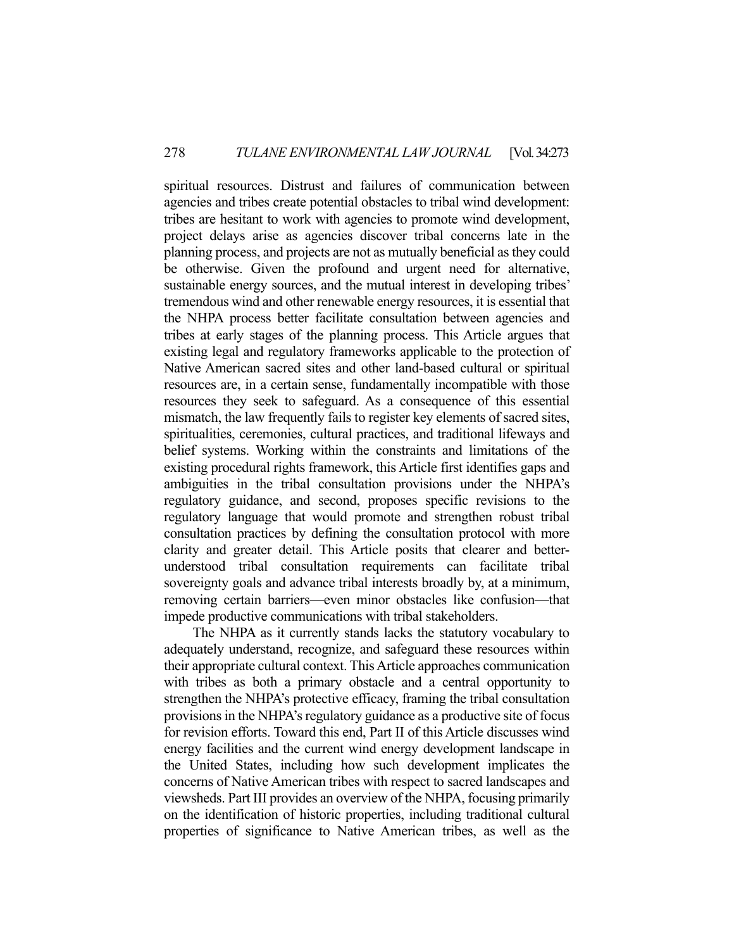spiritual resources. Distrust and failures of communication between agencies and tribes create potential obstacles to tribal wind development: tribes are hesitant to work with agencies to promote wind development, project delays arise as agencies discover tribal concerns late in the planning process, and projects are not as mutually beneficial as they could be otherwise. Given the profound and urgent need for alternative, sustainable energy sources, and the mutual interest in developing tribes' tremendous wind and other renewable energy resources, it is essential that the NHPA process better facilitate consultation between agencies and tribes at early stages of the planning process. This Article argues that existing legal and regulatory frameworks applicable to the protection of Native American sacred sites and other land-based cultural or spiritual resources are, in a certain sense, fundamentally incompatible with those resources they seek to safeguard. As a consequence of this essential mismatch, the law frequently fails to register key elements of sacred sites, spiritualities, ceremonies, cultural practices, and traditional lifeways and belief systems. Working within the constraints and limitations of the existing procedural rights framework, this Article first identifies gaps and ambiguities in the tribal consultation provisions under the NHPA's regulatory guidance, and second, proposes specific revisions to the regulatory language that would promote and strengthen robust tribal consultation practices by defining the consultation protocol with more clarity and greater detail. This Article posits that clearer and betterunderstood tribal consultation requirements can facilitate tribal sovereignty goals and advance tribal interests broadly by, at a minimum, removing certain barriers—even minor obstacles like confusion—that impede productive communications with tribal stakeholders.

 The NHPA as it currently stands lacks the statutory vocabulary to adequately understand, recognize, and safeguard these resources within their appropriate cultural context. This Article approaches communication with tribes as both a primary obstacle and a central opportunity to strengthen the NHPA's protective efficacy, framing the tribal consultation provisions in the NHPA's regulatory guidance as a productive site of focus for revision efforts. Toward this end, Part II of this Article discusses wind energy facilities and the current wind energy development landscape in the United States, including how such development implicates the concerns of Native American tribes with respect to sacred landscapes and viewsheds. Part III provides an overview of the NHPA, focusing primarily on the identification of historic properties, including traditional cultural properties of significance to Native American tribes, as well as the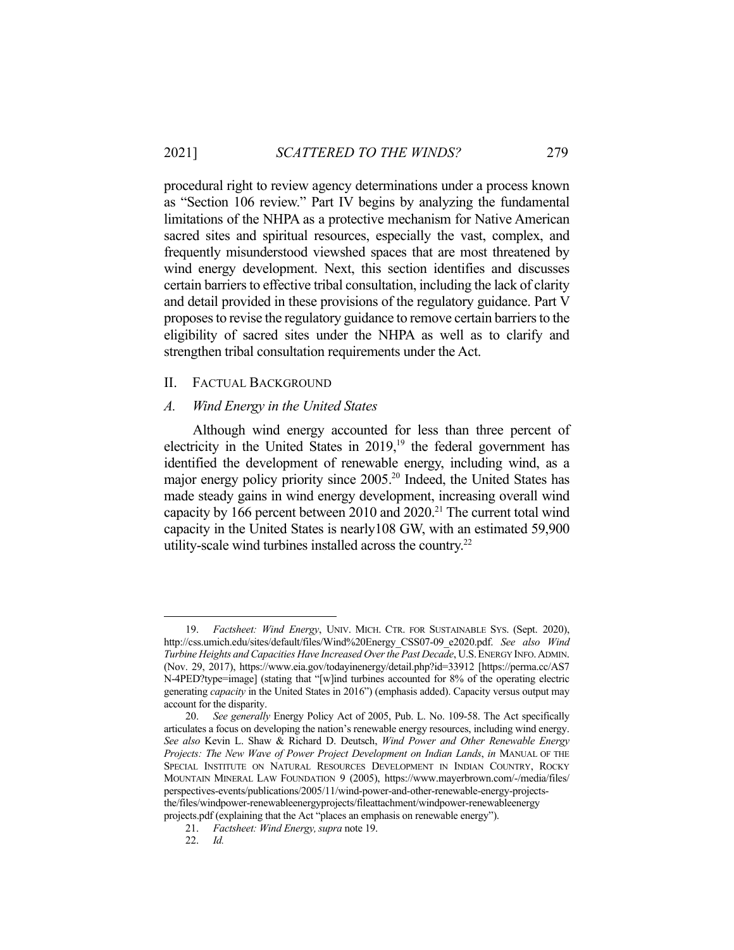procedural right to review agency determinations under a process known as "Section 106 review." Part IV begins by analyzing the fundamental limitations of the NHPA as a protective mechanism for Native American sacred sites and spiritual resources, especially the vast, complex, and frequently misunderstood viewshed spaces that are most threatened by wind energy development. Next, this section identifies and discusses certain barriers to effective tribal consultation, including the lack of clarity and detail provided in these provisions of the regulatory guidance. Part V proposes to revise the regulatory guidance to remove certain barriers to the eligibility of sacred sites under the NHPA as well as to clarify and strengthen tribal consultation requirements under the Act.

## II. FACTUAL BACKGROUND

#### *A. Wind Energy in the United States*

 Although wind energy accounted for less than three percent of electricity in the United States in  $2019<sup>19</sup>$  the federal government has identified the development of renewable energy, including wind, as a major energy policy priority since 2005.<sup>20</sup> Indeed, the United States has made steady gains in wind energy development, increasing overall wind capacity by 166 percent between 2010 and  $2020$ <sup>21</sup> The current total wind capacity in the United States is nearly108 GW, with an estimated 59,900 utility-scale wind turbines installed across the country.<sup>22</sup>

 <sup>19.</sup> *Factsheet: Wind Energy*, UNIV. MICH. CTR. FOR SUSTAINABLE SYS. (Sept. 2020), http://css.umich.edu/sites/default/files/Wind%20Energy\_CSS07-09\_e2020.pdf. *See also Wind Turbine Heights and Capacities Have Increased Over the Past Decade*, U.S.ENERGY INFO.ADMIN. (Nov. 29, 2017), https://www.eia.gov/todayinenergy/detail.php?id=33912 [https://perma.cc/AS7 N-4PED?type=image] (stating that "[w]ind turbines accounted for 8% of the operating electric generating *capacity* in the United States in 2016") (emphasis added). Capacity versus output may account for the disparity.

 <sup>20.</sup> *See generally* Energy Policy Act of 2005, Pub. L. No. 109-58. The Act specifically articulates a focus on developing the nation's renewable energy resources, including wind energy. *See also* Kevin L. Shaw & Richard D. Deutsch, *Wind Power and Other Renewable Energy Projects: The New Wave of Power Project Development on Indian Lands*, *in* MANUAL OF THE SPECIAL INSTITUTE ON NATURAL RESOURCES DEVELOPMENT IN INDIAN COUNTRY, ROCKY MOUNTAIN MINERAL LAW FOUNDATION 9 (2005), https://www.mayerbrown.com/-/media/files/ perspectives-events/publications/2005/11/wind-power-and-other-renewable-energy-projectsthe/files/windpower-renewableenergyprojects/fileattachment/windpower-renewableenergy projects.pdf (explaining that the Act "places an emphasis on renewable energy").

 <sup>21.</sup> *Factsheet: Wind Energy,supra* note 19.

 <sup>22.</sup> *Id.*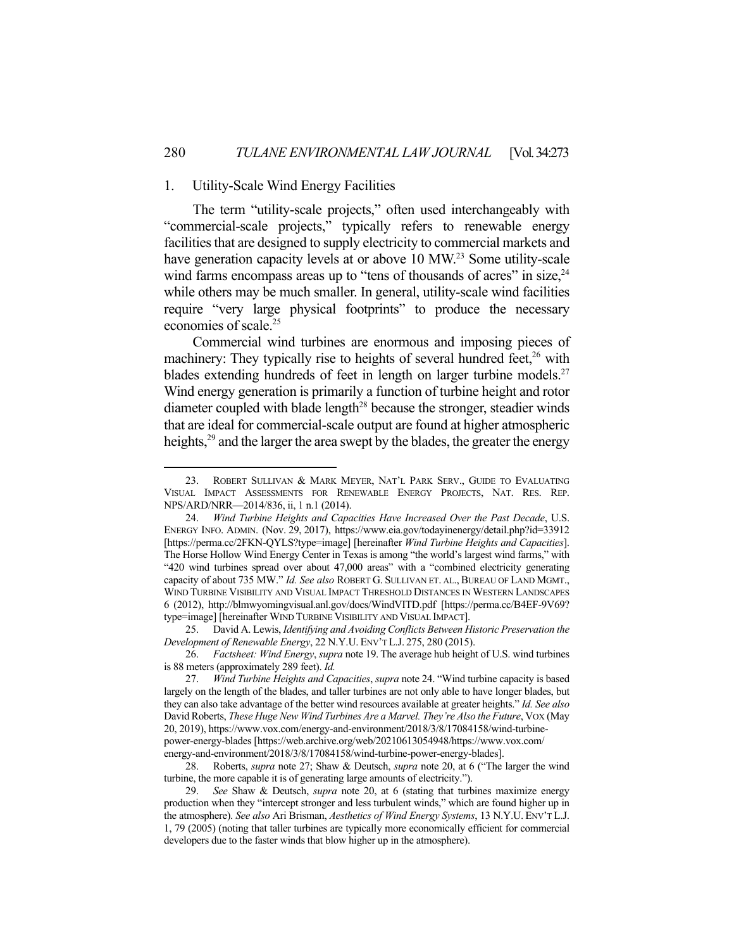## 1. Utility-Scale Wind Energy Facilities

 The term "utility-scale projects," often used interchangeably with "commercial-scale projects," typically refers to renewable energy facilities that are designed to supply electricity to commercial markets and have generation capacity levels at or above 10 MW.<sup>23</sup> Some utility-scale wind farms encompass areas up to "tens of thousands of acres" in size,  $24$ while others may be much smaller. In general, utility-scale wind facilities require "very large physical footprints" to produce the necessary economies of scale.<sup>25</sup>

 Commercial wind turbines are enormous and imposing pieces of machinery: They typically rise to heights of several hundred feet,<sup>26</sup> with blades extending hundreds of feet in length on larger turbine models.<sup>27</sup> Wind energy generation is primarily a function of turbine height and rotor diameter coupled with blade length<sup>28</sup> because the stronger, steadier winds that are ideal for commercial-scale output are found at higher atmospheric heights, $29$  and the larger the area swept by the blades, the greater the energy

 25. David A. Lewis, *Identifying and Avoiding Conflicts Between Historic Preservation the Development of Renewable Energy*, 22 N.Y.U. ENV'T L.J. 275, 280 (2015).

 28. Roberts, *supra* note 27; Shaw & Deutsch, *supra* note 20, at 6 ("The larger the wind turbine, the more capable it is of generating large amounts of electricity.").

<sup>23.</sup> ROBERT SULLIVAN & MARK MEYER, NAT'L PARK SERV., GUIDE TO EVALUATING VISUAL IMPACT ASSESSMENTS FOR RENEWABLE ENERGY PROJECTS, NAT. RES. REP. NPS/ARD/NRR—2014/836, ii, 1 n.1 (2014).

 <sup>24.</sup> *Wind Turbine Heights and Capacities Have Increased Over the Past Decade*, U.S. ENERGY INFO. ADMIN. (Nov. 29, 2017), https://www.eia.gov/todayinenergy/detail.php?id=33912 [https://perma.cc/2FKN-QYLS?type=image] [hereinafter *Wind Turbine Heights and Capacities*]. The Horse Hollow Wind Energy Center in Texas is among "the world's largest wind farms," with "420 wind turbines spread over about 47,000 areas" with a "combined electricity generating capacity of about 735 MW." *Id. See also* ROBERT G. SULLIVAN ET. AL., BUREAU OF LAND MGMT., WIND TURBINE VISIBILITY AND VISUAL IMPACT THRESHOLD DISTANCES IN WESTERN LANDSCAPES 6 (2012), http://blmwyomingvisual.anl.gov/docs/WindVITD.pdf [https://perma.cc/B4EF-9V69? type=image] [hereinafter WIND TURBINE VISIBILITY AND VISUAL IMPACT].

 <sup>26.</sup> *Factsheet: Wind Energy*, *supra* note 19. The average hub height of U.S. wind turbines is 88 meters (approximately 289 feet). *Id.* 

 <sup>27.</sup> *Wind Turbine Heights and Capacities*, *supra* note 24. "Wind turbine capacity is based largely on the length of the blades, and taller turbines are not only able to have longer blades, but they can also take advantage of the better wind resources available at greater heights." *Id. See also*  David Roberts, *These Huge New Wind Turbines Are a Marvel. They're Also the Future*, VOX (May 20, 2019), https://www.vox.com/energy-and-environment/2018/3/8/17084158/wind-turbinepower-energy-blades [https://web.archive.org/web/20210613054948/https://www.vox.com/ energy-and-environment/2018/3/8/17084158/wind-turbine-power-energy-blades].

 <sup>29.</sup> *See* Shaw & Deutsch, *supra* note 20, at 6 (stating that turbines maximize energy production when they "intercept stronger and less turbulent winds," which are found higher up in the atmosphere). *See also* Ari Brisman, *Aesthetics of Wind Energy Systems*, 13 N.Y.U. ENV'T L.J. 1, 79 (2005) (noting that taller turbines are typically more economically efficient for commercial developers due to the faster winds that blow higher up in the atmosphere).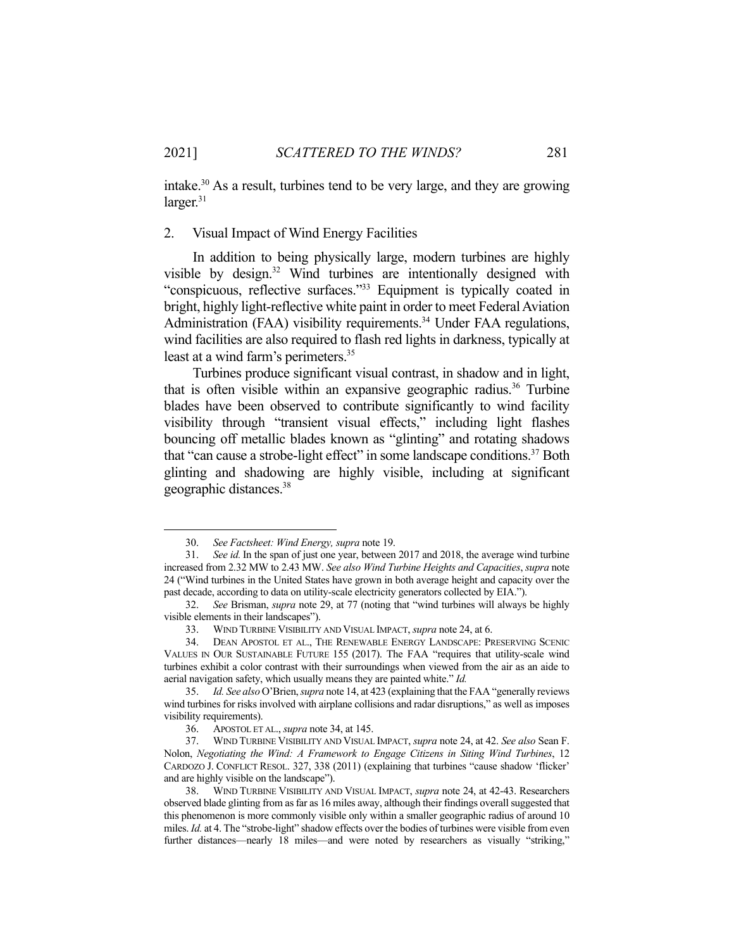intake.30 As a result, turbines tend to be very large, and they are growing  $larger.<sup>31</sup>$ 

## 2. Visual Impact of Wind Energy Facilities

 In addition to being physically large, modern turbines are highly visible by design.32 Wind turbines are intentionally designed with "conspicuous, reflective surfaces."33 Equipment is typically coated in bright, highly light-reflective white paint in order to meet Federal Aviation Administration (FAA) visibility requirements.<sup>34</sup> Under FAA regulations, wind facilities are also required to flash red lights in darkness, typically at least at a wind farm's perimeters.<sup>35</sup>

 Turbines produce significant visual contrast, in shadow and in light, that is often visible within an expansive geographic radius.<sup>36</sup> Turbine blades have been observed to contribute significantly to wind facility visibility through "transient visual effects," including light flashes bouncing off metallic blades known as "glinting" and rotating shadows that "can cause a strobe-light effect" in some landscape conditions.37 Both glinting and shadowing are highly visible, including at significant geographic distances.38

 <sup>30.</sup> *See Factsheet: Wind Energy, supra* note 19.

 <sup>31.</sup> *See id.* In the span of just one year, between 2017 and 2018, the average wind turbine increased from 2.32 MW to 2.43 MW. *See also Wind Turbine Heights and Capacities*, *supra* note 24 ("Wind turbines in the United States have grown in both average height and capacity over the past decade, according to data on utility-scale electricity generators collected by EIA.").

 <sup>32.</sup> *See* Brisman, *supra* note 29, at 77 (noting that "wind turbines will always be highly visible elements in their landscapes").

 <sup>33.</sup> WIND TURBINE VISIBILITY AND VISUAL IMPACT, *supra* note 24, at 6.

 <sup>34.</sup> DEAN APOSTOL ET AL., THE RENEWABLE ENERGY LANDSCAPE: PRESERVING SCENIC VALUES IN OUR SUSTAINABLE FUTURE 155 (2017). The FAA "requires that utility-scale wind turbines exhibit a color contrast with their surroundings when viewed from the air as an aide to aerial navigation safety, which usually means they are painted white." *Id.* 

 <sup>35.</sup> *Id. See also* O'Brien, *supra* note 14, at 423 (explaining that the FAA "generally reviews wind turbines for risks involved with airplane collisions and radar disruptions," as well as imposes visibility requirements).

 <sup>36.</sup> APOSTOL ET AL., *supra* note 34, at 145.

 <sup>37.</sup> WIND TURBINE VISIBILITY AND VISUAL IMPACT, *supra* note 24, at 42. *See also* Sean F. Nolon, *Negotiating the Wind: A Framework to Engage Citizens in Siting Wind Turbines*, 12 CARDOZO J. CONFLICT RESOL. 327, 338 (2011) (explaining that turbines "cause shadow 'flicker' and are highly visible on the landscape").

 <sup>38.</sup> WIND TURBINE VISIBILITY AND VISUAL IMPACT, *supra* note 24, at 42-43. Researchers observed blade glinting from as far as 16 miles away, although their findings overall suggested that this phenomenon is more commonly visible only within a smaller geographic radius of around 10 miles. *Id.* at 4. The "strobe-light" shadow effects over the bodies of turbines were visible from even further distances—nearly 18 miles—and were noted by researchers as visually "striking,"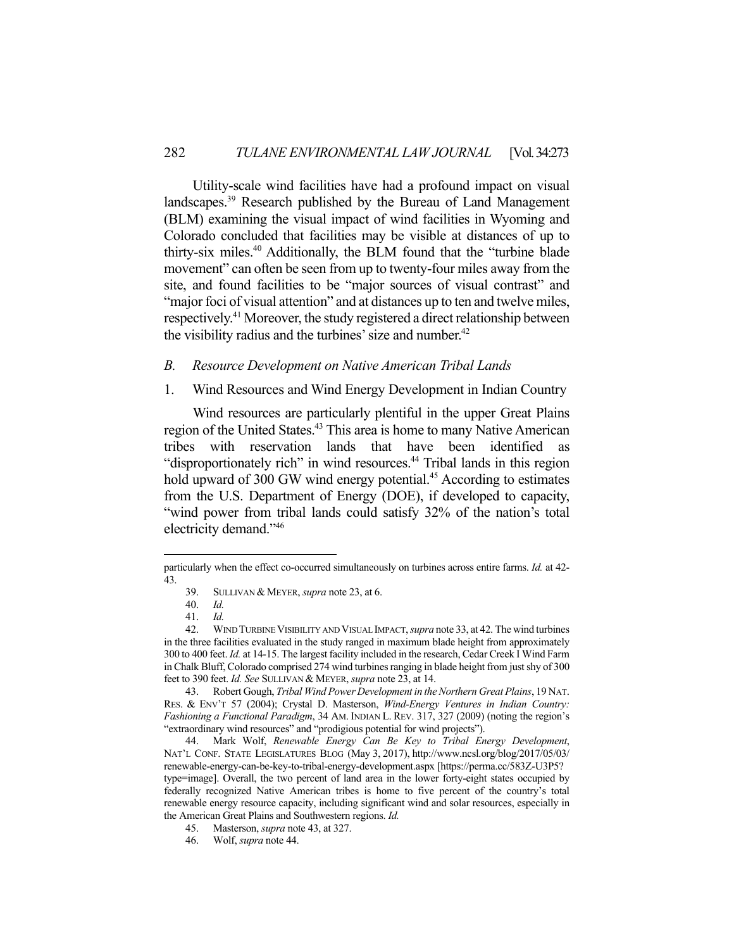Utility-scale wind facilities have had a profound impact on visual landscapes.39 Research published by the Bureau of Land Management (BLM) examining the visual impact of wind facilities in Wyoming and Colorado concluded that facilities may be visible at distances of up to thirty-six miles.40 Additionally, the BLM found that the "turbine blade movement" can often be seen from up to twenty-four miles away from the site, and found facilities to be "major sources of visual contrast" and "major foci of visual attention" and at distances up to ten and twelve miles, respectively.41 Moreover, the study registered a direct relationship between the visibility radius and the turbines' size and number.<sup>42</sup>

## *B. Resource Development on Native American Tribal Lands*

## 1. Wind Resources and Wind Energy Development in Indian Country

 Wind resources are particularly plentiful in the upper Great Plains region of the United States.<sup>43</sup> This area is home to many Native American tribes with reservation lands that have been identified as "disproportionately rich" in wind resources.<sup>44</sup> Tribal lands in this region hold upward of 300 GW wind energy potential.<sup>45</sup> According to estimates from the U.S. Department of Energy (DOE), if developed to capacity, "wind power from tribal lands could satisfy 32% of the nation's total electricity demand."46

particularly when the effect co-occurred simultaneously on turbines across entire farms. *Id.* at 42- 43.

 <sup>39.</sup> SULLIVAN & MEYER, *supra* note 23, at 6.

 <sup>40.</sup> *Id.* 

 <sup>41.</sup> *Id.* 

 <sup>42.</sup> WIND TURBINE VISIBILITY AND VISUAL IMPACT, *supra* note 33, at 42. The wind turbines in the three facilities evaluated in the study ranged in maximum blade height from approximately 300 to 400 feet. *Id.* at 14-15. The largest facility included in the research, Cedar Creek I Wind Farm in Chalk Bluff, Colorado comprised 274 wind turbines ranging in blade height from just shy of 300 feet to 390 feet. *Id. See* SULLIVAN & MEYER, *supra* note 23, at 14.

 <sup>43.</sup> Robert Gough, *Tribal Wind Power Development in the Northern Great Plains*, 19 NAT. RES. & ENV'T 57 (2004); Crystal D. Masterson, *Wind-Energy Ventures in Indian Country: Fashioning a Functional Paradigm*, 34 AM. INDIAN L. REV. 317, 327 (2009) (noting the region's "extraordinary wind resources" and "prodigious potential for wind projects").

 <sup>44.</sup> Mark Wolf, *Renewable Energy Can Be Key to Tribal Energy Development*, NAT'L CONF. STATE LEGISLATURES BLOG (May 3, 2017), http://www.ncsl.org/blog/2017/05/03/ renewable-energy-can-be-key-to-tribal-energy-development.aspx [https://perma.cc/583Z-U3P5? type=image]. Overall, the two percent of land area in the lower forty-eight states occupied by federally recognized Native American tribes is home to five percent of the country's total renewable energy resource capacity, including significant wind and solar resources, especially in the American Great Plains and Southwestern regions. *Id.* 

 <sup>45.</sup> Masterson, *supra* note 43, at 327.

 <sup>46.</sup> Wolf, *supra* note 44.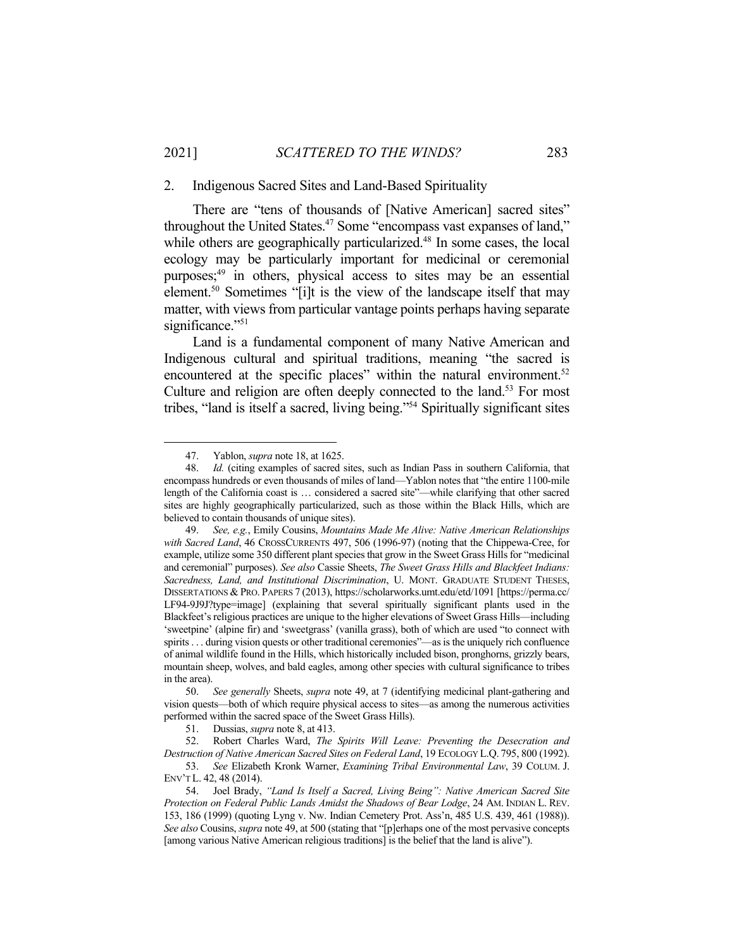#### 2. Indigenous Sacred Sites and Land-Based Spirituality

 There are "tens of thousands of [Native American] sacred sites" throughout the United States.<sup>47</sup> Some "encompass vast expanses of land," while others are geographically particularized.<sup>48</sup> In some cases, the local ecology may be particularly important for medicinal or ceremonial purposes;<sup>49</sup> in others, physical access to sites may be an essential element.<sup>50</sup> Sometimes "[i]t is the view of the landscape itself that may matter, with views from particular vantage points perhaps having separate significance."<sup>51</sup>

 Land is a fundamental component of many Native American and Indigenous cultural and spiritual traditions, meaning "the sacred is encountered at the specific places" within the natural environment.<sup>52</sup> Culture and religion are often deeply connected to the land.<sup>53</sup> For most tribes, "land is itself a sacred, living being."54 Spiritually significant sites

 <sup>47.</sup> Yablon, *supra* note 18, at 1625.

 <sup>48.</sup> *Id.* (citing examples of sacred sites, such as Indian Pass in southern California, that encompass hundreds or even thousands of miles of land—Yablon notes that "the entire 1100-mile length of the California coast is … considered a sacred site"—while clarifying that other sacred sites are highly geographically particularized, such as those within the Black Hills, which are believed to contain thousands of unique sites).

 <sup>49.</sup> *See, e.g.*, Emily Cousins, *Mountains Made Me Alive: Native American Relationships with Sacred Land*, 46 CROSSCURRENTS 497, 506 (1996-97) (noting that the Chippewa-Cree, for example, utilize some 350 different plant species that grow in the Sweet Grass Hills for "medicinal and ceremonial" purposes). *See also* Cassie Sheets, *The Sweet Grass Hills and Blackfeet Indians: Sacredness, Land, and Institutional Discrimination*, U. MONT. GRADUATE STUDENT THESES, DISSERTATIONS & PRO. PAPERS 7 (2013), https://scholarworks.umt.edu/etd/1091 [https://perma.cc/ LF94-9J9J?type=image] (explaining that several spiritually significant plants used in the Blackfeet's religious practices are unique to the higher elevations of Sweet Grass Hills—including 'sweetpine' (alpine fir) and 'sweetgrass' (vanilla grass), both of which are used "to connect with spirits . . . during vision quests or other traditional ceremonies"—as is the uniquely rich confluence of animal wildlife found in the Hills, which historically included bison, pronghorns, grizzly bears, mountain sheep, wolves, and bald eagles, among other species with cultural significance to tribes in the area).

 <sup>50.</sup> *See generally* Sheets, *supra* note 49, at 7 (identifying medicinal plant-gathering and vision quests—both of which require physical access to sites—as among the numerous activities performed within the sacred space of the Sweet Grass Hills).

 <sup>51.</sup> Dussias, *supra* note 8, at 413.

 <sup>52.</sup> Robert Charles Ward, *The Spirits Will Leave: Preventing the Desecration and Destruction of Native American Sacred Sites on Federal Land*, 19 ECOLOGY L.Q. 795, 800 (1992).

 <sup>53.</sup> *See* Elizabeth Kronk Warner, *Examining Tribal Environmental Law*, 39 COLUM. J. ENV'T L. 42, 48 (2014).

 <sup>54.</sup> Joel Brady, *"Land Is Itself a Sacred, Living Being": Native American Sacred Site Protection on Federal Public Lands Amidst the Shadows of Bear Lodge*, 24 AM. INDIAN L. REV. 153, 186 (1999) (quoting Lyng v. Nw. Indian Cemetery Prot. Ass'n, 485 U.S. 439, 461 (1988)). *See also* Cousins, *supra* note 49, at 500 (stating that "[p]erhaps one of the most pervasive concepts [among various Native American religious traditions] is the belief that the land is alive").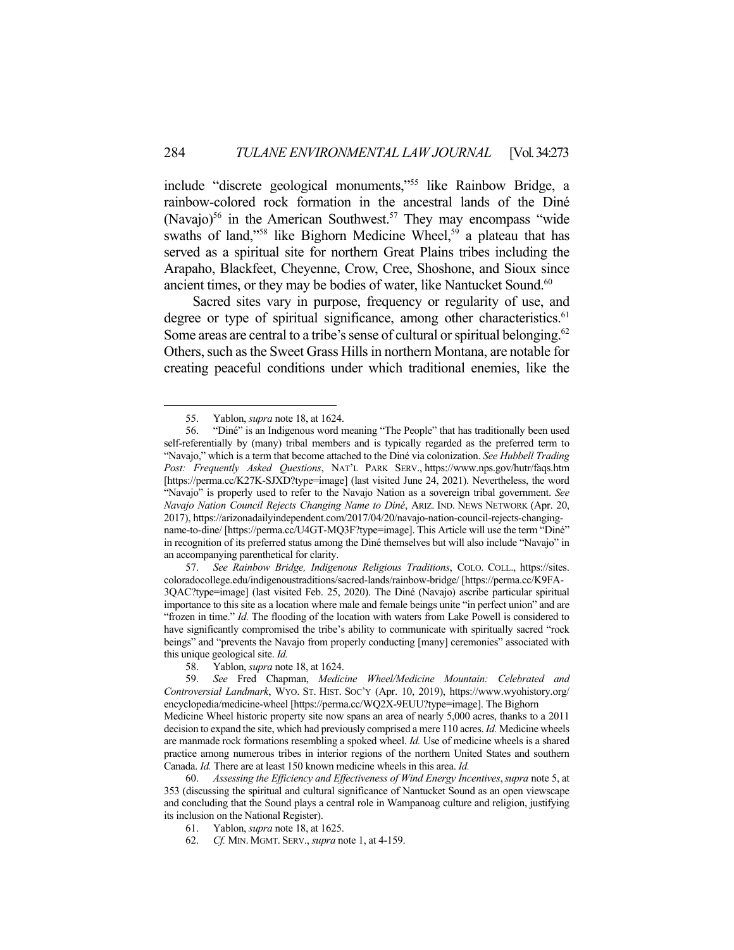include "discrete geological monuments,"55 like Rainbow Bridge, a rainbow-colored rock formation in the ancestral lands of the Diné (Navajo)<sup>56</sup> in the American Southwest.<sup>57</sup> They may encompass "wide swaths of land,"<sup>58</sup> like Bighorn Medicine Wheel,<sup>59</sup> a plateau that has served as a spiritual site for northern Great Plains tribes including the Arapaho, Blackfeet, Cheyenne, Crow, Cree, Shoshone, and Sioux since ancient times, or they may be bodies of water, like Nantucket Sound.<sup>60</sup>

 Sacred sites vary in purpose, frequency or regularity of use, and degree or type of spiritual significance, among other characteristics.<sup>61</sup> Some areas are central to a tribe's sense of cultural or spiritual belonging.<sup>62</sup> Others, such as the Sweet Grass Hills in northern Montana, are notable for creating peaceful conditions under which traditional enemies, like the

Canada. *Id.* There are at least 150 known medicine wheels in this area. *Id.* 

 <sup>55.</sup> Yablon, *supra* note 18, at 1624.

 <sup>56. &</sup>quot;Diné" is an Indigenous word meaning "The People" that has traditionally been used self-referentially by (many) tribal members and is typically regarded as the preferred term to "Navajo," which is a term that become attached to the Diné via colonization. *See Hubbell Trading Post: Frequently Asked Questions*, NAT'L PARK SERV., https://www.nps.gov/hutr/faqs.htm [https://perma.cc/K27K-SJXD?type=image] (last visited June 24, 2021). Nevertheless, the word "Navajo" is properly used to refer to the Navajo Nation as a sovereign tribal government. *See Navajo Nation Council Rejects Changing Name to Diné*, ARIZ. IND. NEWS NETWORK (Apr. 20, 2017), https://arizonadailyindependent.com/2017/04/20/navajo-nation-council-rejects-changingname-to-dine/ [https://perma.cc/U4GT-MQ3F?type=image]. This Article will use the term "Diné" in recognition of its preferred status among the Diné themselves but will also include "Navajo" in an accompanying parenthetical for clarity.

 <sup>57.</sup> *See Rainbow Bridge, Indigenous Religious Traditions*, COLO. COLL., https://sites. coloradocollege.edu/indigenoustraditions/sacred-lands/rainbow-bridge/ [https://perma.cc/K9FA-3QAC?type=image] (last visited Feb. 25, 2020). The Diné (Navajo) ascribe particular spiritual importance to this site as a location where male and female beings unite "in perfect union" and are "frozen in time." *Id.* The flooding of the location with waters from Lake Powell is considered to have significantly compromised the tribe's ability to communicate with spiritually sacred "rock beings" and "prevents the Navajo from properly conducting [many] ceremonies" associated with this unique geological site. *Id.* 

 <sup>58.</sup> Yablon, *supra* note 18, at 1624.

 <sup>59.</sup> *See* Fred Chapman, *Medicine Wheel/Medicine Mountain: Celebrated and Controversial Landmark*, WYO. ST. HIST. SOC'Y (Apr. 10, 2019), https://www.wyohistory.org/ encyclopedia/medicine-wheel [https://perma.cc/WQ2X-9EUU?type=image]. The Bighorn Medicine Wheel historic property site now spans an area of nearly 5,000 acres, thanks to a 2011 decision to expand the site, which had previously comprised a mere 110 acres. *Id.* Medicine wheels are manmade rock formations resembling a spoked wheel. *Id.* Use of medicine wheels is a shared practice among numerous tribes in interior regions of the northern United States and southern

 <sup>60.</sup> *Assessing the Efficiency and Effectiveness of Wind Energy Incentives*,*supra* note 5, at 353 (discussing the spiritual and cultural significance of Nantucket Sound as an open viewscape and concluding that the Sound plays a central role in Wampanoag culture and religion, justifying its inclusion on the National Register).

 <sup>61.</sup> Yablon, *supra* note 18, at 1625.

 <sup>62.</sup> *Cf.* MIN. MGMT. SERV., *supra* note 1, at 4-159.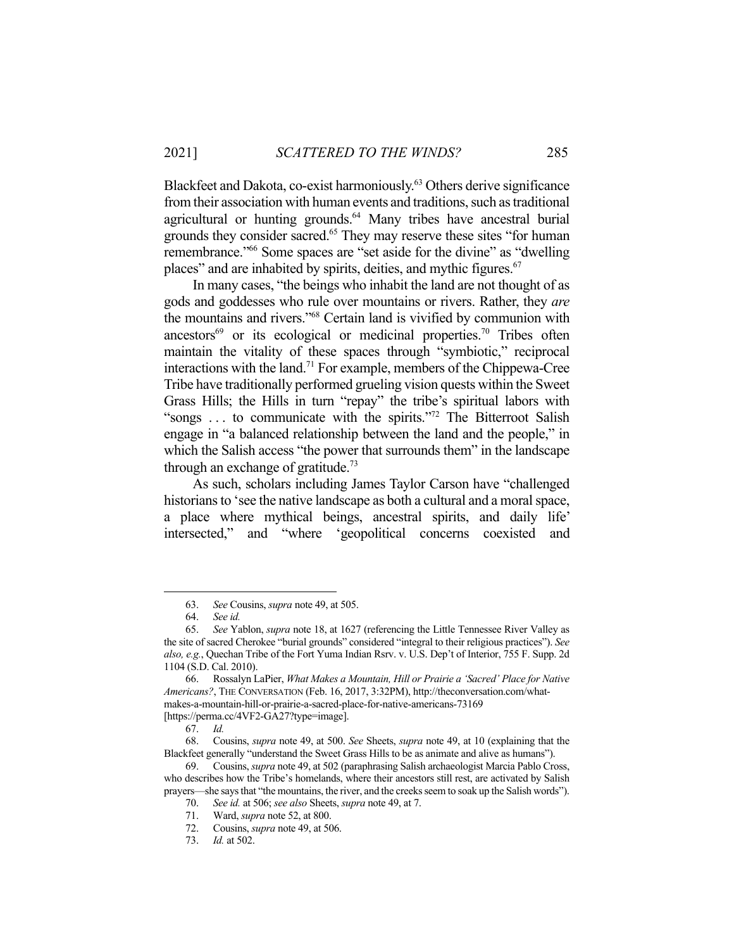Blackfeet and Dakota, co-exist harmoniously.<sup>63</sup> Others derive significance from their association with human events and traditions, such as traditional agricultural or hunting grounds.<sup>64</sup> Many tribes have ancestral burial grounds they consider sacred.<sup>65</sup> They may reserve these sites "for human" remembrance."66 Some spaces are "set aside for the divine" as "dwelling places" and are inhabited by spirits, deities, and mythic figures.<sup>67</sup>

 In many cases, "the beings who inhabit the land are not thought of as gods and goddesses who rule over mountains or rivers. Rather, they *are* the mountains and rivers."68 Certain land is vivified by communion with ancestors<sup>69</sup> or its ecological or medicinal properties.<sup>70</sup> Tribes often maintain the vitality of these spaces through "symbiotic," reciprocal interactions with the land.71 For example, members of the Chippewa-Cree Tribe have traditionally performed grueling vision quests within the Sweet Grass Hills; the Hills in turn "repay" the tribe's spiritual labors with "songs . . . to communicate with the spirits."72 The Bitterroot Salish engage in "a balanced relationship between the land and the people," in which the Salish access "the power that surrounds them" in the landscape through an exchange of gratitude.<sup>73</sup>

 As such, scholars including James Taylor Carson have "challenged historians to 'see the native landscape as both a cultural and a moral space, a place where mythical beings, ancestral spirits, and daily life' intersected," and "where 'geopolitical concerns coexisted and

 <sup>63.</sup> *See* Cousins, *supra* note 49, at 505.

 <sup>64.</sup> *See id.* 

 <sup>65.</sup> *See* Yablon, *supra* note 18, at 1627 (referencing the Little Tennessee River Valley as the site of sacred Cherokee "burial grounds" considered "integral to their religious practices"). *See also, e.g.*, Quechan Tribe of the Fort Yuma Indian Rsrv. v. U.S. Dep't of Interior, 755 F. Supp. 2d 1104 (S.D. Cal. 2010).

 <sup>66.</sup> Rossalyn LaPier, *What Makes a Mountain, Hill or Prairie a 'Sacred' Place for Native Americans?*, THE CONVERSATION (Feb. 16, 2017, 3:32PM), http://theconversation.com/whatmakes-a-mountain-hill-or-prairie-a-sacred-place-for-native-americans-73169

<sup>[</sup>https://perma.cc/4VF2-GA27?type=image].

 <sup>67.</sup> *Id.* 

 <sup>68.</sup> Cousins, *supra* note 49, at 500. *See* Sheets, *supra* note 49, at 10 (explaining that the Blackfeet generally "understand the Sweet Grass Hills to be as animate and alive as humans").

 <sup>69.</sup> Cousins, *supra* note 49, at 502 (paraphrasing Salish archaeologist Marcia Pablo Cross, who describes how the Tribe's homelands, where their ancestors still rest, are activated by Salish prayers—she says that "the mountains, the river, and the creeks seem to soak up the Salish words").

 <sup>70.</sup> *See id.* at 506; *see also* Sheets, *supra* note 49, at 7.

 <sup>71.</sup> Ward, *supra* note 52, at 800. 72. Cousins, *supra* note 49, at 506.

 <sup>73.</sup> *Id.* at 502.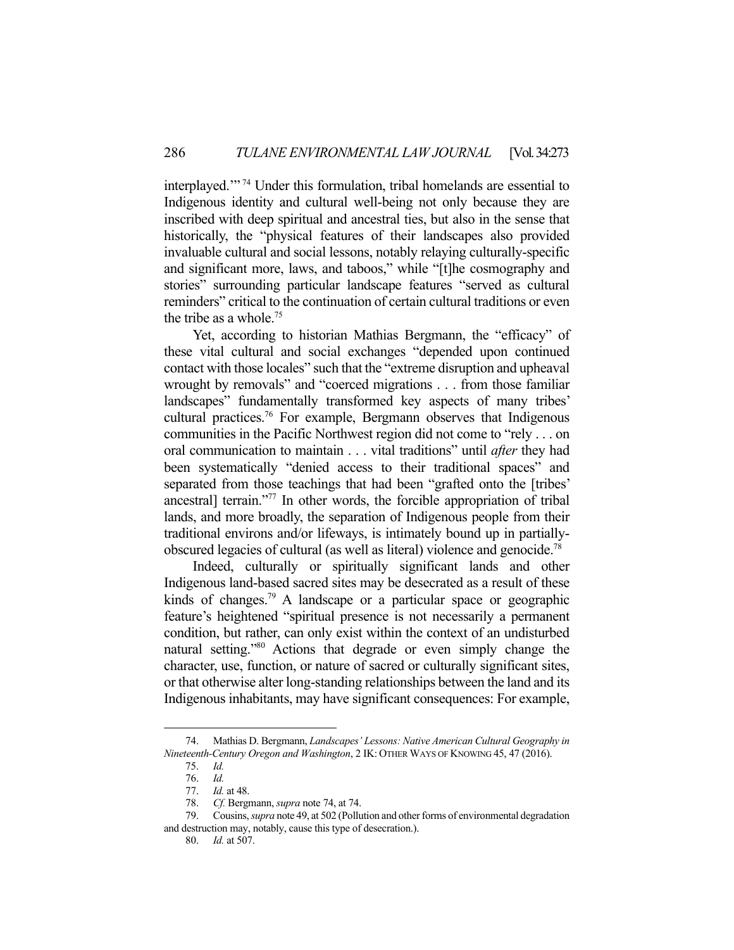interplayed.'" 74 Under this formulation, tribal homelands are essential to Indigenous identity and cultural well-being not only because they are inscribed with deep spiritual and ancestral ties, but also in the sense that historically, the "physical features of their landscapes also provided invaluable cultural and social lessons, notably relaying culturally-specific and significant more, laws, and taboos," while "[t]he cosmography and stories" surrounding particular landscape features "served as cultural reminders" critical to the continuation of certain cultural traditions or even the tribe as a whole.75

 Yet, according to historian Mathias Bergmann, the "efficacy" of these vital cultural and social exchanges "depended upon continued contact with those locales" such that the "extreme disruption and upheaval wrought by removals" and "coerced migrations . . . from those familiar landscapes" fundamentally transformed key aspects of many tribes' cultural practices.76 For example, Bergmann observes that Indigenous communities in the Pacific Northwest region did not come to "rely . . . on oral communication to maintain . . . vital traditions" until *after* they had been systematically "denied access to their traditional spaces" and separated from those teachings that had been "grafted onto the [tribes' ancestral] terrain."77 In other words, the forcible appropriation of tribal lands, and more broadly, the separation of Indigenous people from their traditional environs and/or lifeways, is intimately bound up in partiallyobscured legacies of cultural (as well as literal) violence and genocide.78

 Indeed, culturally or spiritually significant lands and other Indigenous land-based sacred sites may be desecrated as a result of these kinds of changes.<sup>79</sup> A landscape or a particular space or geographic feature's heightened "spiritual presence is not necessarily a permanent condition, but rather, can only exist within the context of an undisturbed natural setting."80 Actions that degrade or even simply change the character, use, function, or nature of sacred or culturally significant sites, or that otherwise alter long-standing relationships between the land and its Indigenous inhabitants, may have significant consequences: For example,

 <sup>74.</sup> Mathias D. Bergmann, *Landscapes' Lessons: Native American Cultural Geography in Nineteenth-Century Oregon and Washington*, 2 IK: OTHER WAYS OF KNOWING 45, 47 (2016).

 <sup>75.</sup> *Id.*

 <sup>76.</sup> *Id.*

 <sup>77.</sup> *Id.* at 48.

 <sup>78.</sup> *Cf.* Bergmann, *supra* note 74, at 74.

 <sup>79.</sup> Cousins, *supra* note 49, at 502 (Pollution and other forms of environmental degradation and destruction may, notably, cause this type of desecration.).

 <sup>80.</sup> *Id.* at 507.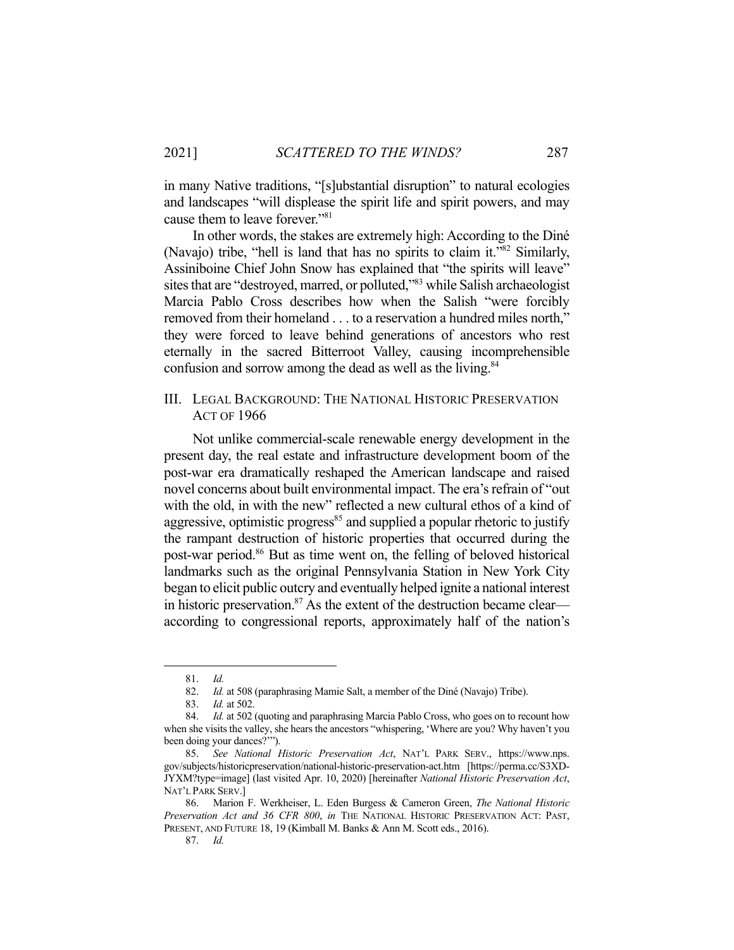in many Native traditions, "[s]ubstantial disruption" to natural ecologies and landscapes "will displease the spirit life and spirit powers, and may cause them to leave forever."81

 In other words, the stakes are extremely high: According to the Diné (Navajo) tribe, "hell is land that has no spirits to claim it."82 Similarly, Assiniboine Chief John Snow has explained that "the spirits will leave" sites that are "destroyed, marred, or polluted,"83 while Salish archaeologist Marcia Pablo Cross describes how when the Salish "were forcibly removed from their homeland . . . to a reservation a hundred miles north," they were forced to leave behind generations of ancestors who rest eternally in the sacred Bitterroot Valley, causing incomprehensible confusion and sorrow among the dead as well as the living.<sup>84</sup>

## III. LEGAL BACKGROUND: THE NATIONAL HISTORIC PRESERVATION ACT OF 1966

 Not unlike commercial-scale renewable energy development in the present day, the real estate and infrastructure development boom of the post-war era dramatically reshaped the American landscape and raised novel concerns about built environmental impact. The era's refrain of "out with the old, in with the new" reflected a new cultural ethos of a kind of aggressive, optimistic progress<sup>85</sup> and supplied a popular rhetoric to justify the rampant destruction of historic properties that occurred during the post-war period.86 But as time went on, the felling of beloved historical landmarks such as the original Pennsylvania Station in New York City began to elicit public outcry and eventually helped ignite a national interest in historic preservation.<sup>87</sup> As the extent of the destruction became clear according to congressional reports, approximately half of the nation's

 <sup>81.</sup> *Id.*

 <sup>82.</sup> *Id.* at 508 (paraphrasing Mamie Salt, a member of the Diné (Navajo) Tribe).

 <sup>83.</sup> *Id.* at 502.

<sup>84.</sup> *Id.* at 502 (quoting and paraphrasing Marcia Pablo Cross, who goes on to recount how when she visits the valley, she hears the ancestors "whispering, 'Where are you? Why haven't you been doing your dances?'").

 <sup>85.</sup> *See National Historic Preservation Act*, NAT'L PARK SERV., https://www.nps. gov/subjects/historicpreservation/national-historic-preservation-act.htm [https://perma.cc/S3XD-JYXM?type=image] (last visited Apr. 10, 2020) [hereinafter *National Historic Preservation Act*, NAT'L PARK SERV.]

 <sup>86.</sup> Marion F. Werkheiser, L. Eden Burgess & Cameron Green, *The National Historic Preservation Act and 36 CFR 800*, *in* THE NATIONAL HISTORIC PRESERVATION ACT: PAST, PRESENT, AND FUTURE 18, 19 (Kimball M. Banks & Ann M. Scott eds., 2016).

 <sup>87.</sup> *Id.*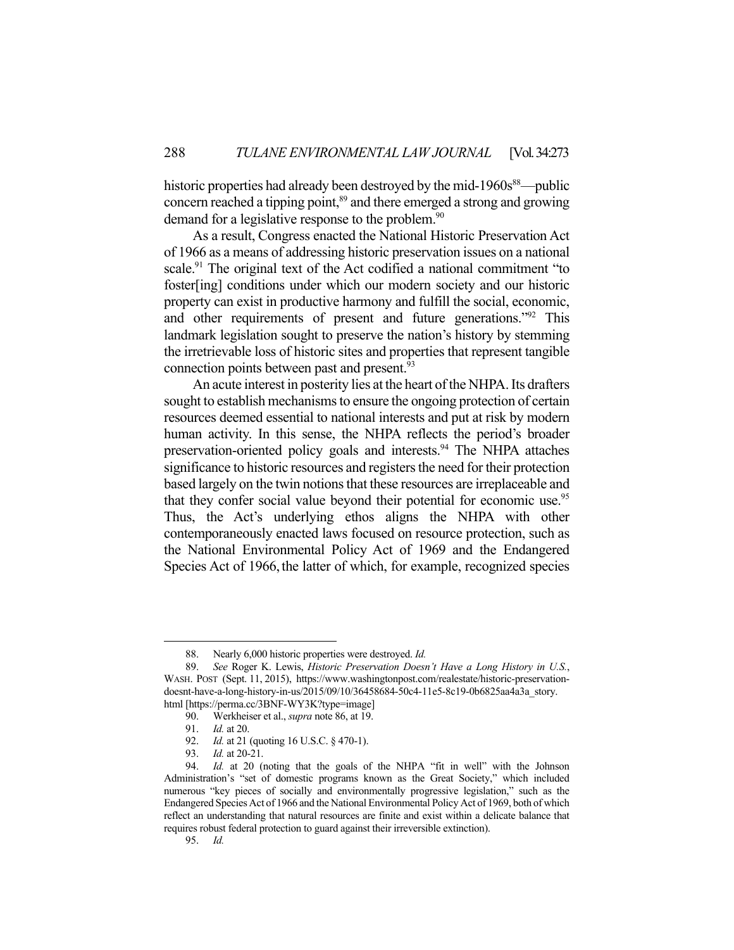historic properties had already been destroyed by the mid- $1960s^{88}$ —public concern reached a tipping point,<sup>89</sup> and there emerged a strong and growing demand for a legislative response to the problem.<sup>90</sup>

 As a result, Congress enacted the National Historic Preservation Act of 1966 as a means of addressing historic preservation issues on a national scale.<sup>91</sup> The original text of the Act codified a national commitment "to foster[ing] conditions under which our modern society and our historic property can exist in productive harmony and fulfill the social, economic, and other requirements of present and future generations."92 This landmark legislation sought to preserve the nation's history by stemming the irretrievable loss of historic sites and properties that represent tangible connection points between past and present.<sup>93</sup>

 An acute interest in posterity lies at the heart of the NHPA. Its drafters sought to establish mechanisms to ensure the ongoing protection of certain resources deemed essential to national interests and put at risk by modern human activity. In this sense, the NHPA reflects the period's broader preservation-oriented policy goals and interests.<sup>94</sup> The NHPA attaches significance to historic resources and registers the need for their protection based largely on the twin notions that these resources are irreplaceable and that they confer social value beyond their potential for economic use.<sup>95</sup> Thus, the Act's underlying ethos aligns the NHPA with other contemporaneously enacted laws focused on resource protection, such as the National Environmental Policy Act of 1969 and the Endangered Species Act of 1966, the latter of which, for example, recognized species

 <sup>88.</sup> Nearly 6,000 historic properties were destroyed. *Id.*

 <sup>89.</sup> *See* Roger K. Lewis, *Historic Preservation Doesn't Have a Long History in U.S.*, WASH. POST (Sept. 11, 2015), https://www.washingtonpost.com/realestate/historic-preservationdoesnt-have-a-long-history-in-us/2015/09/10/36458684-50c4-11e5-8c19-0b6825aa4a3a\_story. html [https://perma.cc/3BNF-WY3K?type=image]

 <sup>90.</sup> Werkheiser et al., *supra* note 86, at 19.

 <sup>91.</sup> *Id.* at 20.

 <sup>92.</sup> *Id.* at 21 (quoting 16 U.S.C. § 470-1).

 <sup>93.</sup> *Id.* at 20-21.

 <sup>94.</sup> *Id.* at 20 (noting that the goals of the NHPA "fit in well" with the Johnson Administration's "set of domestic programs known as the Great Society," which included numerous "key pieces of socially and environmentally progressive legislation," such as the Endangered Species Act of 1966 and the National Environmental Policy Act of 1969, both of which reflect an understanding that natural resources are finite and exist within a delicate balance that requires robust federal protection to guard against their irreversible extinction).

 <sup>95.</sup> *Id.*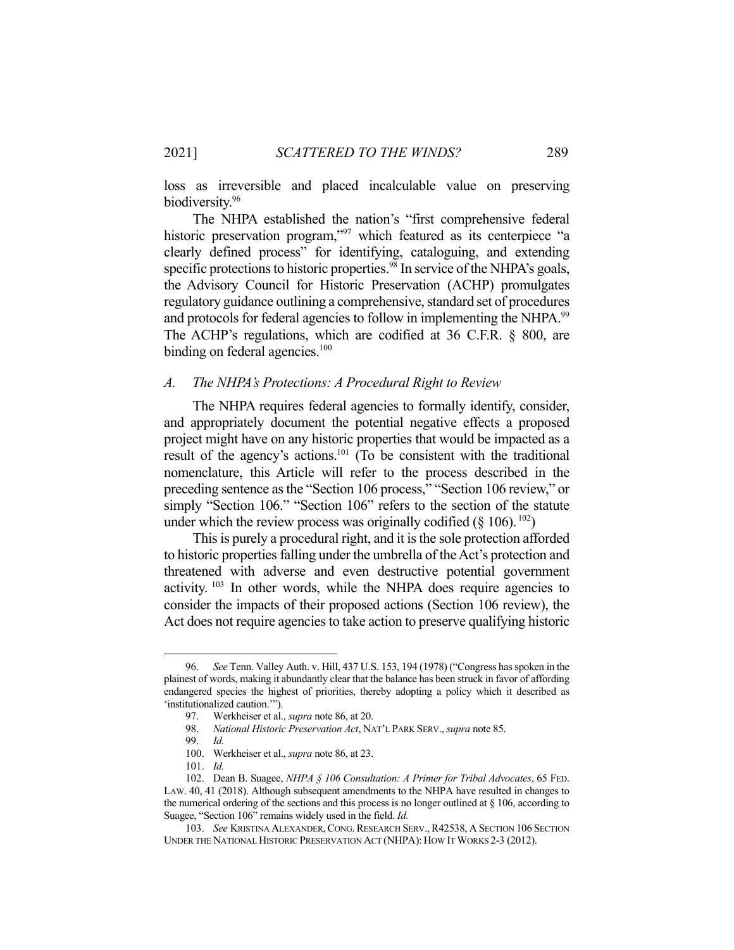loss as irreversible and placed incalculable value on preserving biodiversity.<sup>96</sup>

 The NHPA established the nation's "first comprehensive federal historic preservation program,"<sup>97</sup> which featured as its centerpiece "a clearly defined process" for identifying, cataloguing, and extending specific protections to historic properties.<sup>98</sup> In service of the NHPA's goals, the Advisory Council for Historic Preservation (ACHP) promulgates regulatory guidance outlining a comprehensive, standard set of procedures and protocols for federal agencies to follow in implementing the NHPA.<sup>99</sup> The ACHP's regulations, which are codified at 36 C.F.R. § 800, are binding on federal agencies.<sup>100</sup>

## *A. The NHPA's Protections: A Procedural Right to Review*

 The NHPA requires federal agencies to formally identify, consider, and appropriately document the potential negative effects a proposed project might have on any historic properties that would be impacted as a result of the agency's actions.101 (To be consistent with the traditional nomenclature, this Article will refer to the process described in the preceding sentence as the "Section 106 process," "Section 106 review," or simply "Section 106." "Section 106" refers to the section of the statute under which the review process was originally codified  $(\S 106)^{102}$ )

 This is purely a procedural right, and it is the sole protection afforded to historic properties falling under the umbrella of the Act's protection and threatened with adverse and even destructive potential government activity.  $103$  In other words, while the NHPA does require agencies to consider the impacts of their proposed actions (Section 106 review), the Act does not require agencies to take action to preserve qualifying historic

 <sup>96.</sup> *See* Tenn. Valley Auth. v. Hill, 437 U.S. 153, 194 (1978) ("Congress has spoken in the plainest of words, making it abundantly clear that the balance has been struck in favor of affording endangered species the highest of priorities, thereby adopting a policy which it described as 'institutionalized caution.'").

 <sup>97.</sup> Werkheiser et al., *supra* note 86, at 20.

 <sup>98.</sup> *National Historic Preservation Act*, NAT'L PARK SERV., *supra* note 85.

 <sup>99.</sup> *Id.*

 <sup>100.</sup> Werkheiser et al., *supra* note 86, at 23.

 <sup>101.</sup> *Id.*

 <sup>102.</sup> Dean B. Suagee, *NHPA § 106 Consultation: A Primer for Tribal Advocates*, 65 FED. LAW. 40, 41 (2018). Although subsequent amendments to the NHPA have resulted in changes to the numerical ordering of the sections and this process is no longer outlined at  $\S$  106, according to Suagee, "Section 106" remains widely used in the field. *Id.* 

<sup>103.</sup> See KRISTINA ALEXANDER, CONG. RESEARCH SERV., R42538, A SECTION 106 SECTION UNDER THE NATIONAL HISTORIC PRESERVATION ACT (NHPA): HOW IT WORKS 2-3 (2012).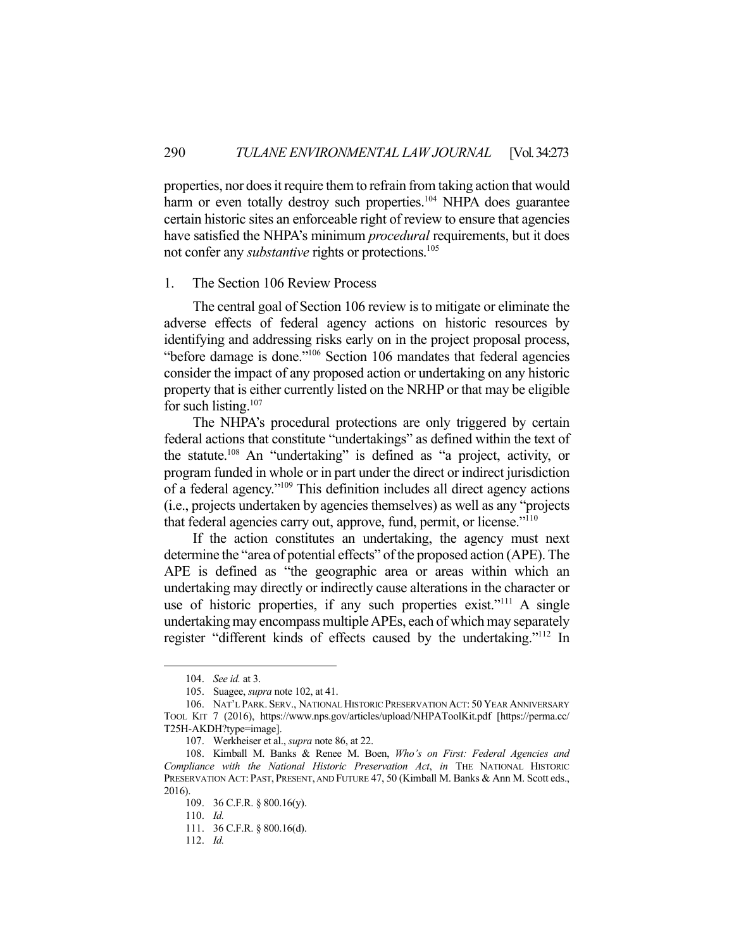properties, nor does it require them to refrain from taking action that would harm or even totally destroy such properties.<sup>104</sup> NHPA does guarantee certain historic sites an enforceable right of review to ensure that agencies have satisfied the NHPA's minimum *procedural* requirements, but it does not confer any *substantive* rights or protections.<sup>105</sup>

## 1. The Section 106 Review Process

 The central goal of Section 106 review is to mitigate or eliminate the adverse effects of federal agency actions on historic resources by identifying and addressing risks early on in the project proposal process, "before damage is done."106 Section 106 mandates that federal agencies consider the impact of any proposed action or undertaking on any historic property that is either currently listed on the NRHP or that may be eligible for such listing. $107$ 

 The NHPA's procedural protections are only triggered by certain federal actions that constitute "undertakings" as defined within the text of the statute.108 An "undertaking" is defined as "a project, activity, or program funded in whole or in part under the direct or indirect jurisdiction of a federal agency."109 This definition includes all direct agency actions (i.e., projects undertaken by agencies themselves) as well as any "projects that federal agencies carry out, approve, fund, permit, or license."110

 If the action constitutes an undertaking, the agency must next determine the "area of potential effects" of the proposed action (APE). The APE is defined as "the geographic area or areas within which an undertaking may directly or indirectly cause alterations in the character or use of historic properties, if any such properties exist."<sup>111</sup> A single undertaking may encompass multiple APEs, each of which may separately register "different kinds of effects caused by the undertaking."112 In

 <sup>104.</sup> *See id.* at 3.

 <sup>105.</sup> Suagee, *supra* note 102, at 41.

 <sup>106.</sup> NAT'L PARK. SERV., NATIONAL HISTORIC PRESERVATION ACT: 50 YEAR ANNIVERSARY TOOL KIT 7 (2016), https://www.nps.gov/articles/upload/NHPAToolKit.pdf [https://perma.cc/ T25H-AKDH?type=image].

 <sup>107.</sup> Werkheiser et al., *supra* note 86, at 22.

 <sup>108.</sup> Kimball M. Banks & Renee M. Boen, *Who's on First: Federal Agencies and Compliance with the National Historic Preservation Act*, *in* THE NATIONAL HISTORIC PRESERVATION ACT: PAST, PRESENT, AND FUTURE 47, 50 (Kimball M. Banks & Ann M. Scott eds., 2016).

 <sup>109. 36</sup> C.F.R. § 800.16(y).

 <sup>110.</sup> *Id.*

 <sup>111. 36</sup> C.F.R. § 800.16(d).

 <sup>112.</sup> *Id.*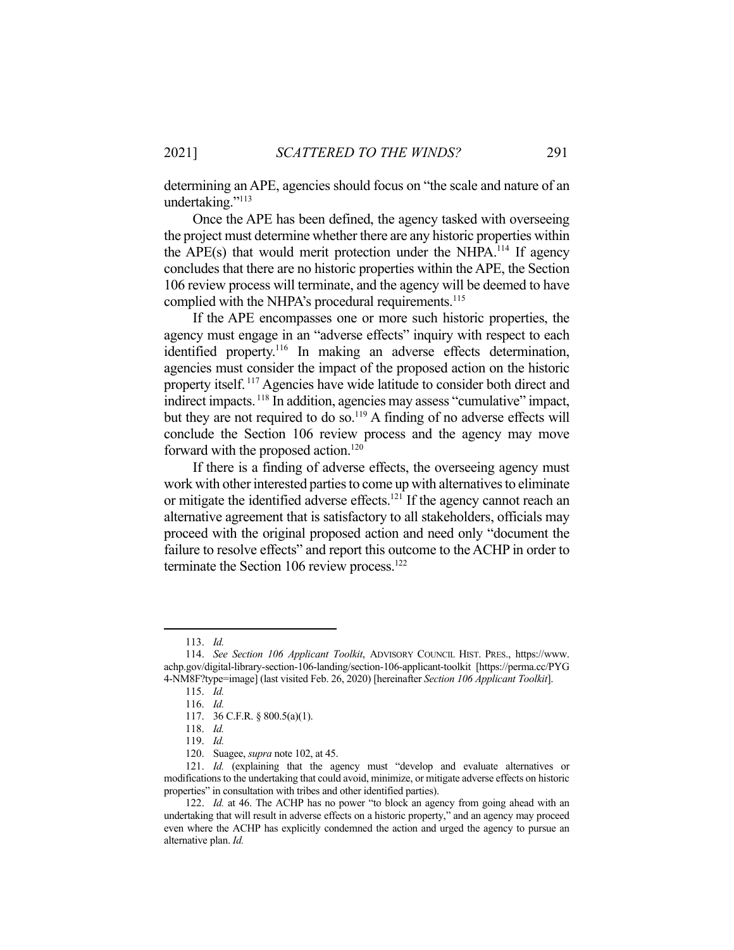determining an APE, agencies should focus on "the scale and nature of an undertaking."<sup>113</sup>

 Once the APE has been defined, the agency tasked with overseeing the project must determine whether there are any historic properties within the APE(s) that would merit protection under the NHPA.<sup>114</sup> If agency concludes that there are no historic properties within the APE, the Section 106 review process will terminate, and the agency will be deemed to have complied with the NHPA's procedural requirements.<sup>115</sup>

 If the APE encompasses one or more such historic properties, the agency must engage in an "adverse effects" inquiry with respect to each identified property.<sup>116</sup> In making an adverse effects determination, agencies must consider the impact of the proposed action on the historic property itself. 117 Agencies have wide latitude to consider both direct and indirect impacts.<sup>118</sup> In addition, agencies may assess "cumulative" impact, but they are not required to do so.<sup>119</sup> A finding of no adverse effects will conclude the Section 106 review process and the agency may move forward with the proposed action.<sup>120</sup>

 If there is a finding of adverse effects, the overseeing agency must work with other interested parties to come up with alternatives to eliminate or mitigate the identified adverse effects.<sup>121</sup> If the agency cannot reach an alternative agreement that is satisfactory to all stakeholders, officials may proceed with the original proposed action and need only "document the failure to resolve effects" and report this outcome to the ACHP in order to terminate the Section 106 review process.<sup>122</sup>

 <sup>113.</sup> *Id.*

 <sup>114.</sup> *See Section 106 Applicant Toolkit*, ADVISORY COUNCIL HIST. PRES., https://www. achp.gov/digital-library-section-106-landing/section-106-applicant-toolkit [https://perma.cc/PYG 4-NM8F?type=image] (last visited Feb. 26, 2020) [hereinafter *Section 106 Applicant Toolkit*].

 <sup>115.</sup> *Id.*

 <sup>116.</sup> *Id.*

 <sup>117. 36</sup> C.F.R. § 800.5(a)(1).

 <sup>118.</sup> *Id.*

 <sup>119.</sup> *Id.*

 <sup>120.</sup> Suagee, *supra* note 102, at 45.

 <sup>121.</sup> *Id.* (explaining that the agency must "develop and evaluate alternatives or modifications to the undertaking that could avoid, minimize, or mitigate adverse effects on historic properties" in consultation with tribes and other identified parties).

 <sup>122.</sup> *Id.* at 46. The ACHP has no power "to block an agency from going ahead with an undertaking that will result in adverse effects on a historic property," and an agency may proceed even where the ACHP has explicitly condemned the action and urged the agency to pursue an alternative plan. *Id.*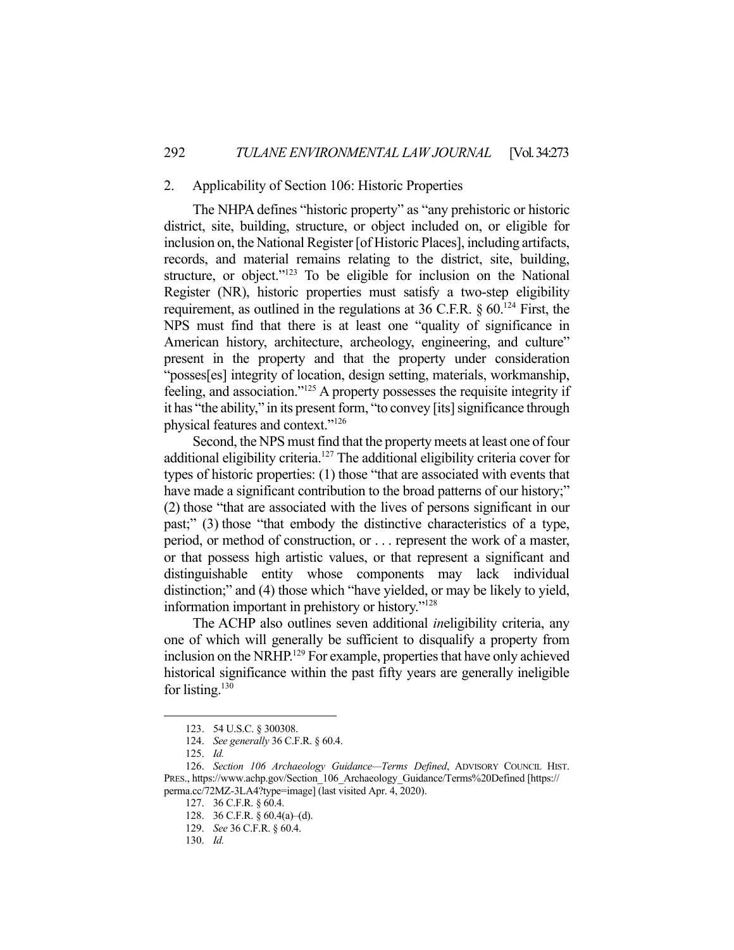## 2. Applicability of Section 106: Historic Properties

 The NHPA defines "historic property" as "any prehistoric or historic district, site, building, structure, or object included on, or eligible for inclusion on, the National Register [of Historic Places], including artifacts, records, and material remains relating to the district, site, building, structure, or object."<sup>123</sup> To be eligible for inclusion on the National Register (NR), historic properties must satisfy a two-step eligibility requirement, as outlined in the regulations at 36 C.F.R.  $\S$  60.<sup>124</sup> First, the NPS must find that there is at least one "quality of significance in American history, architecture, archeology, engineering, and culture" present in the property and that the property under consideration "posses[es] integrity of location, design setting, materials, workmanship, feeling, and association."125 A property possesses the requisite integrity if it has "the ability," in its present form, "to convey [its] significance through physical features and context."126

 Second, the NPS must find that the property meets at least one of four additional eligibility criteria.127 The additional eligibility criteria cover for types of historic properties: (1) those "that are associated with events that have made a significant contribution to the broad patterns of our history;" (2) those "that are associated with the lives of persons significant in our past;" (3) those "that embody the distinctive characteristics of a type, period, or method of construction, or . . . represent the work of a master, or that possess high artistic values, or that represent a significant and distinguishable entity whose components may lack individual distinction;" and (4) those which "have yielded, or may be likely to yield, information important in prehistory or history."128

 The ACHP also outlines seven additional *in*eligibility criteria, any one of which will generally be sufficient to disqualify a property from inclusion on the NRHP.<sup>129</sup> For example, properties that have only achieved historical significance within the past fifty years are generally ineligible for listing. $130$ 

 <sup>123. 54</sup> U.S.C. § 300308.

 <sup>124.</sup> *See generally* 36 C.F.R. § 60.4.

 <sup>125.</sup> *Id.*

 <sup>126.</sup> *Section 106 Archaeology Guidance—Terms Defined*, ADVISORY COUNCIL HIST. PRES., https://www.achp.gov/Section\_106\_Archaeology\_Guidance/Terms%20Defined [https:// perma.cc/72MZ-3LA4?type=image] (last visited Apr. 4, 2020).

 <sup>127. 36</sup> C.F.R. § 60.4.

 <sup>128. 36</sup> C.F.R. § 60.4(a)–(d).

 <sup>129.</sup> *See* 36 C.F.R. § 60.4.

 <sup>130.</sup> *Id.*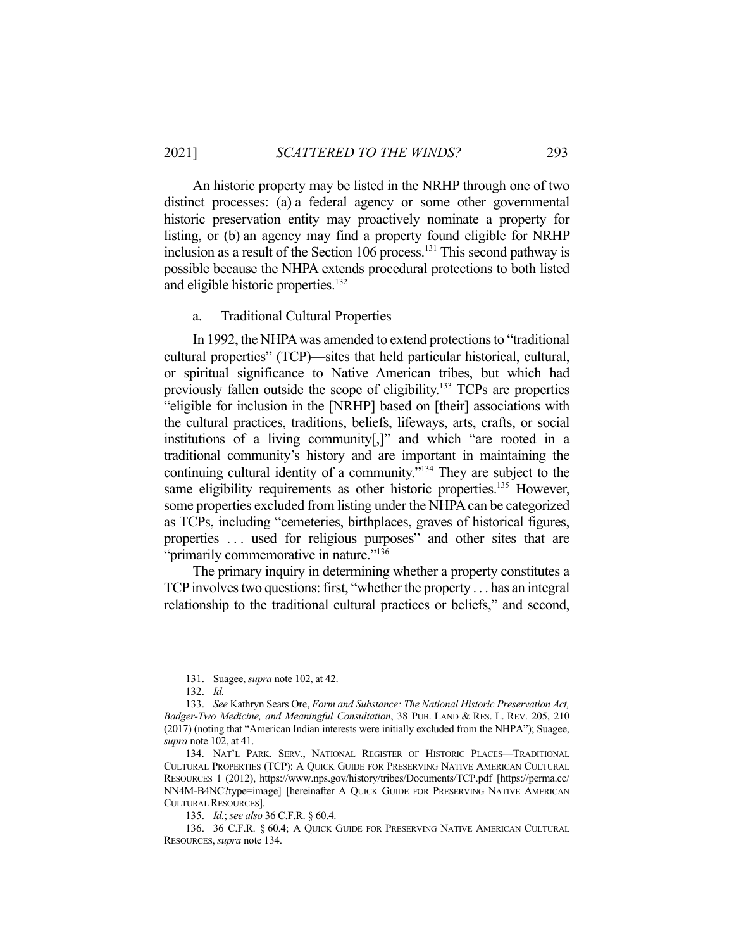An historic property may be listed in the NRHP through one of two distinct processes: (a) a federal agency or some other governmental historic preservation entity may proactively nominate a property for listing, or (b) an agency may find a property found eligible for NRHP inclusion as a result of the Section 106 process.<sup>131</sup> This second pathway is possible because the NHPA extends procedural protections to both listed and eligible historic properties.<sup>132</sup>

a. Traditional Cultural Properties

 In 1992, the NHPA was amended to extend protections to "traditional cultural properties" (TCP)—sites that held particular historical, cultural, or spiritual significance to Native American tribes, but which had previously fallen outside the scope of eligibility.<sup>133</sup> TCPs are properties "eligible for inclusion in the [NRHP] based on [their] associations with the cultural practices, traditions, beliefs, lifeways, arts, crafts, or social institutions of a living community[,]" and which "are rooted in a traditional community's history and are important in maintaining the continuing cultural identity of a community."134 They are subject to the same eligibility requirements as other historic properties.<sup>135</sup> However, some properties excluded from listing under the NHPA can be categorized as TCPs, including "cemeteries, birthplaces, graves of historical figures, properties . . . used for religious purposes" and other sites that are "primarily commemorative in nature."<sup>136</sup>

 The primary inquiry in determining whether a property constitutes a TCP involves two questions: first, "whether the property . . . has an integral relationship to the traditional cultural practices or beliefs," and second,

 <sup>131.</sup> Suagee, *supra* note 102, at 42.

 <sup>132.</sup> *Id.*

 <sup>133.</sup> *See* Kathryn Sears Ore, *Form and Substance: The National Historic Preservation Act, Badger-Two Medicine, and Meaningful Consultation*, 38 PUB. LAND & RES. L. REV. 205, 210 (2017) (noting that "American Indian interests were initially excluded from the NHPA"); Suagee, *supra* note 102, at 41.

 <sup>134.</sup> NAT'L PARK. SERV., NATIONAL REGISTER OF HISTORIC PLACES—TRADITIONAL CULTURAL PROPERTIES (TCP): A QUICK GUIDE FOR PRESERVING NATIVE AMERICAN CULTURAL RESOURCES 1 (2012), https://www.nps.gov/history/tribes/Documents/TCP.pdf [https://perma.cc/ NN4M-B4NC?type=image] [hereinafter A QUICK GUIDE FOR PRESERVING NATIVE AMERICAN CULTURAL RESOURCES].

 <sup>135.</sup> *Id.*; *see also* 36 C.F.R. § 60.4.

 <sup>136. 36</sup> C.F.R. § 60.4; A QUICK GUIDE FOR PRESERVING NATIVE AMERICAN CULTURAL RESOURCES, *supra* note 134.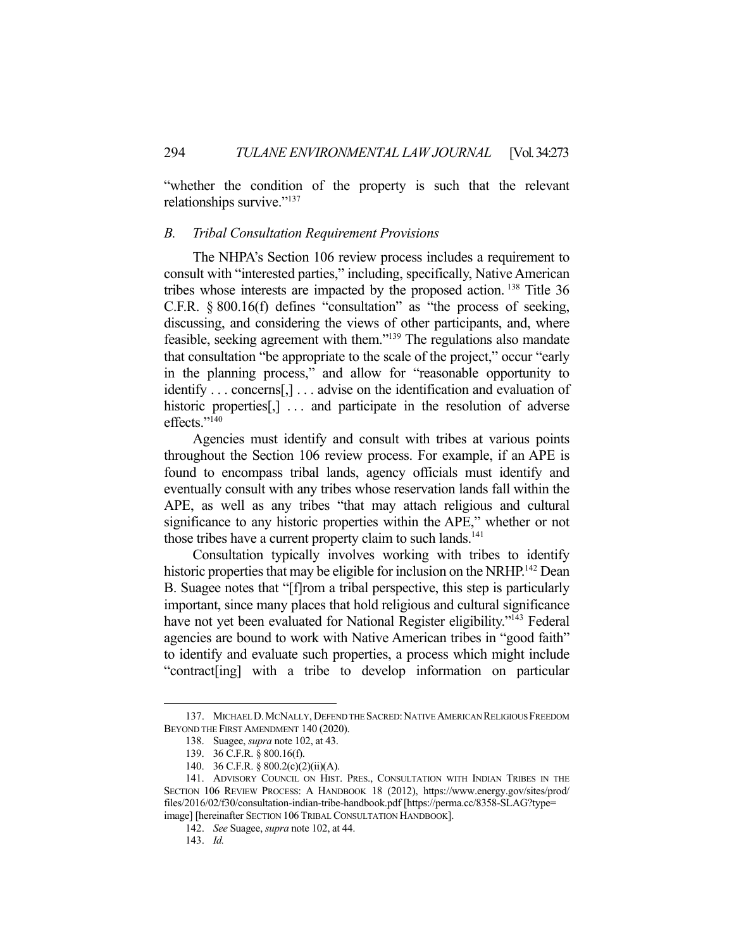"whether the condition of the property is such that the relevant relationships survive."137

#### *B. Tribal Consultation Requirement Provisions*

 The NHPA's Section 106 review process includes a requirement to consult with "interested parties," including, specifically, Native American tribes whose interests are impacted by the proposed action. 138 Title 36 C.F.R. § 800.16(f) defines "consultation" as "the process of seeking, discussing, and considering the views of other participants, and, where feasible, seeking agreement with them."139 The regulations also mandate that consultation "be appropriate to the scale of the project," occur "early in the planning process," and allow for "reasonable opportunity to identify . . . concerns[,] . . . advise on the identification and evaluation of historic properties<sup>[1]</sup> ... and participate in the resolution of adverse effects."<sup>140</sup>

 Agencies must identify and consult with tribes at various points throughout the Section 106 review process. For example, if an APE is found to encompass tribal lands, agency officials must identify and eventually consult with any tribes whose reservation lands fall within the APE, as well as any tribes "that may attach religious and cultural significance to any historic properties within the APE," whether or not those tribes have a current property claim to such lands.<sup>141</sup>

 Consultation typically involves working with tribes to identify historic properties that may be eligible for inclusion on the NRHP.<sup>142</sup> Dean B. Suagee notes that "[f]rom a tribal perspective, this step is particularly important, since many places that hold religious and cultural significance have not yet been evaluated for National Register eligibility."<sup>143</sup> Federal agencies are bound to work with Native American tribes in "good faith" to identify and evaluate such properties, a process which might include "contract[ing] with a tribe to develop information on particular

<sup>137.</sup> MICHAEL D. MCNALLY, DEFEND THE SACRED: NATIVE AMERICAN RELIGIOUS FREEDOM BEYOND THE FIRST AMENDMENT 140 (2020).

 <sup>138.</sup> Suagee, *supra* note 102, at 43.

 <sup>139. 36</sup> C.F.R. § 800.16(f).

 <sup>140. 36</sup> C.F.R. § 800.2(c)(2)(ii)(A).

 <sup>141.</sup> ADVISORY COUNCIL ON HIST. PRES., CONSULTATION WITH INDIAN TRIBES IN THE SECTION 106 REVIEW PROCESS: A HANDBOOK 18 (2012), https://www.energy.gov/sites/prod/ files/2016/02/f30/consultation-indian-tribe-handbook.pdf [https://perma.cc/8358-SLAG?type= image] [hereinafter SECTION 106 TRIBAL CONSULTATION HANDBOOK].

 <sup>142.</sup> *See* Suagee, *supra* note 102, at 44.

 <sup>143.</sup> *Id.*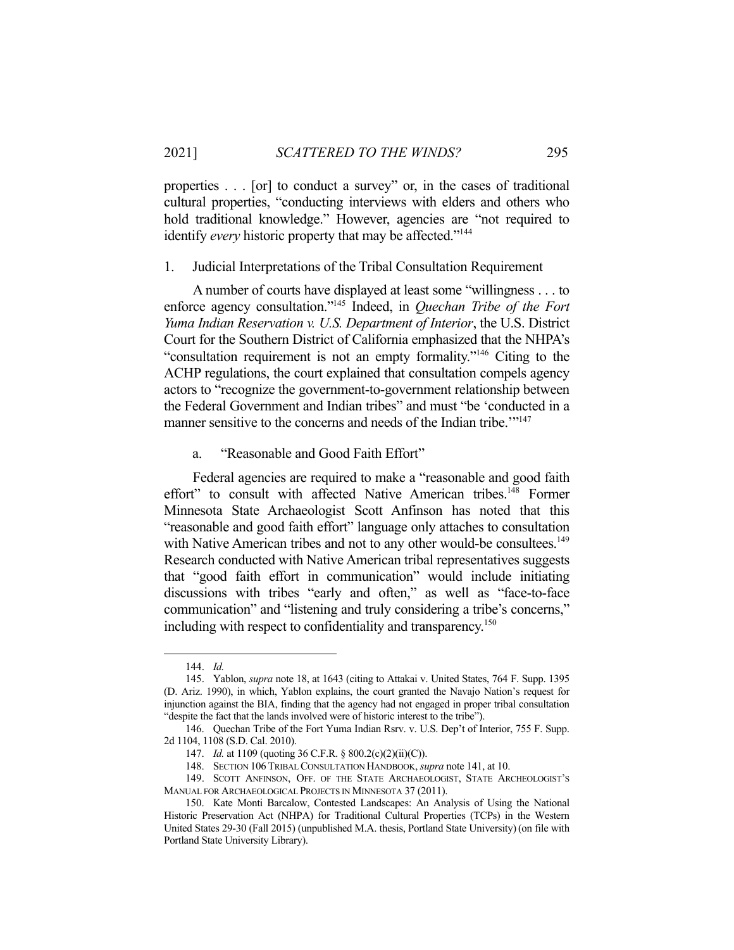properties . . . [or] to conduct a survey" or, in the cases of traditional cultural properties, "conducting interviews with elders and others who hold traditional knowledge." However, agencies are "not required to identify *every* historic property that may be affected."<sup>144</sup>

## 1. Judicial Interpretations of the Tribal Consultation Requirement

 A number of courts have displayed at least some "willingness . . . to enforce agency consultation."145 Indeed, in *Quechan Tribe of the Fort Yuma Indian Reservation v. U.S. Department of Interior*, the U.S. District Court for the Southern District of California emphasized that the NHPA's "consultation requirement is not an empty formality."146 Citing to the ACHP regulations, the court explained that consultation compels agency actors to "recognize the government-to-government relationship between the Federal Government and Indian tribes" and must "be 'conducted in a manner sensitive to the concerns and needs of the Indian tribe."<sup>147</sup>

## a. "Reasonable and Good Faith Effort"

 Federal agencies are required to make a "reasonable and good faith effort" to consult with affected Native American tribes.<sup>148</sup> Former Minnesota State Archaeologist Scott Anfinson has noted that this "reasonable and good faith effort" language only attaches to consultation with Native American tribes and not to any other would-be consultees.<sup>149</sup> Research conducted with Native American tribal representatives suggests that "good faith effort in communication" would include initiating discussions with tribes "early and often," as well as "face-to-face communication" and "listening and truly considering a tribe's concerns," including with respect to confidentiality and transparency.<sup>150</sup>

 <sup>144.</sup> *Id.*

 <sup>145.</sup> Yablon, *supra* note 18, at 1643 (citing to Attakai v. United States, 764 F. Supp. 1395 (D. Ariz. 1990), in which, Yablon explains, the court granted the Navajo Nation's request for injunction against the BIA, finding that the agency had not engaged in proper tribal consultation "despite the fact that the lands involved were of historic interest to the tribe").

 <sup>146.</sup> Quechan Tribe of the Fort Yuma Indian Rsrv. v. U.S. Dep't of Interior, 755 F. Supp. 2d 1104, 1108 (S.D. Cal. 2010).

<sup>147.</sup> *Id.* at 1109 (quoting 36 C.F.R. § 800.2(c)(2)(ii)(C)).

 <sup>148.</sup> SECTION 106 TRIBAL CONSULTATION HANDBOOK, *supra* note 141, at 10.

 <sup>149.</sup> SCOTT ANFINSON, OFF. OF THE STATE ARCHAEOLOGIST, STATE ARCHEOLOGIST'S MANUAL FOR ARCHAEOLOGICAL PROJECTS IN MINNESOTA 37 (2011).

 <sup>150.</sup> Kate Monti Barcalow, Contested Landscapes: An Analysis of Using the National Historic Preservation Act (NHPA) for Traditional Cultural Properties (TCPs) in the Western United States 29-30 (Fall 2015) (unpublished M.A. thesis, Portland State University)(on file with Portland State University Library).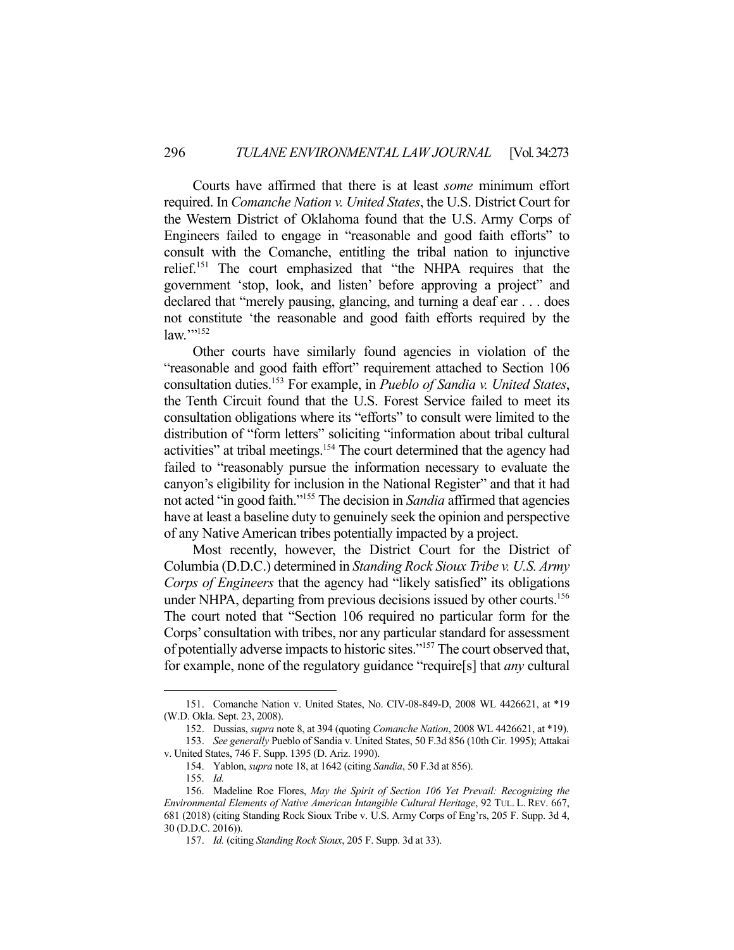Courts have affirmed that there is at least *some* minimum effort required. In *Comanche Nation v. United States*, the U.S. District Court for the Western District of Oklahoma found that the U.S. Army Corps of Engineers failed to engage in "reasonable and good faith efforts" to consult with the Comanche, entitling the tribal nation to injunctive relief.151 The court emphasized that "the NHPA requires that the government 'stop, look, and listen' before approving a project" and declared that "merely pausing, glancing, and turning a deaf ear . . . does not constitute 'the reasonable and good faith efforts required by the  $law.$ "<sup>152</sup>

 Other courts have similarly found agencies in violation of the "reasonable and good faith effort" requirement attached to Section 106 consultation duties.153 For example, in *Pueblo of Sandia v. United States*, the Tenth Circuit found that the U.S. Forest Service failed to meet its consultation obligations where its "efforts" to consult were limited to the distribution of "form letters" soliciting "information about tribal cultural activities" at tribal meetings.154 The court determined that the agency had failed to "reasonably pursue the information necessary to evaluate the canyon's eligibility for inclusion in the National Register" and that it had not acted "in good faith."155 The decision in *Sandia* affirmed that agencies have at least a baseline duty to genuinely seek the opinion and perspective of any Native American tribes potentially impacted by a project.

 Most recently, however, the District Court for the District of Columbia (D.D.C.) determined in *Standing Rock Sioux Tribe v. U.S. Army Corps of Engineers* that the agency had "likely satisfied" its obligations under NHPA, departing from previous decisions issued by other courts.<sup>156</sup> The court noted that "Section 106 required no particular form for the Corps' consultation with tribes, nor any particular standard for assessment of potentially adverse impacts to historic sites."157 The court observed that, for example, none of the regulatory guidance "require[s] that *any* cultural

 <sup>151.</sup> Comanche Nation v. United States, No. CIV-08-849-D, 2008 WL 4426621, at \*19 (W.D. Okla. Sept. 23, 2008).

 <sup>152.</sup> Dussias, *supra* note 8, at 394 (quoting *Comanche Nation*, 2008 WL 4426621, at \*19).

 <sup>153.</sup> *See generally* Pueblo of Sandia v. United States, 50 F.3d 856 (10th Cir. 1995); Attakai v. United States, 746 F. Supp. 1395 (D. Ariz. 1990).

 <sup>154.</sup> Yablon, *supra* note 18, at 1642 (citing *Sandia*, 50 F.3d at 856).

 <sup>155.</sup> *Id.*

 <sup>156.</sup> Madeline Roe Flores, *May the Spirit of Section 106 Yet Prevail: Recognizing the Environmental Elements of Native American Intangible Cultural Heritage*, 92 TUL. L. REV. 667, 681 (2018) (citing Standing Rock Sioux Tribe v. U.S. Army Corps of Eng'rs, 205 F. Supp. 3d 4, 30 (D.D.C. 2016)).

 <sup>157.</sup> *Id.* (citing *Standing Rock Sioux*, 205 F. Supp. 3d at 33).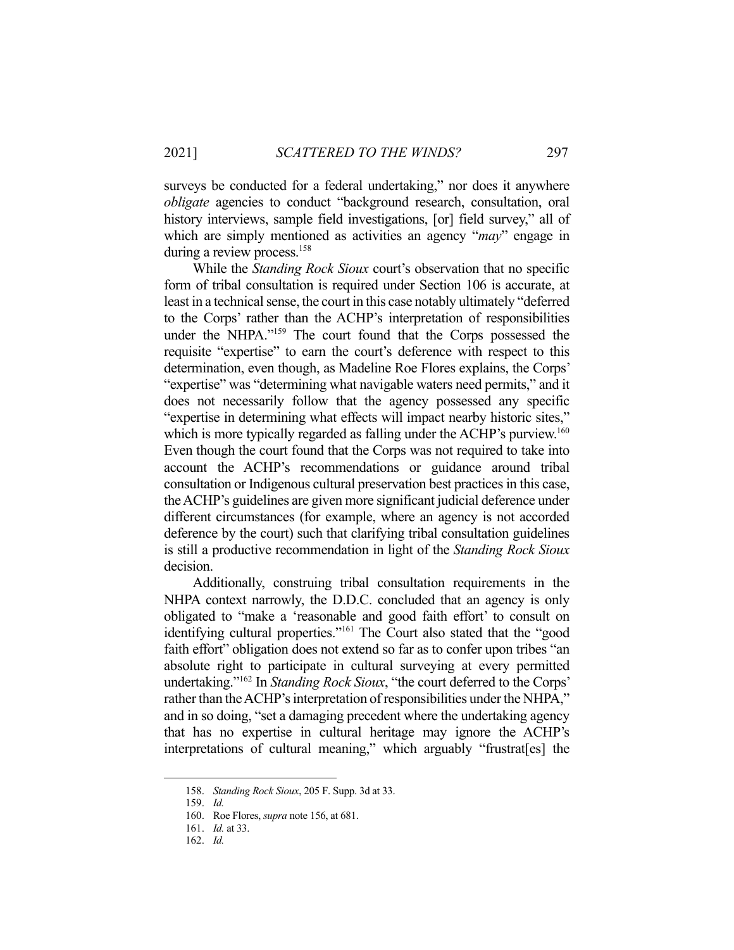surveys be conducted for a federal undertaking," nor does it anywhere *obligate* agencies to conduct "background research, consultation, oral history interviews, sample field investigations, [or] field survey," all of which are simply mentioned as activities an agency "*may*" engage in during a review process.<sup>158</sup>

 While the *Standing Rock Sioux* court's observation that no specific form of tribal consultation is required under Section 106 is accurate, at least in a technical sense, the court in this case notably ultimately "deferred to the Corps' rather than the ACHP's interpretation of responsibilities under the NHPA."159 The court found that the Corps possessed the requisite "expertise" to earn the court's deference with respect to this determination, even though, as Madeline Roe Flores explains, the Corps' "expertise" was "determining what navigable waters need permits," and it does not necessarily follow that the agency possessed any specific "expertise in determining what effects will impact nearby historic sites," which is more typically regarded as falling under the ACHP's purview.<sup>160</sup> Even though the court found that the Corps was not required to take into account the ACHP's recommendations or guidance around tribal consultation or Indigenous cultural preservation best practices in this case, the ACHP's guidelines are given more significant judicial deference under different circumstances (for example, where an agency is not accorded deference by the court) such that clarifying tribal consultation guidelines is still a productive recommendation in light of the *Standing Rock Sioux*  decision.

 Additionally, construing tribal consultation requirements in the NHPA context narrowly, the D.D.C. concluded that an agency is only obligated to "make a 'reasonable and good faith effort' to consult on identifying cultural properties."<sup>161</sup> The Court also stated that the "good faith effort" obligation does not extend so far as to confer upon tribes "an absolute right to participate in cultural surveying at every permitted undertaking."162 In *Standing Rock Sioux*, "the court deferred to the Corps' rather than the ACHP's interpretation of responsibilities under the NHPA," and in so doing, "set a damaging precedent where the undertaking agency that has no expertise in cultural heritage may ignore the ACHP's interpretations of cultural meaning," which arguably "frustrat[es] the

 <sup>158.</sup> *Standing Rock Sioux*, 205 F. Supp. 3d at 33.

 <sup>159.</sup> *Id.*

 <sup>160.</sup> Roe Flores, *supra* note 156, at 681.

 <sup>161.</sup> *Id.* at 33.

 <sup>162.</sup> *Id.*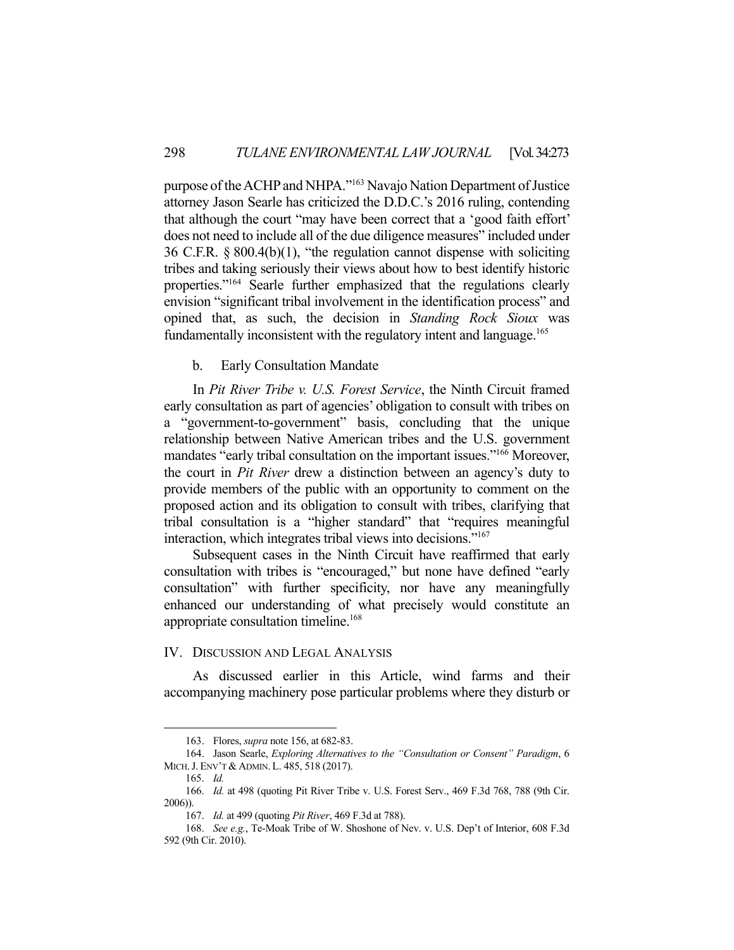purpose of the ACHP and NHPA."163 Navajo Nation Department of Justice attorney Jason Searle has criticized the D.D.C.'s 2016 ruling, contending that although the court "may have been correct that a 'good faith effort' does not need to include all of the due diligence measures" included under 36 C.F.R. § 800.4(b)(1), "the regulation cannot dispense with soliciting tribes and taking seriously their views about how to best identify historic properties."164 Searle further emphasized that the regulations clearly envision "significant tribal involvement in the identification process" and opined that, as such, the decision in *Standing Rock Sioux* was fundamentally inconsistent with the regulatory intent and language.<sup>165</sup>

b. Early Consultation Mandate

 In *Pit River Tribe v. U.S. Forest Service*, the Ninth Circuit framed early consultation as part of agencies' obligation to consult with tribes on a "government-to-government" basis, concluding that the unique relationship between Native American tribes and the U.S. government mandates "early tribal consultation on the important issues."<sup>166</sup> Moreover, the court in *Pit River* drew a distinction between an agency's duty to provide members of the public with an opportunity to comment on the proposed action and its obligation to consult with tribes, clarifying that tribal consultation is a "higher standard" that "requires meaningful interaction, which integrates tribal views into decisions."167

 Subsequent cases in the Ninth Circuit have reaffirmed that early consultation with tribes is "encouraged," but none have defined "early consultation" with further specificity, nor have any meaningfully enhanced our understanding of what precisely would constitute an appropriate consultation timeline.<sup>168</sup>

## IV. DISCUSSION AND LEGAL ANALYSIS

 As discussed earlier in this Article, wind farms and their accompanying machinery pose particular problems where they disturb or

 <sup>163.</sup> Flores, *supra* note 156, at 682-83.

 <sup>164.</sup> Jason Searle, *Exploring Alternatives to the "Consultation or Consent" Paradigm*, 6 MICH.J. ENV'T & ADMIN. L. 485, 518 (2017).

 <sup>165.</sup> *Id.*

 <sup>166.</sup> *Id.* at 498 (quoting Pit River Tribe v. U.S. Forest Serv., 469 F.3d 768, 788 (9th Cir. 2006)).

 <sup>167.</sup> *Id.* at 499 (quoting *Pit River*, 469 F.3d at 788).

 <sup>168.</sup> *See e.g.*, Te-Moak Tribe of W. Shoshone of Nev. v. U.S. Dep't of Interior, 608 F.3d 592 (9th Cir. 2010).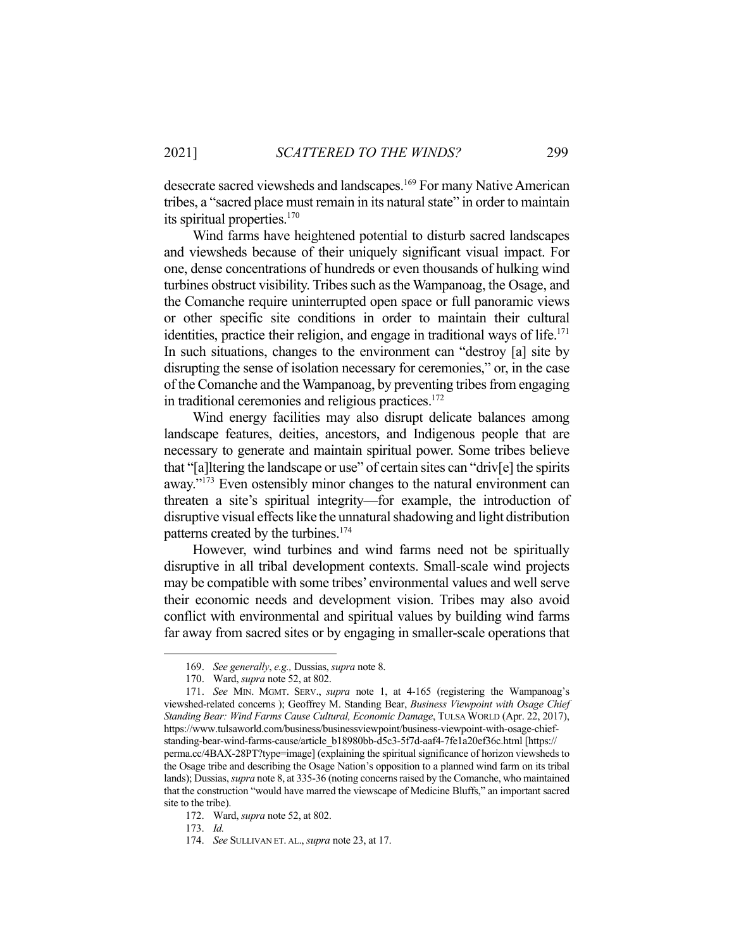desecrate sacred viewsheds and landscapes.169 For many Native American tribes, a "sacred place must remain in its natural state" in order to maintain its spiritual properties.<sup>170</sup>

 Wind farms have heightened potential to disturb sacred landscapes and viewsheds because of their uniquely significant visual impact. For one, dense concentrations of hundreds or even thousands of hulking wind turbines obstruct visibility. Tribes such as the Wampanoag, the Osage, and the Comanche require uninterrupted open space or full panoramic views or other specific site conditions in order to maintain their cultural identities, practice their religion, and engage in traditional ways of life.<sup>171</sup> In such situations, changes to the environment can "destroy [a] site by disrupting the sense of isolation necessary for ceremonies," or, in the case of the Comanche and the Wampanoag, by preventing tribes from engaging in traditional ceremonies and religious practices.<sup>172</sup>

 Wind energy facilities may also disrupt delicate balances among landscape features, deities, ancestors, and Indigenous people that are necessary to generate and maintain spiritual power. Some tribes believe that "[a]ltering the landscape or use" of certain sites can "driv[e] the spirits away."173 Even ostensibly minor changes to the natural environment can threaten a site's spiritual integrity—for example, the introduction of disruptive visual effects like the unnatural shadowing and light distribution patterns created by the turbines.<sup>174</sup>

 However, wind turbines and wind farms need not be spiritually disruptive in all tribal development contexts. Small-scale wind projects may be compatible with some tribes' environmental values and well serve their economic needs and development vision. Tribes may also avoid conflict with environmental and spiritual values by building wind farms far away from sacred sites or by engaging in smaller-scale operations that

 <sup>169.</sup> *See generally*, *e.g.,* Dussias, *supra* note 8.

 <sup>170.</sup> Ward, *supra* note 52, at 802.

 <sup>171.</sup> *See* MIN. MGMT. SERV., *supra* note 1, at 4-165 (registering the Wampanoag's viewshed-related concerns ); Geoffrey M. Standing Bear, *Business Viewpoint with Osage Chief Standing Bear: Wind Farms Cause Cultural, Economic Damage*, TULSA WORLD (Apr. 22, 2017), https://www.tulsaworld.com/business/businessviewpoint/business-viewpoint-with-osage-chiefstanding-bear-wind-farms-cause/article\_b18980bb-d5c3-5f7d-aaf4-7fe1a20ef36c.html [https:// perma.cc/4BAX-28PT?type=image] (explaining the spiritual significance of horizon viewsheds to the Osage tribe and describing the Osage Nation's opposition to a planned wind farm on its tribal lands); Dussias, *supra* note 8, at 335-36 (noting concerns raised by the Comanche, who maintained that the construction "would have marred the viewscape of Medicine Bluffs," an important sacred site to the tribe).

 <sup>172.</sup> Ward, *supra* note 52, at 802.

 <sup>173.</sup> *Id.* 

 <sup>174.</sup> *See* SULLIVAN ET. AL., *supra* note 23, at 17.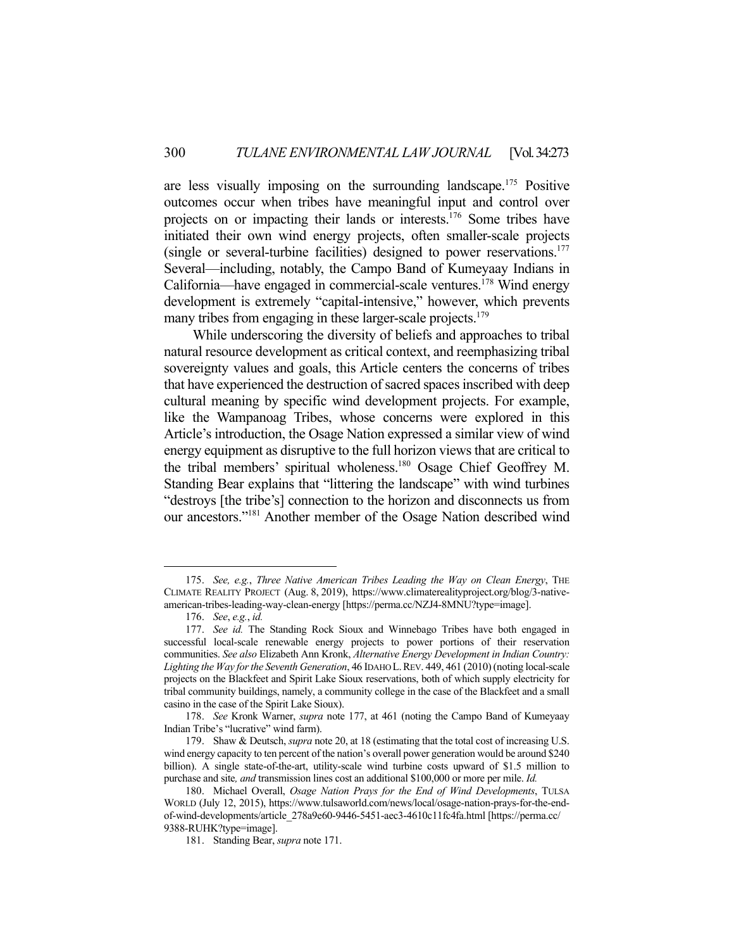are less visually imposing on the surrounding landscape.175 Positive outcomes occur when tribes have meaningful input and control over projects on or impacting their lands or interests.<sup>176</sup> Some tribes have initiated their own wind energy projects, often smaller-scale projects (single or several-turbine facilities) designed to power reservations.<sup>177</sup> Several—including, notably, the Campo Band of Kumeyaay Indians in California—have engaged in commercial-scale ventures.178 Wind energy development is extremely "capital-intensive," however, which prevents many tribes from engaging in these larger-scale projects.<sup>179</sup>

 While underscoring the diversity of beliefs and approaches to tribal natural resource development as critical context, and reemphasizing tribal sovereignty values and goals, this Article centers the concerns of tribes that have experienced the destruction of sacred spaces inscribed with deep cultural meaning by specific wind development projects. For example, like the Wampanoag Tribes, whose concerns were explored in this Article's introduction, the Osage Nation expressed a similar view of wind energy equipment as disruptive to the full horizon views that are critical to the tribal members' spiritual wholeness.180 Osage Chief Geoffrey M. Standing Bear explains that "littering the landscape" with wind turbines "destroys [the tribe's] connection to the horizon and disconnects us from our ancestors."181 Another member of the Osage Nation described wind

 <sup>175.</sup> *See, e.g.*, *Three Native American Tribes Leading the Way on Clean Energy*, THE CLIMATE REALITY PROJECT (Aug. 8, 2019), https://www.climaterealityproject.org/blog/3-nativeamerican-tribes-leading-way-clean-energy [https://perma.cc/NZJ4-8MNU?type=image].

 <sup>176.</sup> *See*, *e.g.*, *id.*

 <sup>177.</sup> *See id.* The Standing Rock Sioux and Winnebago Tribes have both engaged in successful local-scale renewable energy projects to power portions of their reservation communities. *See also* Elizabeth Ann Kronk, *Alternative Energy Development in Indian Country: Lighting the Way for the Seventh Generation*, 46 IDAHO L.REV. 449, 461 (2010) (noting local-scale projects on the Blackfeet and Spirit Lake Sioux reservations, both of which supply electricity for tribal community buildings, namely, a community college in the case of the Blackfeet and a small casino in the case of the Spirit Lake Sioux).

 <sup>178.</sup> *See* Kronk Warner, *supra* note 177, at 461 (noting the Campo Band of Kumeyaay Indian Tribe's "lucrative" wind farm).

 <sup>179.</sup> Shaw & Deutsch, *supra* note 20, at 18 (estimating that the total cost of increasing U.S. wind energy capacity to ten percent of the nation's overall power generation would be around \$240 billion). A single state-of-the-art, utility-scale wind turbine costs upward of \$1.5 million to purchase and site*, and* transmission lines cost an additional \$100,000 or more per mile. *Id.* 

 <sup>180.</sup> Michael Overall, *Osage Nation Prays for the End of Wind Developments*, TULSA WORLD (July 12, 2015), https://www.tulsaworld.com/news/local/osage-nation-prays-for-the-endof-wind-developments/article\_278a9e60-9446-5451-aec3-4610c11fc4fa.html [https://perma.cc/ 9388-RUHK?type=image].

 <sup>181.</sup> Standing Bear, *supra* note 171.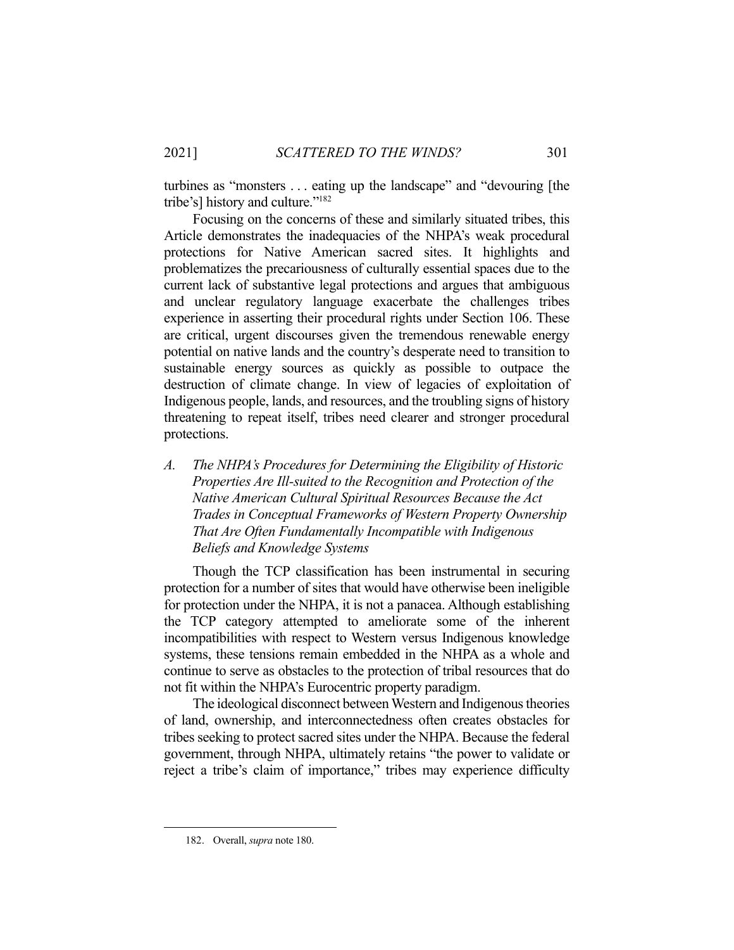turbines as "monsters . . . eating up the landscape" and "devouring [the tribe's] history and culture."182

 Focusing on the concerns of these and similarly situated tribes, this Article demonstrates the inadequacies of the NHPA's weak procedural protections for Native American sacred sites. It highlights and problematizes the precariousness of culturally essential spaces due to the current lack of substantive legal protections and argues that ambiguous and unclear regulatory language exacerbate the challenges tribes experience in asserting their procedural rights under Section 106. These are critical, urgent discourses given the tremendous renewable energy potential on native lands and the country's desperate need to transition to sustainable energy sources as quickly as possible to outpace the destruction of climate change. In view of legacies of exploitation of Indigenous people, lands, and resources, and the troubling signs of history threatening to repeat itself, tribes need clearer and stronger procedural protections.

*A. The NHPA's Procedures for Determining the Eligibility of Historic Properties Are Ill-suited to the Recognition and Protection of the Native American Cultural Spiritual Resources Because the Act Trades in Conceptual Frameworks of Western Property Ownership That Are Often Fundamentally Incompatible with Indigenous Beliefs and Knowledge Systems* 

 Though the TCP classification has been instrumental in securing protection for a number of sites that would have otherwise been ineligible for protection under the NHPA, it is not a panacea. Although establishing the TCP category attempted to ameliorate some of the inherent incompatibilities with respect to Western versus Indigenous knowledge systems, these tensions remain embedded in the NHPA as a whole and continue to serve as obstacles to the protection of tribal resources that do not fit within the NHPA's Eurocentric property paradigm.

 The ideological disconnect between Western and Indigenous theories of land, ownership, and interconnectedness often creates obstacles for tribes seeking to protect sacred sites under the NHPA. Because the federal government, through NHPA, ultimately retains "the power to validate or reject a tribe's claim of importance," tribes may experience difficulty

 <sup>182.</sup> Overall, *supra* note 180.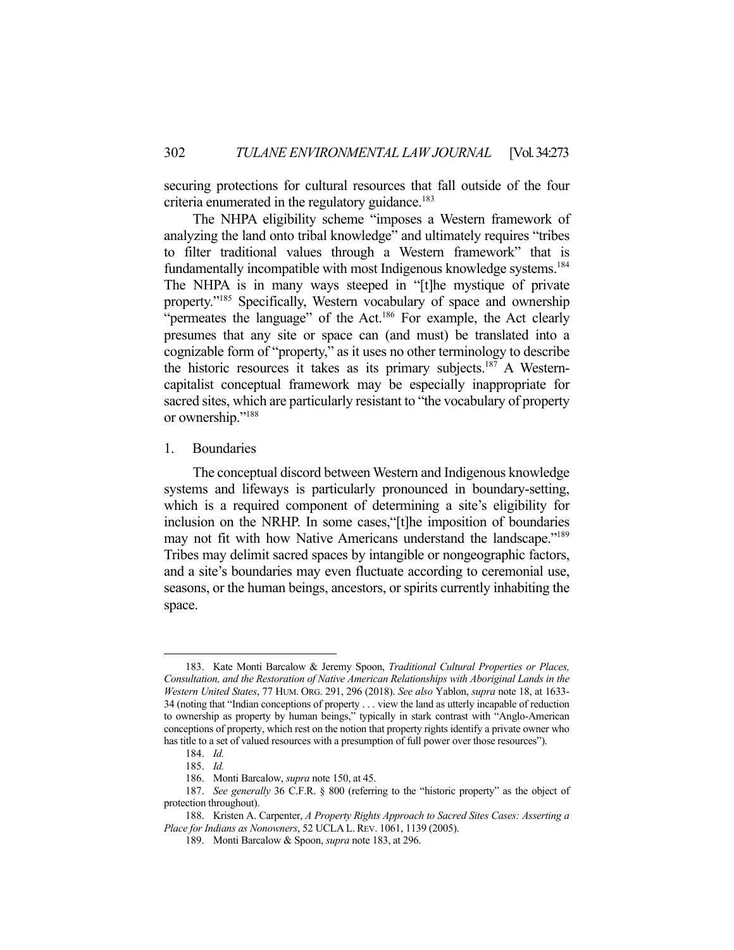securing protections for cultural resources that fall outside of the four criteria enumerated in the regulatory guidance.<sup>183</sup>

 The NHPA eligibility scheme "imposes a Western framework of analyzing the land onto tribal knowledge" and ultimately requires "tribes to filter traditional values through a Western framework" that is fundamentally incompatible with most Indigenous knowledge systems.<sup>184</sup> The NHPA is in many ways steeped in "[t]he mystique of private property."185 Specifically, Western vocabulary of space and ownership "permeates the language" of the Act.<sup>186</sup> For example, the Act clearly presumes that any site or space can (and must) be translated into a cognizable form of "property," as it uses no other terminology to describe the historic resources it takes as its primary subjects.<sup>187</sup> A Westerncapitalist conceptual framework may be especially inappropriate for sacred sites, which are particularly resistant to "the vocabulary of property or ownership."<sup>188</sup>

1. Boundaries

 The conceptual discord between Western and Indigenous knowledge systems and lifeways is particularly pronounced in boundary-setting, which is a required component of determining a site's eligibility for inclusion on the NRHP. In some cases,"[t]he imposition of boundaries may not fit with how Native Americans understand the landscape."<sup>189</sup> Tribes may delimit sacred spaces by intangible or nongeographic factors, and a site's boundaries may even fluctuate according to ceremonial use, seasons, or the human beings, ancestors, or spirits currently inhabiting the space.

 <sup>183.</sup> Kate Monti Barcalow & Jeremy Spoon, *Traditional Cultural Properties or Places, Consultation, and the Restoration of Native American Relationships with Aboriginal Lands in the Western United States*, 77 HUM. ORG. 291, 296 (2018). *See also* Yablon, *supra* note 18, at 1633- 34 (noting that "Indian conceptions of property . . . view the land as utterly incapable of reduction to ownership as property by human beings," typically in stark contrast with "Anglo-American conceptions of property, which rest on the notion that property rights identify a private owner who has title to a set of valued resources with a presumption of full power over those resources").

 <sup>184.</sup> *Id.*

 <sup>185.</sup> *Id.*

 <sup>186.</sup> Monti Barcalow, *supra* note 150, at 45.

 <sup>187.</sup> *See generally* 36 C.F.R. § 800 (referring to the "historic property" as the object of protection throughout).

 <sup>188.</sup> Kristen A. Carpenter, *A Property Rights Approach to Sacred Sites Cases: Asserting a Place for Indians as Nonowners*, 52 UCLA L.REV. 1061, 1139 (2005).

 <sup>189.</sup> Monti Barcalow & Spoon, *supra* note 183, at 296.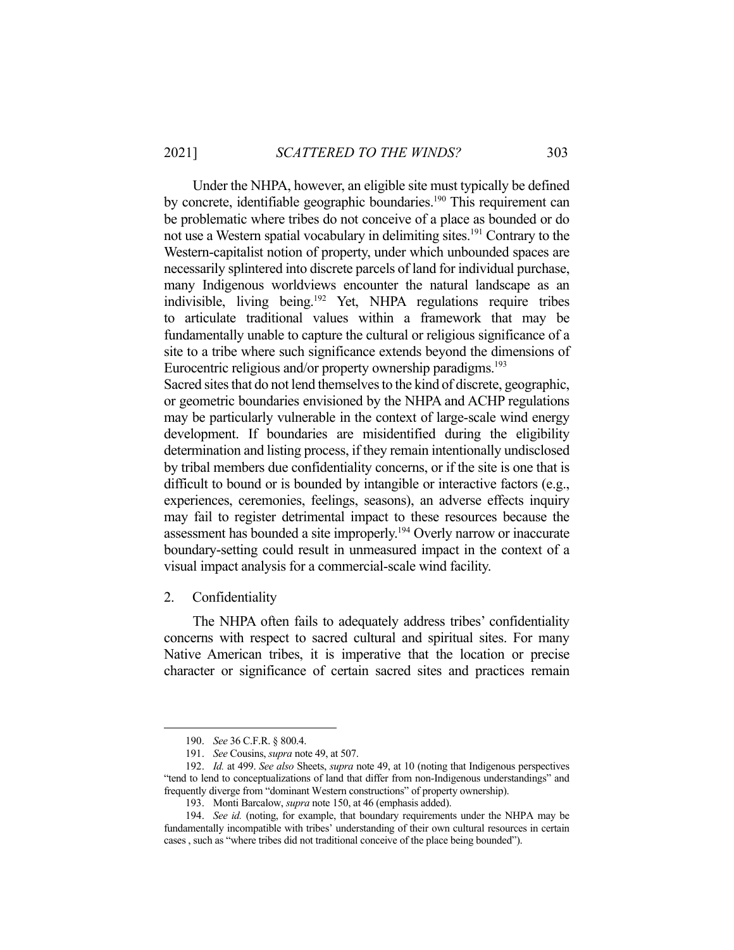Under the NHPA, however, an eligible site must typically be defined by concrete, identifiable geographic boundaries.<sup>190</sup> This requirement can be problematic where tribes do not conceive of a place as bounded or do not use a Western spatial vocabulary in delimiting sites.<sup>191</sup> Contrary to the Western-capitalist notion of property, under which unbounded spaces are necessarily splintered into discrete parcels of land for individual purchase, many Indigenous worldviews encounter the natural landscape as an indivisible, living being.<sup>192</sup> Yet, NHPA regulations require tribes to articulate traditional values within a framework that may be fundamentally unable to capture the cultural or religious significance of a site to a tribe where such significance extends beyond the dimensions of Eurocentric religious and/or property ownership paradigms.<sup>193</sup>

Sacred sites that do not lend themselves to the kind of discrete, geographic, or geometric boundaries envisioned by the NHPA and ACHP regulations may be particularly vulnerable in the context of large-scale wind energy development. If boundaries are misidentified during the eligibility determination and listing process, if they remain intentionally undisclosed by tribal members due confidentiality concerns, or if the site is one that is difficult to bound or is bounded by intangible or interactive factors (e.g., experiences, ceremonies, feelings, seasons), an adverse effects inquiry may fail to register detrimental impact to these resources because the assessment has bounded a site improperly.<sup>194</sup> Overly narrow or inaccurate boundary-setting could result in unmeasured impact in the context of a visual impact analysis for a commercial-scale wind facility.

2. Confidentiality

 The NHPA often fails to adequately address tribes' confidentiality concerns with respect to sacred cultural and spiritual sites. For many Native American tribes, it is imperative that the location or precise character or significance of certain sacred sites and practices remain

 <sup>190.</sup> *See* 36 C.F.R. § 800.4.

 <sup>191.</sup> *See* Cousins, *supra* note 49, at 507.

 <sup>192.</sup> *Id.* at 499. *See also* Sheets, *supra* note 49, at 10 (noting that Indigenous perspectives "tend to lend to conceptualizations of land that differ from non-Indigenous understandings" and frequently diverge from "dominant Western constructions" of property ownership).

 <sup>193.</sup> Monti Barcalow, *supra* note 150, at 46 (emphasis added).

 <sup>194.</sup> *See id.* (noting, for example, that boundary requirements under the NHPA may be fundamentally incompatible with tribes' understanding of their own cultural resources in certain cases , such as "where tribes did not traditional conceive of the place being bounded").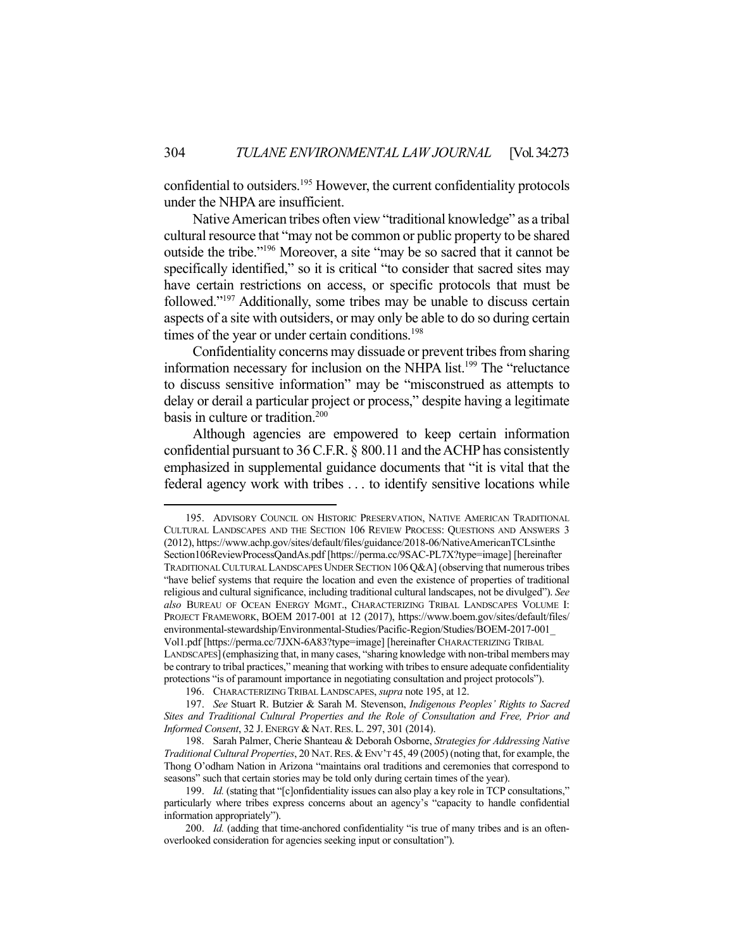confidential to outsiders.195 However, the current confidentiality protocols under the NHPA are insufficient.

 Native American tribes often view "traditional knowledge" as a tribal cultural resource that "may not be common or public property to be shared outside the tribe."196 Moreover, a site "may be so sacred that it cannot be specifically identified," so it is critical "to consider that sacred sites may have certain restrictions on access, or specific protocols that must be followed."197 Additionally, some tribes may be unable to discuss certain aspects of a site with outsiders, or may only be able to do so during certain times of the year or under certain conditions.<sup>198</sup>

 Confidentiality concerns may dissuade or prevent tribes from sharing information necessary for inclusion on the NHPA list.<sup>199</sup> The "reluctance" to discuss sensitive information" may be "misconstrued as attempts to delay or derail a particular project or process," despite having a legitimate basis in culture or tradition.<sup>200</sup>

 Although agencies are empowered to keep certain information confidential pursuant to 36 C.F.R. § 800.11 and the ACHP has consistently emphasized in supplemental guidance documents that "it is vital that the federal agency work with tribes . . . to identify sensitive locations while

 195. ADVISORY COUNCIL ON HISTORIC PRESERVATION, NATIVE AMERICAN TRADITIONAL CULTURAL LANDSCAPES AND THE SECTION 106 REVIEW PROCESS: QUESTIONS AND ANSWERS 3 (2012), https://www.achp.gov/sites/default/files/guidance/2018-06/NativeAmericanTCLsinthe Section106ReviewProcessQandAs.pdf [https://perma.cc/9SAC-PL7X?type=image] [hereinafter TRADITIONAL CULTURAL LANDSCAPES UNDER SECTION 106Q&A] (observing that numerous tribes "have belief systems that require the location and even the existence of properties of traditional religious and cultural significance, including traditional cultural landscapes, not be divulged"). *See also* BUREAU OF OCEAN ENERGY MGMT., CHARACTERIZING TRIBAL LANDSCAPES VOLUME I: PROJECT FRAMEWORK, BOEM 2017-001 at 12 (2017), https://www.boem.gov/sites/default/files/ environmental-stewardship/Environmental-Studies/Pacific-Region/Studies/BOEM-2017-001\_ Vol1.pdf [https://perma.cc/7JXN-6A83?type=image] [hereinafter CHARACTERIZING TRIBAL LANDSCAPES](emphasizing that, in many cases, "sharing knowledge with non-tribal members may be contrary to tribal practices," meaning that working with tribes to ensure adequate confidentiality protections "is of paramount importance in negotiating consultation and project protocols").

 <sup>196.</sup> CHARACTERIZING TRIBAL LANDSCAPES, *supra* note 195, at 12.

 <sup>197.</sup> *See* Stuart R. Butzier & Sarah M. Stevenson, *Indigenous Peoples' Rights to Sacred Sites and Traditional Cultural Properties and the Role of Consultation and Free, Prior and Informed Consent*, 32 J. ENERGY & NAT.RES. L. 297, 301 (2014).

 <sup>198.</sup> Sarah Palmer, Cherie Shanteau & Deborah Osborne, *Strategies for Addressing Native Traditional Cultural Properties*, 20 NAT.RES.&ENV'T 45, 49 (2005) (noting that, for example, the Thong O'odham Nation in Arizona "maintains oral traditions and ceremonies that correspond to seasons" such that certain stories may be told only during certain times of the year).

 <sup>199.</sup> *Id.* (stating that "[c]onfidentiality issues can also play a key role in TCP consultations," particularly where tribes express concerns about an agency's "capacity to handle confidential information appropriately").

 <sup>200.</sup> *Id.* (adding that time-anchored confidentiality "is true of many tribes and is an oftenoverlooked consideration for agencies seeking input or consultation").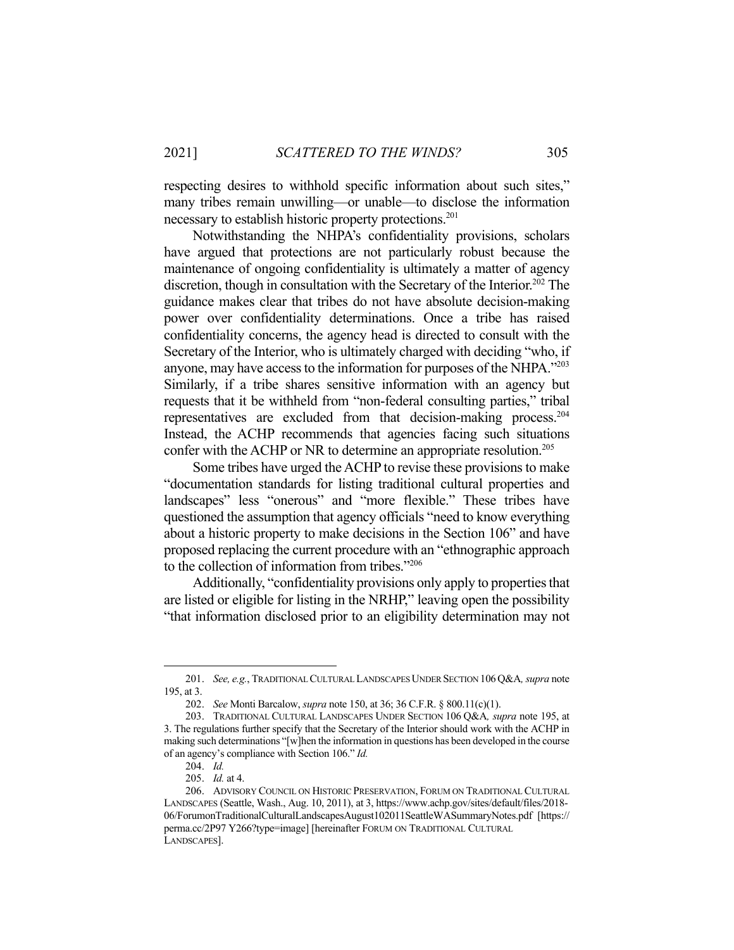respecting desires to withhold specific information about such sites," many tribes remain unwilling—or unable—to disclose the information necessary to establish historic property protections.<sup>201</sup>

 Notwithstanding the NHPA's confidentiality provisions, scholars have argued that protections are not particularly robust because the maintenance of ongoing confidentiality is ultimately a matter of agency discretion, though in consultation with the Secretary of the Interior.<sup>202</sup> The guidance makes clear that tribes do not have absolute decision-making power over confidentiality determinations. Once a tribe has raised confidentiality concerns, the agency head is directed to consult with the Secretary of the Interior, who is ultimately charged with deciding "who, if anyone, may have access to the information for purposes of the NHPA."203 Similarly, if a tribe shares sensitive information with an agency but requests that it be withheld from "non-federal consulting parties," tribal representatives are excluded from that decision-making process.204 Instead, the ACHP recommends that agencies facing such situations confer with the ACHP or NR to determine an appropriate resolution.<sup>205</sup>

 Some tribes have urged the ACHP to revise these provisions to make "documentation standards for listing traditional cultural properties and landscapes" less "onerous" and "more flexible." These tribes have questioned the assumption that agency officials "need to know everything about a historic property to make decisions in the Section 106" and have proposed replacing the current procedure with an "ethnographic approach to the collection of information from tribes."206

 Additionally, "confidentiality provisions only apply to properties that are listed or eligible for listing in the NRHP," leaving open the possibility "that information disclosed prior to an eligibility determination may not

 <sup>201.</sup> *See, e.g.*, TRADITIONAL CULTURAL LANDSCAPES UNDER SECTION 106Q&A*, supra* note 195, at 3.

 <sup>202.</sup> *See* Monti Barcalow, *supra* note 150, at 36; 36 C.F.R. § 800.11(c)(1).

 <sup>203.</sup> TRADITIONAL CULTURAL LANDSCAPES UNDER SECTION 106 Q&A*, supra* note 195, at 3. The regulations further specify that the Secretary of the Interior should work with the ACHP in making such determinations "[w]hen the information in questions has been developed in the course of an agency's compliance with Section 106." *Id.*

 <sup>204.</sup> *Id.*

 <sup>205.</sup> *Id.* at 4.

 <sup>206.</sup> ADVISORY COUNCIL ON HISTORIC PRESERVATION, FORUM ON TRADITIONAL CULTURAL LANDSCAPES (Seattle, Wash., Aug. 10, 2011), at 3, https://www.achp.gov/sites/default/files/2018- 06/ForumonTraditionalCulturalLandscapesAugust102011SeattleWASummaryNotes.pdf [https:// perma.cc/2P97 Y266?type=image] [hereinafter FORUM ON TRADITIONAL CULTURAL LANDSCAPES].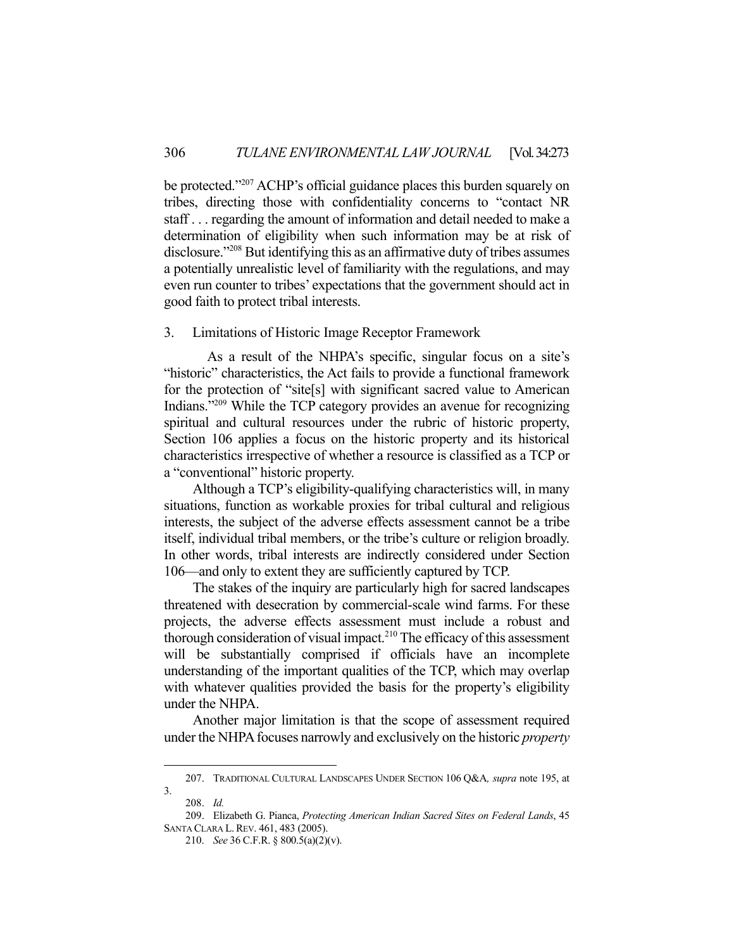be protected."207 ACHP's official guidance places this burden squarely on tribes, directing those with confidentiality concerns to "contact NR staff . . . regarding the amount of information and detail needed to make a determination of eligibility when such information may be at risk of disclosure."208 But identifying this as an affirmative duty of tribes assumes a potentially unrealistic level of familiarity with the regulations, and may even run counter to tribes' expectations that the government should act in good faith to protect tribal interests.

## 3. Limitations of Historic Image Receptor Framework

 As a result of the NHPA's specific, singular focus on a site's "historic" characteristics, the Act fails to provide a functional framework for the protection of "site[s] with significant sacred value to American Indians."209 While the TCP category provides an avenue for recognizing spiritual and cultural resources under the rubric of historic property, Section 106 applies a focus on the historic property and its historical characteristics irrespective of whether a resource is classified as a TCP or a "conventional" historic property.

 Although a TCP's eligibility-qualifying characteristics will, in many situations, function as workable proxies for tribal cultural and religious interests, the subject of the adverse effects assessment cannot be a tribe itself, individual tribal members, or the tribe's culture or religion broadly. In other words, tribal interests are indirectly considered under Section 106—and only to extent they are sufficiently captured by TCP.

 The stakes of the inquiry are particularly high for sacred landscapes threatened with desecration by commercial-scale wind farms. For these projects, the adverse effects assessment must include a robust and thorough consideration of visual impact.<sup>210</sup> The efficacy of this assessment will be substantially comprised if officials have an incomplete understanding of the important qualities of the TCP, which may overlap with whatever qualities provided the basis for the property's eligibility under the NHPA.

 Another major limitation is that the scope of assessment required under the NHPA focuses narrowly and exclusively on the historic *property* 

 <sup>207.</sup> TRADITIONAL CULTURAL LANDSCAPES UNDER SECTION 106 Q&A*, supra* note 195, at 3.

 <sup>208.</sup> *Id.*

 <sup>209.</sup> Elizabeth G. Pianca, *Protecting American Indian Sacred Sites on Federal Lands*, 45 SANTA CLARA L.REV. 461, 483 (2005).

 <sup>210.</sup> *See* 36 C.F.R. § 800.5(a)(2)(v).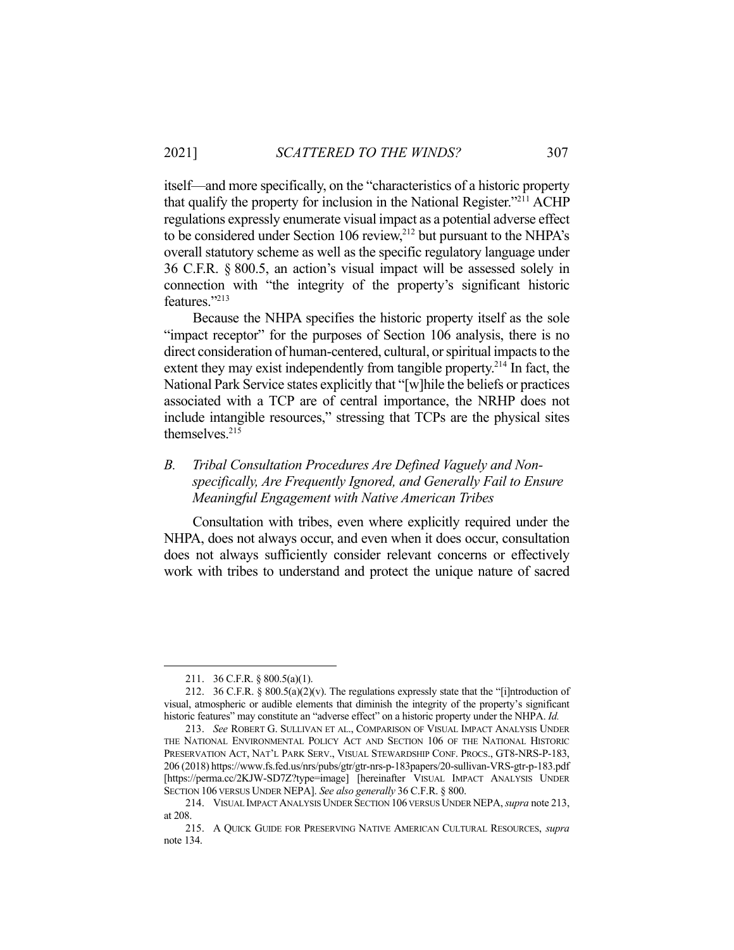itself—and more specifically, on the "characteristics of a historic property that qualify the property for inclusion in the National Register."211 ACHP regulations expressly enumerate visual impact as a potential adverse effect to be considered under Section 106 review, $^{212}$  but pursuant to the NHPA's overall statutory scheme as well as the specific regulatory language under 36 C.F.R. § 800.5, an action's visual impact will be assessed solely in connection with "the integrity of the property's significant historic features."213

 Because the NHPA specifies the historic property itself as the sole "impact receptor" for the purposes of Section 106 analysis, there is no direct consideration of human-centered, cultural, or spiritual impacts to the extent they may exist independently from tangible property.<sup>214</sup> In fact, the National Park Service states explicitly that "[w]hile the beliefs or practices associated with a TCP are of central importance, the NRHP does not include intangible resources," stressing that TCPs are the physical sites themselves.<sup>215</sup>

# *B. Tribal Consultation Procedures Are Defined Vaguely and Nonspecifically, Are Frequently Ignored, and Generally Fail to Ensure Meaningful Engagement with Native American Tribes*

 Consultation with tribes, even where explicitly required under the NHPA, does not always occur, and even when it does occur, consultation does not always sufficiently consider relevant concerns or effectively work with tribes to understand and protect the unique nature of sacred

 <sup>211. 36</sup> C.F.R. § 800.5(a)(1).

 <sup>212. 36</sup> C.F.R. § 800.5(a)(2)(v). The regulations expressly state that the "[i]ntroduction of visual, atmospheric or audible elements that diminish the integrity of the property's significant historic features" may constitute an "adverse effect" on a historic property under the NHPA. *Id.* 

 <sup>213.</sup> *See* ROBERT G. SULLIVAN ET AL., COMPARISON OF VISUAL IMPACT ANALYSIS UNDER THE NATIONAL ENVIRONMENTAL POLICY ACT AND SECTION 106 OF THE NATIONAL HISTORIC PRESERVATION ACT, NAT'L PARK SERV., VISUAL STEWARDSHIP CONF. PROCS., GT8-NRS-P-183, 206 (2018) https://www.fs.fed.us/nrs/pubs/gtr/gtr-nrs-p-183papers/20-sullivan-VRS-gtr-p-183.pdf [https://perma.cc/2KJW-SD7Z?type=image] [hereinafter VISUAL IMPACT ANALYSIS UNDER SECTION 106 VERSUS UNDER NEPA]. *See also generally* 36 C.F.R. § 800.

 <sup>214.</sup> VISUAL IMPACT ANALYSIS UNDER SECTION 106 VERSUS UNDER NEPA, *supra* note 213, at 208.

 <sup>215.</sup> A QUICK GUIDE FOR PRESERVING NATIVE AMERICAN CULTURAL RESOURCES, *supra*  note 134.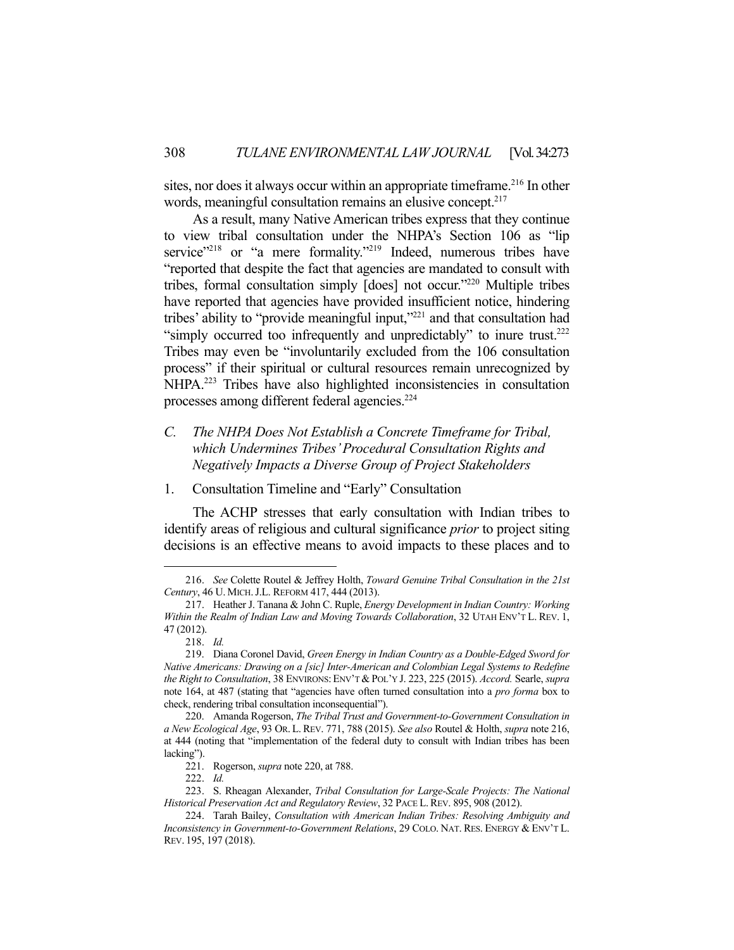sites, nor does it always occur within an appropriate timeframe. 216 In other words, meaningful consultation remains an elusive concept.<sup>217</sup>

 As a result, many Native American tribes express that they continue to view tribal consultation under the NHPA's Section 106 as "lip service"<sup>218</sup> or "a mere formality."<sup>219</sup> Indeed, numerous tribes have "reported that despite the fact that agencies are mandated to consult with tribes, formal consultation simply [does] not occur."220 Multiple tribes have reported that agencies have provided insufficient notice, hindering tribes' ability to "provide meaningful input,"221 and that consultation had "simply occurred too infrequently and unpredictably" to inure trust.<sup>222</sup> Tribes may even be "involuntarily excluded from the 106 consultation process" if their spiritual or cultural resources remain unrecognized by NHPA.<sup>223</sup> Tribes have also highlighted inconsistencies in consultation processes among different federal agencies.<sup>224</sup>

# *C. The NHPA Does Not Establish a Concrete Timeframe for Tribal, which Undermines Tribes' Procedural Consultation Rights and Negatively Impacts a Diverse Group of Project Stakeholders*

1. Consultation Timeline and "Early" Consultation

 The ACHP stresses that early consultation with Indian tribes to identify areas of religious and cultural significance *prior* to project siting decisions is an effective means to avoid impacts to these places and to

 <sup>216.</sup> *See* Colette Routel & Jeffrey Holth, *Toward Genuine Tribal Consultation in the 21st Century*, 46 U. MICH.J.L. REFORM 417, 444 (2013).

 <sup>217.</sup> Heather J. Tanana & John C. Ruple, *Energy Development in Indian Country: Working Within the Realm of Indian Law and Moving Towards Collaboration*, 32 UTAH ENV'T L. REV. 1, 47 (2012).

 <sup>218.</sup> *Id.*

 <sup>219.</sup> Diana Coronel David, *Green Energy in Indian Country as a Double-Edged Sword for Native Americans: Drawing on a [sic] Inter-American and Colombian Legal Systems to Redefine the Right to Consultation*, 38 ENVIRONS: ENV'T & POL'Y J. 223, 225 (2015). *Accord.* Searle, *supra*  note 164, at 487 (stating that "agencies have often turned consultation into a *pro forma* box to check, rendering tribal consultation inconsequential").

 <sup>220.</sup> Amanda Rogerson, *The Tribal Trust and Government-to-Government Consultation in a New Ecological Age*, 93 OR. L. REV. 771, 788 (2015). *See also* Routel & Holth, *supra* note 216, at 444 (noting that "implementation of the federal duty to consult with Indian tribes has been lacking").

 <sup>221.</sup> Rogerson, *supra* note 220, at 788.

 <sup>222.</sup> *Id.*

 <sup>223.</sup> S. Rheagan Alexander, *Tribal Consultation for Large-Scale Projects: The National Historical Preservation Act and Regulatory Review*, 32 PACE L.REV. 895, 908 (2012).

 <sup>224.</sup> Tarah Bailey, *Consultation with American Indian Tribes: Resolving Ambiguity and Inconsistency in Government-to-Government Relations*, 29 COLO. NAT. RES. ENERGY & ENV'T L. REV. 195, 197 (2018).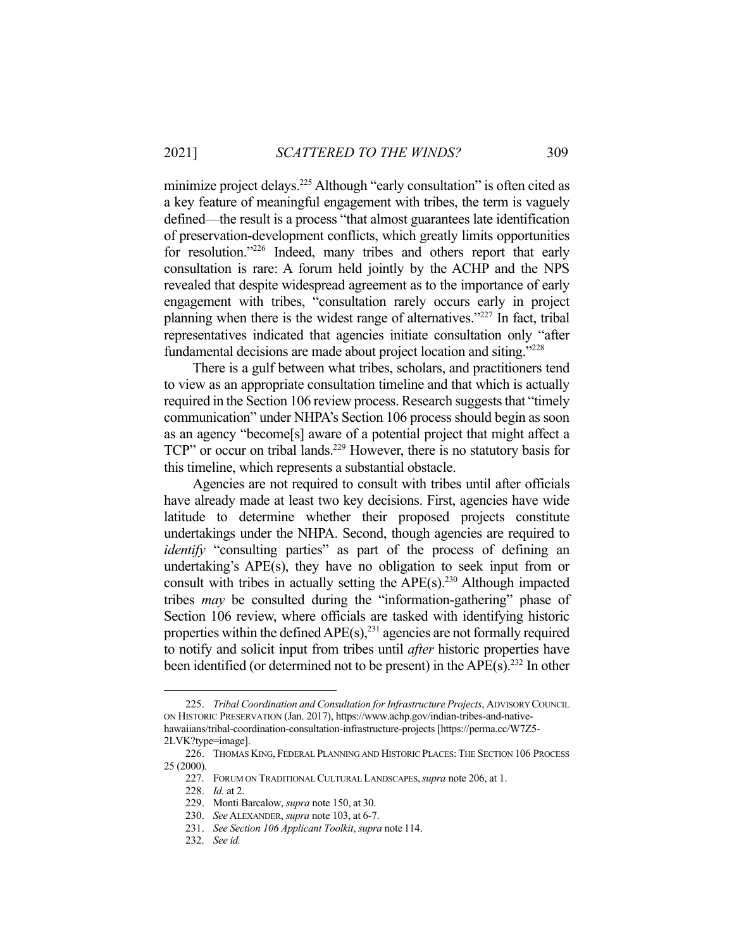minimize project delays.<sup>225</sup> Although "early consultation" is often cited as a key feature of meaningful engagement with tribes, the term is vaguely defined—the result is a process "that almost guarantees late identification of preservation-development conflicts, which greatly limits opportunities for resolution."<sup>226</sup> Indeed, many tribes and others report that early consultation is rare: A forum held jointly by the ACHP and the NPS revealed that despite widespread agreement as to the importance of early engagement with tribes, "consultation rarely occurs early in project planning when there is the widest range of alternatives."227 In fact, tribal representatives indicated that agencies initiate consultation only "after fundamental decisions are made about project location and siting."228

 There is a gulf between what tribes, scholars, and practitioners tend to view as an appropriate consultation timeline and that which is actually required in the Section 106 review process. Research suggests that "timely communication" under NHPA's Section 106 process should begin as soon as an agency "become[s] aware of a potential project that might affect a TCP" or occur on tribal lands.<sup>229</sup> However, there is no statutory basis for this timeline, which represents a substantial obstacle.

 Agencies are not required to consult with tribes until after officials have already made at least two key decisions. First, agencies have wide latitude to determine whether their proposed projects constitute undertakings under the NHPA. Second, though agencies are required to *identify* "consulting parties" as part of the process of defining an undertaking's APE(s), they have no obligation to seek input from or consult with tribes in actually setting the  $\text{APE}(s)$ .<sup>230</sup> Although impacted tribes *may* be consulted during the "information-gathering" phase of Section 106 review, where officials are tasked with identifying historic properties within the defined  $APE(s)$ ,<sup>231</sup> agencies are not formally required to notify and solicit input from tribes until *after* historic properties have been identified (or determined not to be present) in the APE(s). 232 In other

 <sup>225.</sup> *Tribal Coordination and Consultation for Infrastructure Projects*, ADVISORY COUNCIL ON HISTORIC PRESERVATION (Jan. 2017), https://www.achp.gov/indian-tribes-and-nativehawaiians/tribal-coordination-consultation-infrastructure-projects [https://perma.cc/W7Z5-

<sup>2</sup>LVK?type=image].

 <sup>226.</sup> THOMAS KING, FEDERAL PLANNING AND HISTORIC PLACES: THE SECTION 106 PROCESS 25 (2000).

 <sup>227.</sup> FORUM ON TRADITIONAL CULTURAL LANDSCAPES,*supra* note 206, at 1.

 <sup>228.</sup> *Id.* at 2.

 <sup>229.</sup> Monti Barcalow, *supra* note 150, at 30.

 <sup>230.</sup> *See* ALEXANDER, *supra* note 103, at 6-7.

 <sup>231.</sup> *See Section 106 Applicant Toolkit*, *supra* note 114.

 <sup>232.</sup> *See id.*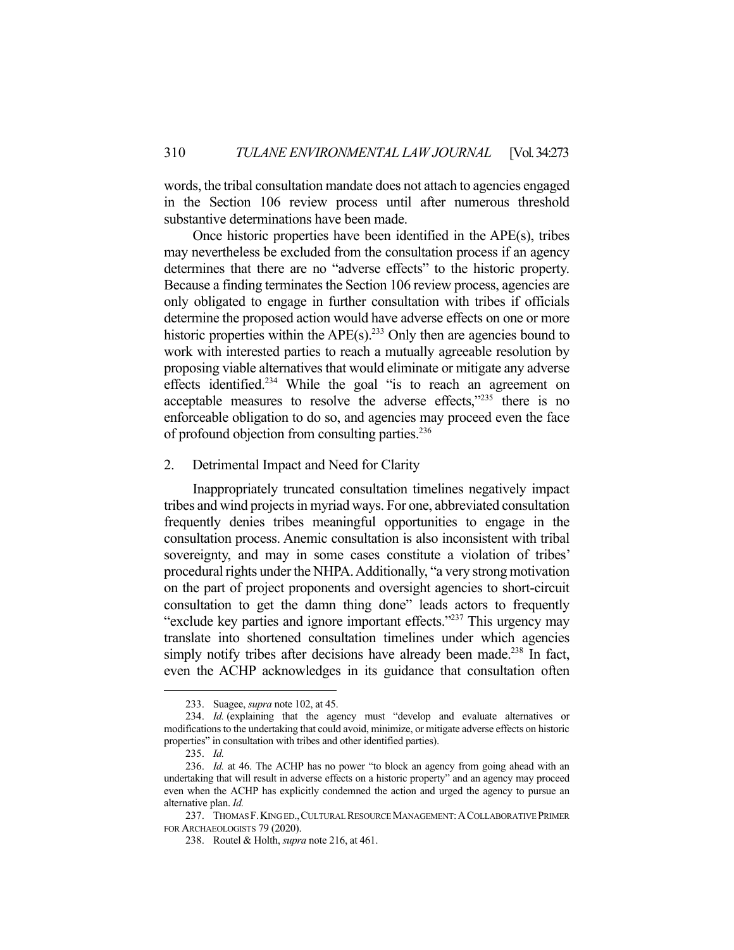words, the tribal consultation mandate does not attach to agencies engaged in the Section 106 review process until after numerous threshold substantive determinations have been made.

 Once historic properties have been identified in the APE(s), tribes may nevertheless be excluded from the consultation process if an agency determines that there are no "adverse effects" to the historic property. Because a finding terminates the Section 106 review process, agencies are only obligated to engage in further consultation with tribes if officials determine the proposed action would have adverse effects on one or more historic properties within the  $APE(s)$ .<sup>233</sup> Only then are agencies bound to work with interested parties to reach a mutually agreeable resolution by proposing viable alternatives that would eliminate or mitigate any adverse effects identified.<sup>234</sup> While the goal "is to reach an agreement on acceptable measures to resolve the adverse effects, $v^{235}$  there is no enforceable obligation to do so, and agencies may proceed even the face of profound objection from consulting parties.<sup>236</sup>

2. Detrimental Impact and Need for Clarity

 Inappropriately truncated consultation timelines negatively impact tribes and wind projects in myriad ways. For one, abbreviated consultation frequently denies tribes meaningful opportunities to engage in the consultation process. Anemic consultation is also inconsistent with tribal sovereignty, and may in some cases constitute a violation of tribes' procedural rights under the NHPA. Additionally, "a very strong motivation on the part of project proponents and oversight agencies to short-circuit consultation to get the damn thing done" leads actors to frequently "exclude key parties and ignore important effects."237 This urgency may translate into shortened consultation timelines under which agencies simply notify tribes after decisions have already been made.<sup>238</sup> In fact, even the ACHP acknowledges in its guidance that consultation often

 <sup>233.</sup> Suagee, *supra* note 102, at 45.

 <sup>234.</sup> *Id.* (explaining that the agency must "develop and evaluate alternatives or modifications to the undertaking that could avoid, minimize, or mitigate adverse effects on historic properties" in consultation with tribes and other identified parties).

 <sup>235.</sup> *Id.*

 <sup>236.</sup> *Id.* at 46. The ACHP has no power "to block an agency from going ahead with an undertaking that will result in adverse effects on a historic property" and an agency may proceed even when the ACHP has explicitly condemned the action and urged the agency to pursue an alternative plan. *Id.*

 <sup>237.</sup> THOMAS F.KING ED.,CULTURAL RESOURCE MANAGEMENT:ACOLLABORATIVE PRIMER FOR ARCHAEOLOGISTS 79 (2020).

 <sup>238.</sup> Routel & Holth, *supra* note 216, at 461.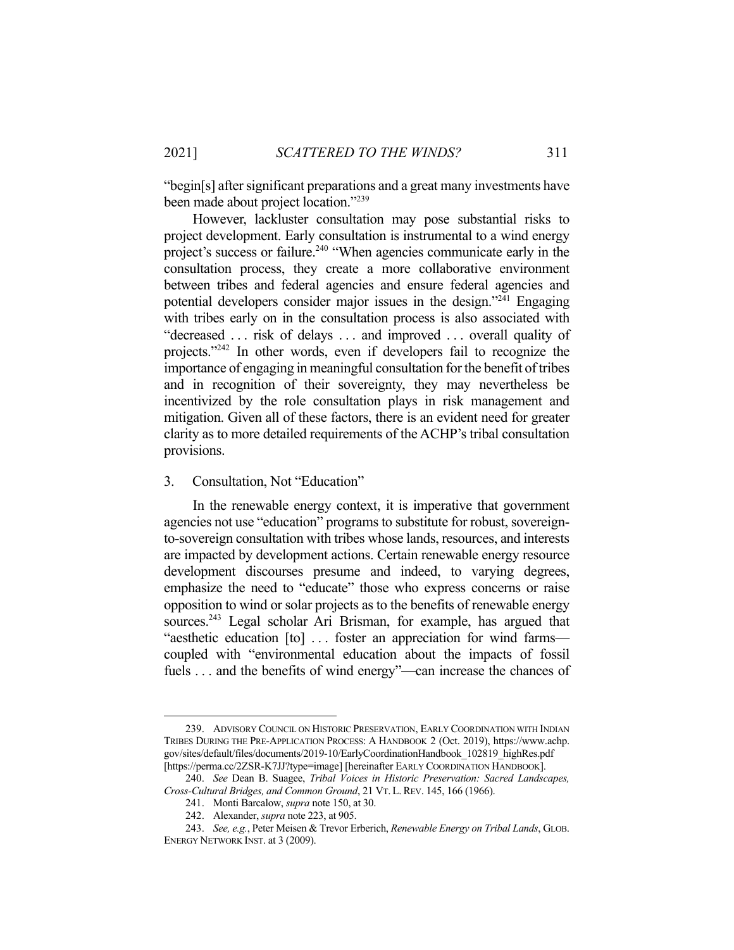"begin[s] after significant preparations and a great many investments have been made about project location."<sup>239</sup>

 However, lackluster consultation may pose substantial risks to project development. Early consultation is instrumental to a wind energy project's success or failure.<sup>240</sup> "When agencies communicate early in the consultation process, they create a more collaborative environment between tribes and federal agencies and ensure federal agencies and potential developers consider major issues in the design."241 Engaging with tribes early on in the consultation process is also associated with "decreased . . . risk of delays . . . and improved . . . overall quality of projects."242 In other words, even if developers fail to recognize the importance of engaging in meaningful consultation for the benefit of tribes and in recognition of their sovereignty, they may nevertheless be incentivized by the role consultation plays in risk management and mitigation. Given all of these factors, there is an evident need for greater clarity as to more detailed requirements of the ACHP's tribal consultation provisions.

## 3. Consultation, Not "Education"

 In the renewable energy context, it is imperative that government agencies not use "education" programs to substitute for robust, sovereignto-sovereign consultation with tribes whose lands, resources, and interests are impacted by development actions. Certain renewable energy resource development discourses presume and indeed, to varying degrees, emphasize the need to "educate" those who express concerns or raise opposition to wind or solar projects as to the benefits of renewable energy sources.<sup>243</sup> Legal scholar Ari Brisman, for example, has argued that "aesthetic education [to] ... foster an appreciation for wind farms coupled with "environmental education about the impacts of fossil fuels . . . and the benefits of wind energy"—can increase the chances of

 <sup>239.</sup> ADVISORY COUNCIL ON HISTORIC PRESERVATION, EARLY COORDINATION WITH INDIAN TRIBES DURING THE PRE-APPLICATION PROCESS: A HANDBOOK 2 (Oct. 2019), https://www.achp. gov/sites/default/files/documents/2019-10/EarlyCoordinationHandbook\_102819\_highRes.pdf [https://perma.cc/2ZSR-K7JJ?type=image] [hereinafter EARLY COORDINATION HANDBOOK].

 <sup>240.</sup> *See* Dean B. Suagee, *Tribal Voices in Historic Preservation: Sacred Landscapes, Cross-Cultural Bridges, and Common Ground*, 21 VT. L. REV. 145, 166 (1966).

 <sup>241.</sup> Monti Barcalow, *supra* note 150, at 30.

 <sup>242.</sup> Alexander, *supra* note 223, at 905.

 <sup>243.</sup> *See, e.g.*, Peter Meisen & Trevor Erberich, *Renewable Energy on Tribal Lands*, GLOB. ENERGY NETWORK INST. at 3 (2009).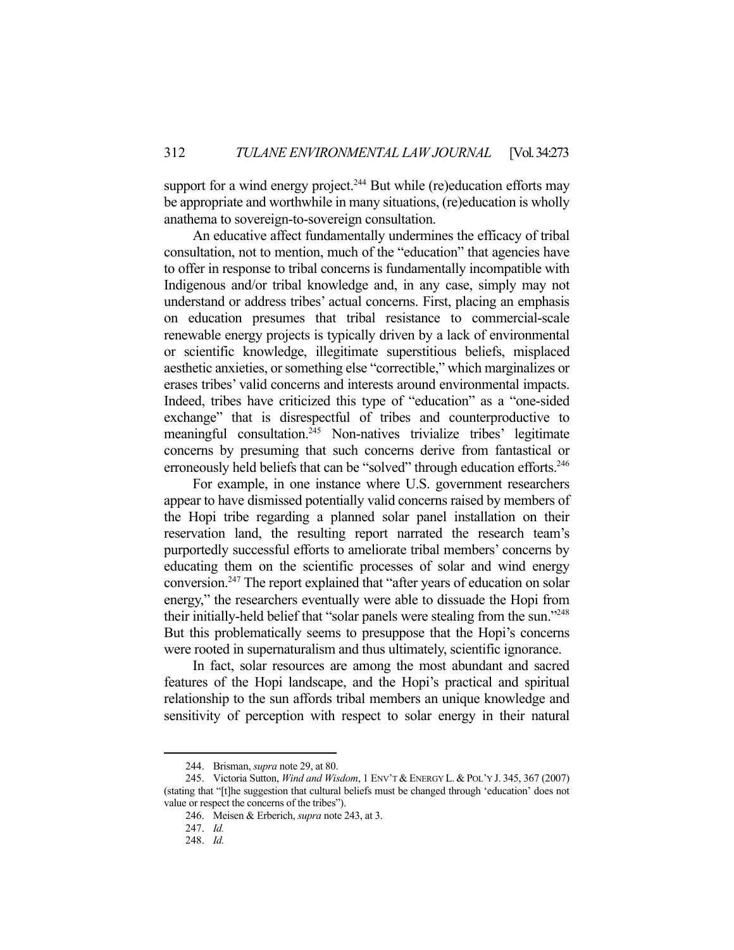support for a wind energy project.<sup>244</sup> But while (re)education efforts may be appropriate and worthwhile in many situations, (re)education is wholly anathema to sovereign-to-sovereign consultation.

 An educative affect fundamentally undermines the efficacy of tribal consultation, not to mention, much of the "education" that agencies have to offer in response to tribal concerns is fundamentally incompatible with Indigenous and/or tribal knowledge and, in any case, simply may not understand or address tribes' actual concerns. First, placing an emphasis on education presumes that tribal resistance to commercial-scale renewable energy projects is typically driven by a lack of environmental or scientific knowledge, illegitimate superstitious beliefs, misplaced aesthetic anxieties, or something else "correctible," which marginalizes or erases tribes' valid concerns and interests around environmental impacts. Indeed, tribes have criticized this type of "education" as a "one-sided exchange" that is disrespectful of tribes and counterproductive to meaningful consultation.<sup>245</sup> Non-natives trivialize tribes' legitimate concerns by presuming that such concerns derive from fantastical or erroneously held beliefs that can be "solved" through education efforts.<sup>246</sup>

 For example, in one instance where U.S. government researchers appear to have dismissed potentially valid concerns raised by members of the Hopi tribe regarding a planned solar panel installation on their reservation land, the resulting report narrated the research team's purportedly successful efforts to ameliorate tribal members' concerns by educating them on the scientific processes of solar and wind energy conversion.247 The report explained that "after years of education on solar energy," the researchers eventually were able to dissuade the Hopi from their initially-held belief that "solar panels were stealing from the sun."248 But this problematically seems to presuppose that the Hopi's concerns were rooted in supernaturalism and thus ultimately, scientific ignorance.

 In fact, solar resources are among the most abundant and sacred features of the Hopi landscape, and the Hopi's practical and spiritual relationship to the sun affords tribal members an unique knowledge and sensitivity of perception with respect to solar energy in their natural

 <sup>244.</sup> Brisman, *supra* note 29, at 80.

 <sup>245.</sup> Victoria Sutton, *Wind and Wisdom*, 1 ENV'T & ENERGY L. & POL'Y J. 345, 367 (2007) (stating that "[t]he suggestion that cultural beliefs must be changed through 'education' does not value or respect the concerns of the tribes").

 <sup>246.</sup> Meisen & Erberich, *supra* note 243, at 3.

 <sup>247.</sup> *Id.*

 <sup>248.</sup> *Id.*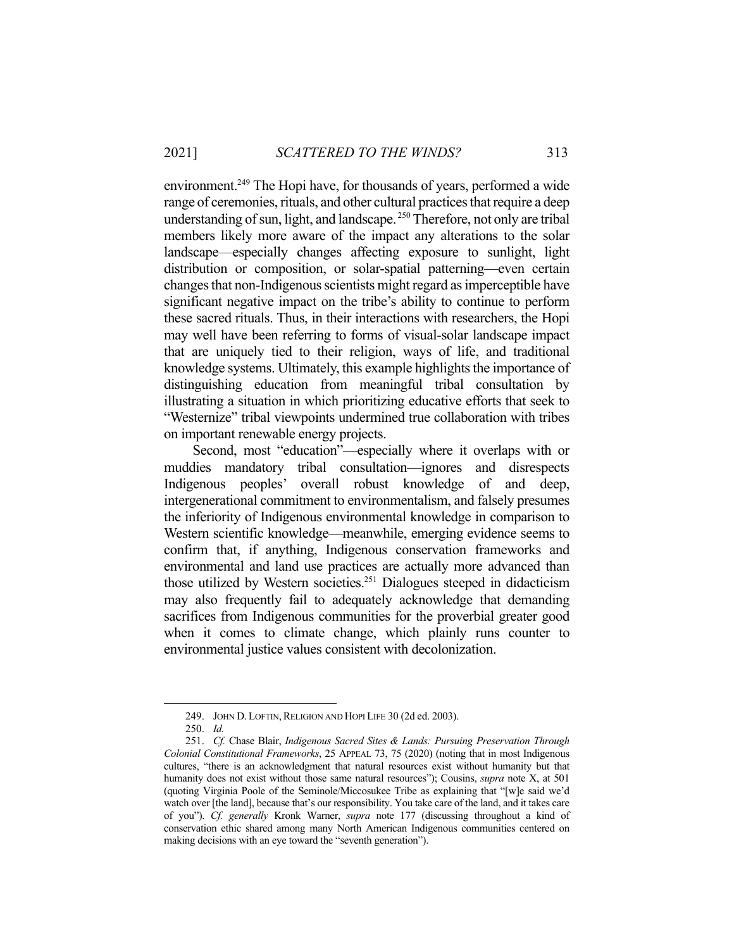environment.<sup>249</sup> The Hopi have, for thousands of years, performed a wide range of ceremonies, rituals, and other cultural practices that require a deep understanding of sun, light, and landscape.<sup>250</sup> Therefore, not only are tribal members likely more aware of the impact any alterations to the solar landscape—especially changes affecting exposure to sunlight, light distribution or composition, or solar-spatial patterning—even certain changes that non-Indigenous scientists might regard as imperceptible have significant negative impact on the tribe's ability to continue to perform these sacred rituals. Thus, in their interactions with researchers, the Hopi may well have been referring to forms of visual-solar landscape impact that are uniquely tied to their religion, ways of life, and traditional knowledge systems. Ultimately, this example highlights the importance of distinguishing education from meaningful tribal consultation by illustrating a situation in which prioritizing educative efforts that seek to "Westernize" tribal viewpoints undermined true collaboration with tribes on important renewable energy projects.

 Second, most "education"—especially where it overlaps with or muddies mandatory tribal consultation—ignores and disrespects Indigenous peoples' overall robust knowledge of and deep, intergenerational commitment to environmentalism, and falsely presumes the inferiority of Indigenous environmental knowledge in comparison to Western scientific knowledge—meanwhile, emerging evidence seems to confirm that, if anything, Indigenous conservation frameworks and environmental and land use practices are actually more advanced than those utilized by Western societies.251 Dialogues steeped in didacticism may also frequently fail to adequately acknowledge that demanding sacrifices from Indigenous communities for the proverbial greater good when it comes to climate change, which plainly runs counter to environmental justice values consistent with decolonization.

<sup>249.</sup> JOHN D. LOFTIN, RELIGION AND HOPI LIFE 30 (2d ed. 2003).

 <sup>250.</sup> *Id.*

 <sup>251.</sup> *Cf.* Chase Blair, *Indigenous Sacred Sites & Lands: Pursuing Preservation Through Colonial Constitutional Frameworks*, 25 APPEAL 73, 75 (2020) (noting that in most Indigenous cultures, "there is an acknowledgment that natural resources exist without humanity but that humanity does not exist without those same natural resources"); Cousins, *supra* note X, at 501 (quoting Virginia Poole of the Seminole/Miccosukee Tribe as explaining that "[w]e said we'd watch over [the land], because that's our responsibility. You take care of the land, and it takes care of you"). *Cf. generally* Kronk Warner, *supra* note 177 (discussing throughout a kind of conservation ethic shared among many North American Indigenous communities centered on making decisions with an eye toward the "seventh generation").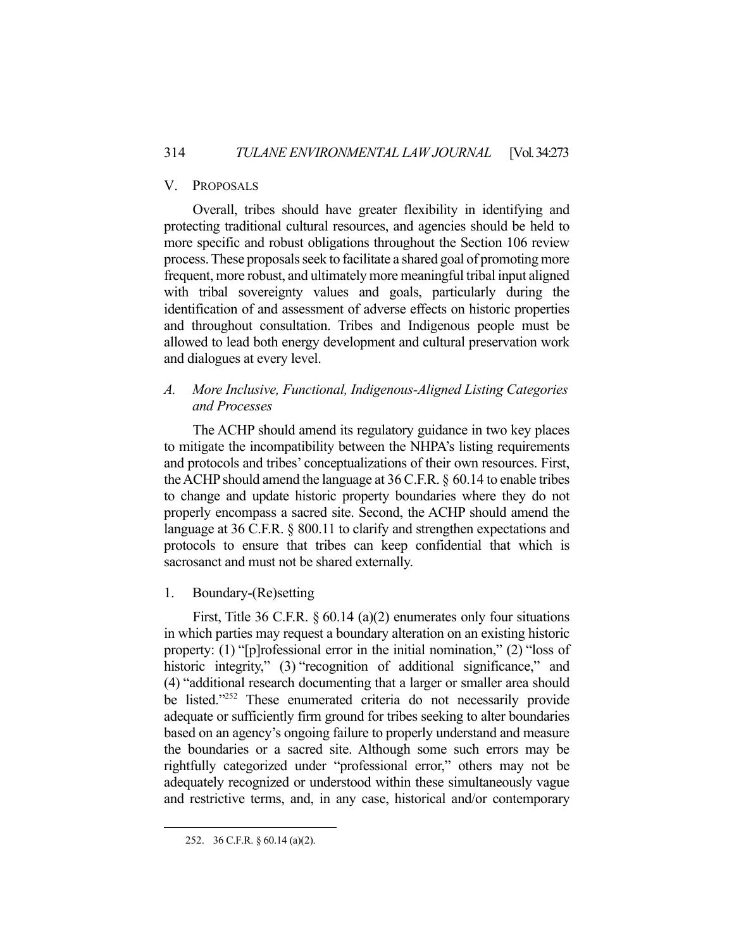## V. PROPOSALS

 Overall, tribes should have greater flexibility in identifying and protecting traditional cultural resources, and agencies should be held to more specific and robust obligations throughout the Section 106 review process. These proposals seek to facilitate a shared goal of promoting more frequent, more robust, and ultimately more meaningful tribal input aligned with tribal sovereignty values and goals, particularly during the identification of and assessment of adverse effects on historic properties and throughout consultation. Tribes and Indigenous people must be allowed to lead both energy development and cultural preservation work and dialogues at every level.

# *A. More Inclusive, Functional, Indigenous-Aligned Listing Categories and Processes*

 The ACHP should amend its regulatory guidance in two key places to mitigate the incompatibility between the NHPA's listing requirements and protocols and tribes' conceptualizations of their own resources. First, the ACHP should amend the language at 36 C.F.R. § 60.14 to enable tribes to change and update historic property boundaries where they do not properly encompass a sacred site. Second, the ACHP should amend the language at 36 C.F.R. § 800.11 to clarify and strengthen expectations and protocols to ensure that tribes can keep confidential that which is sacrosanct and must not be shared externally.

## 1. Boundary-(Re)setting

 First, Title 36 C.F.R. § 60.14 (a)(2) enumerates only four situations in which parties may request a boundary alteration on an existing historic property: (1) "[p]rofessional error in the initial nomination," (2) "loss of historic integrity," (3) "recognition of additional significance," and (4) "additional research documenting that a larger or smaller area should be listed."252 These enumerated criteria do not necessarily provide adequate or sufficiently firm ground for tribes seeking to alter boundaries based on an agency's ongoing failure to properly understand and measure the boundaries or a sacred site. Although some such errors may be rightfully categorized under "professional error," others may not be adequately recognized or understood within these simultaneously vague and restrictive terms, and, in any case, historical and/or contemporary

 <sup>252. 36</sup> C.F.R. § 60.14 (a)(2).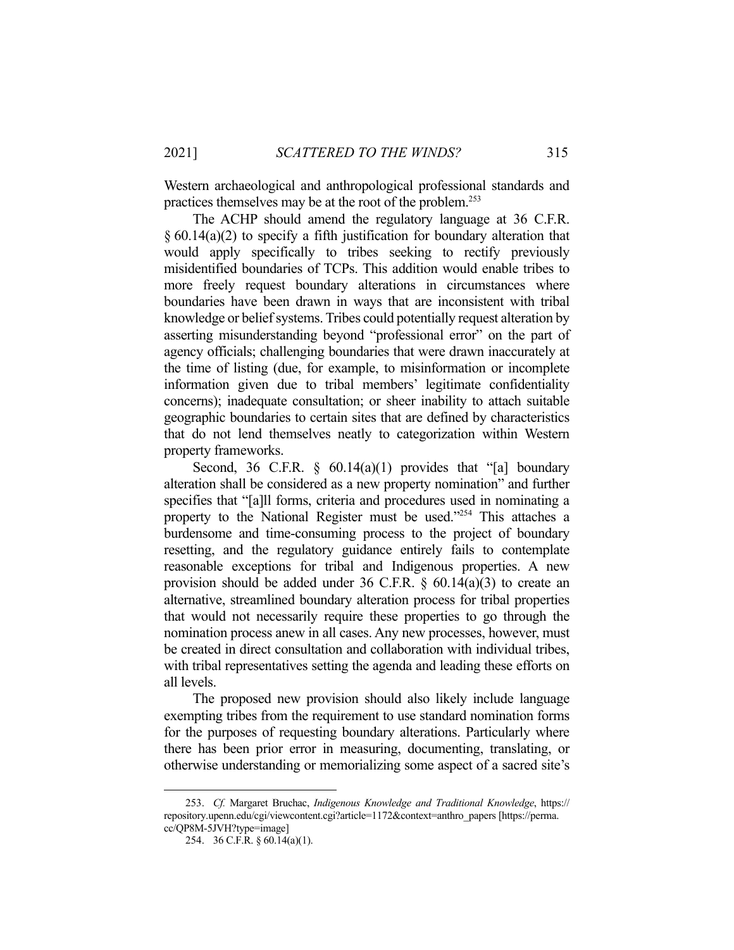Western archaeological and anthropological professional standards and practices themselves may be at the root of the problem.253

 The ACHP should amend the regulatory language at 36 C.F.R. § 60.14(a)(2) to specify a fifth justification for boundary alteration that would apply specifically to tribes seeking to rectify previously misidentified boundaries of TCPs. This addition would enable tribes to more freely request boundary alterations in circumstances where boundaries have been drawn in ways that are inconsistent with tribal knowledge or belief systems. Tribes could potentially request alteration by asserting misunderstanding beyond "professional error" on the part of agency officials; challenging boundaries that were drawn inaccurately at the time of listing (due, for example, to misinformation or incomplete information given due to tribal members' legitimate confidentiality concerns); inadequate consultation; or sheer inability to attach suitable geographic boundaries to certain sites that are defined by characteristics that do not lend themselves neatly to categorization within Western property frameworks.

Second, 36 C.F.R.  $\S$  60.14(a)(1) provides that "[a] boundary alteration shall be considered as a new property nomination" and further specifies that "[a]ll forms, criteria and procedures used in nominating a property to the National Register must be used."254 This attaches a burdensome and time-consuming process to the project of boundary resetting, and the regulatory guidance entirely fails to contemplate reasonable exceptions for tribal and Indigenous properties. A new provision should be added under 36 C.F.R. § 60.14(a)(3) to create an alternative, streamlined boundary alteration process for tribal properties that would not necessarily require these properties to go through the nomination process anew in all cases. Any new processes, however, must be created in direct consultation and collaboration with individual tribes, with tribal representatives setting the agenda and leading these efforts on all levels.

 The proposed new provision should also likely include language exempting tribes from the requirement to use standard nomination forms for the purposes of requesting boundary alterations. Particularly where there has been prior error in measuring, documenting, translating, or otherwise understanding or memorializing some aspect of a sacred site's

 <sup>253.</sup> *Cf.* Margaret Bruchac, *Indigenous Knowledge and Traditional Knowledge*, https:// repository.upenn.edu/cgi/viewcontent.cgi?article=1172&context=anthro\_papers [https://perma. cc/QP8M-5JVH?type=image]

 <sup>254. 36</sup> C.F.R. § 60.14(a)(1).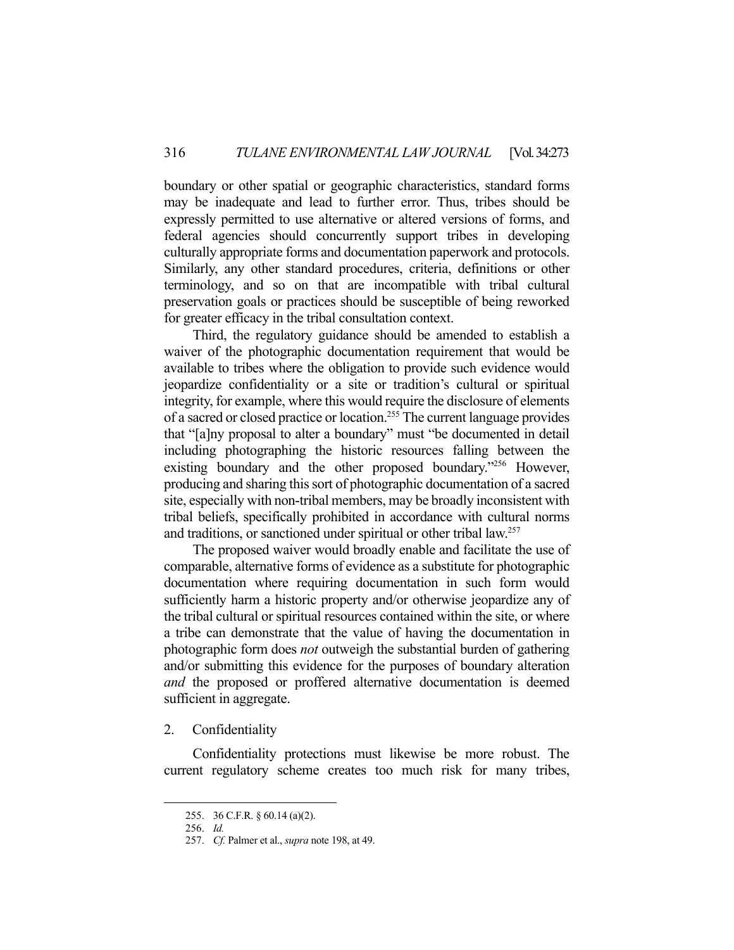boundary or other spatial or geographic characteristics, standard forms may be inadequate and lead to further error. Thus, tribes should be expressly permitted to use alternative or altered versions of forms, and federal agencies should concurrently support tribes in developing culturally appropriate forms and documentation paperwork and protocols. Similarly, any other standard procedures, criteria, definitions or other terminology, and so on that are incompatible with tribal cultural preservation goals or practices should be susceptible of being reworked for greater efficacy in the tribal consultation context.

 Third, the regulatory guidance should be amended to establish a waiver of the photographic documentation requirement that would be available to tribes where the obligation to provide such evidence would jeopardize confidentiality or a site or tradition's cultural or spiritual integrity, for example, where this would require the disclosure of elements of a sacred or closed practice or location.255 The current language provides that "[a]ny proposal to alter a boundary" must "be documented in detail including photographing the historic resources falling between the existing boundary and the other proposed boundary."<sup>256</sup> However, producing and sharing this sort of photographic documentation of a sacred site, especially with non-tribal members, may be broadly inconsistent with tribal beliefs, specifically prohibited in accordance with cultural norms and traditions, or sanctioned under spiritual or other tribal law.257

 The proposed waiver would broadly enable and facilitate the use of comparable, alternative forms of evidence as a substitute for photographic documentation where requiring documentation in such form would sufficiently harm a historic property and/or otherwise jeopardize any of the tribal cultural or spiritual resources contained within the site, or where a tribe can demonstrate that the value of having the documentation in photographic form does *not* outweigh the substantial burden of gathering and/or submitting this evidence for the purposes of boundary alteration *and* the proposed or proffered alternative documentation is deemed sufficient in aggregate.

## 2. Confidentiality

 Confidentiality protections must likewise be more robust. The current regulatory scheme creates too much risk for many tribes,

 <sup>255. 36</sup> C.F.R. § 60.14 (a)(2).

 <sup>256.</sup> *Id.* 

 <sup>257.</sup> *Cf.* Palmer et al., *supra* note 198, at 49.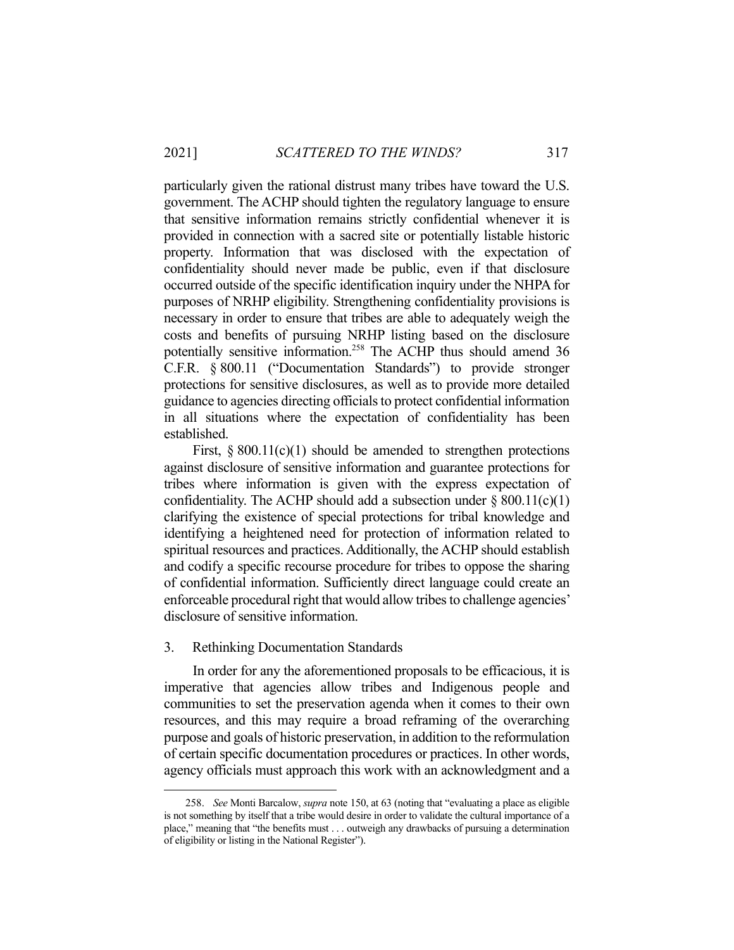particularly given the rational distrust many tribes have toward the U.S. government. The ACHP should tighten the regulatory language to ensure that sensitive information remains strictly confidential whenever it is provided in connection with a sacred site or potentially listable historic property. Information that was disclosed with the expectation of confidentiality should never made be public, even if that disclosure occurred outside of the specific identification inquiry under the NHPA for purposes of NRHP eligibility. Strengthening confidentiality provisions is necessary in order to ensure that tribes are able to adequately weigh the costs and benefits of pursuing NRHP listing based on the disclosure potentially sensitive information.258 The ACHP thus should amend 36 C.F.R. § 800.11 ("Documentation Standards") to provide stronger protections for sensitive disclosures, as well as to provide more detailed guidance to agencies directing officials to protect confidential information in all situations where the expectation of confidentiality has been established.

First,  $\S 800.11(c)(1)$  should be amended to strengthen protections against disclosure of sensitive information and guarantee protections for tribes where information is given with the express expectation of confidentiality. The ACHP should add a subsection under  $\S 800.11(c)(1)$ clarifying the existence of special protections for tribal knowledge and identifying a heightened need for protection of information related to spiritual resources and practices. Additionally, the ACHP should establish and codify a specific recourse procedure for tribes to oppose the sharing of confidential information. Sufficiently direct language could create an enforceable procedural right that would allow tribes to challenge agencies' disclosure of sensitive information.

## 3. Rethinking Documentation Standards

 In order for any the aforementioned proposals to be efficacious, it is imperative that agencies allow tribes and Indigenous people and communities to set the preservation agenda when it comes to their own resources, and this may require a broad reframing of the overarching purpose and goals of historic preservation, in addition to the reformulation of certain specific documentation procedures or practices. In other words, agency officials must approach this work with an acknowledgment and a

 <sup>258.</sup> *See* Monti Barcalow, *supra* note 150, at 63 (noting that "evaluating a place as eligible is not something by itself that a tribe would desire in order to validate the cultural importance of a place," meaning that "the benefits must . . . outweigh any drawbacks of pursuing a determination of eligibility or listing in the National Register").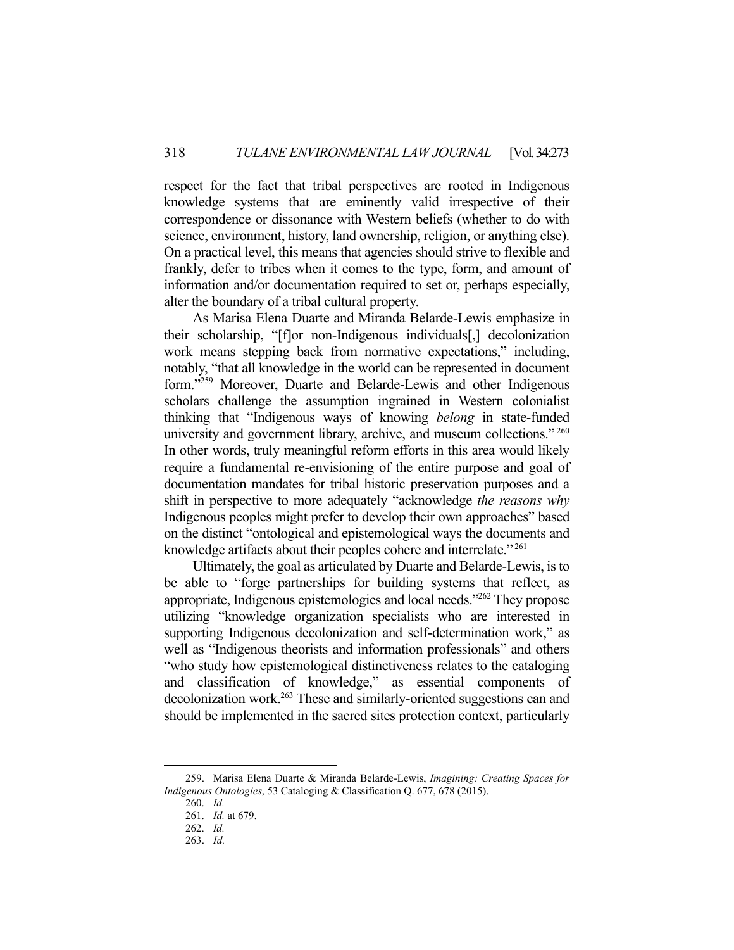respect for the fact that tribal perspectives are rooted in Indigenous knowledge systems that are eminently valid irrespective of their correspondence or dissonance with Western beliefs (whether to do with science, environment, history, land ownership, religion, or anything else). On a practical level, this means that agencies should strive to flexible and frankly, defer to tribes when it comes to the type, form, and amount of information and/or documentation required to set or, perhaps especially, alter the boundary of a tribal cultural property.

 As Marisa Elena Duarte and Miranda Belarde-Lewis emphasize in their scholarship, "[f]or non-Indigenous individuals[,] decolonization work means stepping back from normative expectations," including, notably, "that all knowledge in the world can be represented in document form."259 Moreover, Duarte and Belarde-Lewis and other Indigenous scholars challenge the assumption ingrained in Western colonialist thinking that "Indigenous ways of knowing *belong* in state-funded university and government library, archive, and museum collections."<sup>260</sup> In other words, truly meaningful reform efforts in this area would likely require a fundamental re-envisioning of the entire purpose and goal of documentation mandates for tribal historic preservation purposes and a shift in perspective to more adequately "acknowledge *the reasons why*  Indigenous peoples might prefer to develop their own approaches" based on the distinct "ontological and epistemological ways the documents and knowledge artifacts about their peoples cohere and interrelate."<sup>261</sup>

 Ultimately, the goal as articulated by Duarte and Belarde-Lewis, is to be able to "forge partnerships for building systems that reflect, as appropriate, Indigenous epistemologies and local needs."262 They propose utilizing "knowledge organization specialists who are interested in supporting Indigenous decolonization and self-determination work," as well as "Indigenous theorists and information professionals" and others "who study how epistemological distinctiveness relates to the cataloging and classification of knowledge," as essential components of decolonization work.<sup>263</sup> These and similarly-oriented suggestions can and should be implemented in the sacred sites protection context, particularly

 <sup>259.</sup> Marisa Elena Duarte & Miranda Belarde-Lewis, *Imagining: Creating Spaces for Indigenous Ontologies*, 53 Cataloging & Classification Q. 677, 678 (2015).

 <sup>260.</sup> *Id.*

 <sup>261.</sup> *Id.* at 679.

 <sup>262.</sup> *Id.*

 <sup>263.</sup> *Id.*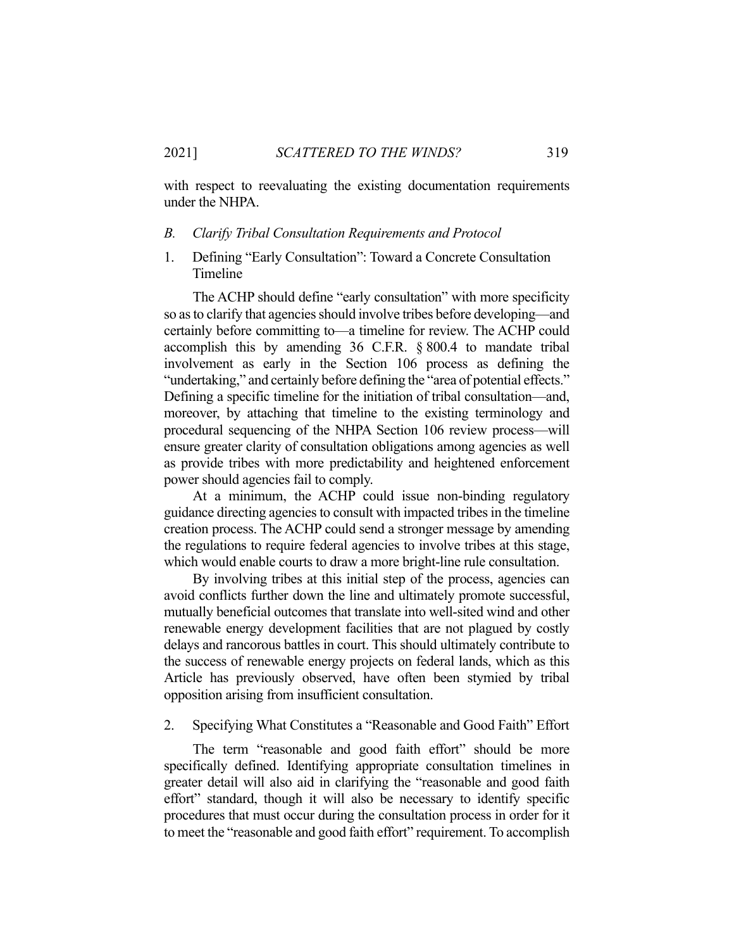with respect to reevaluating the existing documentation requirements under the NHPA.

#### *B. Clarify Tribal Consultation Requirements and Protocol*

1. Defining "Early Consultation": Toward a Concrete Consultation Timeline

 The ACHP should define "early consultation" with more specificity so as to clarify that agencies should involve tribes before developing—and certainly before committing to—a timeline for review. The ACHP could accomplish this by amending 36 C.F.R. § 800.4 to mandate tribal involvement as early in the Section 106 process as defining the "undertaking," and certainly before defining the "area of potential effects." Defining a specific timeline for the initiation of tribal consultation—and, moreover, by attaching that timeline to the existing terminology and procedural sequencing of the NHPA Section 106 review process—will ensure greater clarity of consultation obligations among agencies as well as provide tribes with more predictability and heightened enforcement power should agencies fail to comply.

 At a minimum, the ACHP could issue non-binding regulatory guidance directing agencies to consult with impacted tribes in the timeline creation process. The ACHP could send a stronger message by amending the regulations to require federal agencies to involve tribes at this stage, which would enable courts to draw a more bright-line rule consultation.

 By involving tribes at this initial step of the process, agencies can avoid conflicts further down the line and ultimately promote successful, mutually beneficial outcomes that translate into well-sited wind and other renewable energy development facilities that are not plagued by costly delays and rancorous battles in court. This should ultimately contribute to the success of renewable energy projects on federal lands, which as this Article has previously observed, have often been stymied by tribal opposition arising from insufficient consultation.

2. Specifying What Constitutes a "Reasonable and Good Faith" Effort

 The term "reasonable and good faith effort" should be more specifically defined. Identifying appropriate consultation timelines in greater detail will also aid in clarifying the "reasonable and good faith effort" standard, though it will also be necessary to identify specific procedures that must occur during the consultation process in order for it to meet the "reasonable and good faith effort" requirement. To accomplish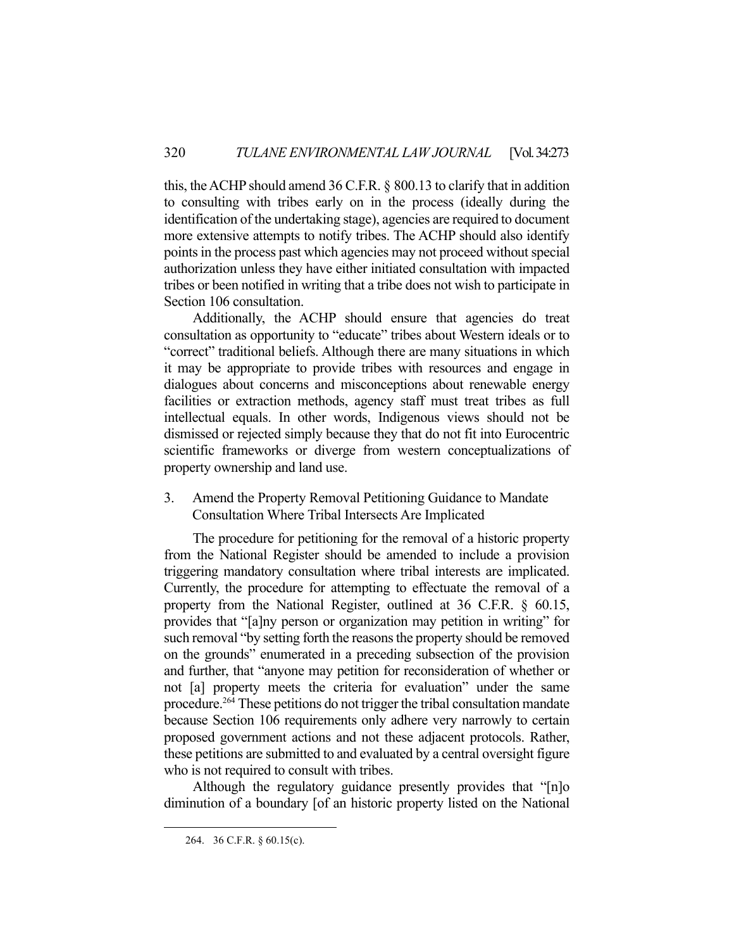this, the ACHP should amend 36 C.F.R. § 800.13 to clarify that in addition to consulting with tribes early on in the process (ideally during the identification of the undertaking stage), agencies are required to document more extensive attempts to notify tribes. The ACHP should also identify points in the process past which agencies may not proceed without special authorization unless they have either initiated consultation with impacted tribes or been notified in writing that a tribe does not wish to participate in Section 106 consultation.

 Additionally, the ACHP should ensure that agencies do treat consultation as opportunity to "educate" tribes about Western ideals or to "correct" traditional beliefs. Although there are many situations in which it may be appropriate to provide tribes with resources and engage in dialogues about concerns and misconceptions about renewable energy facilities or extraction methods, agency staff must treat tribes as full intellectual equals. In other words, Indigenous views should not be dismissed or rejected simply because they that do not fit into Eurocentric scientific frameworks or diverge from western conceptualizations of property ownership and land use.

3. Amend the Property Removal Petitioning Guidance to Mandate Consultation Where Tribal Intersects Are Implicated

 The procedure for petitioning for the removal of a historic property from the National Register should be amended to include a provision triggering mandatory consultation where tribal interests are implicated. Currently, the procedure for attempting to effectuate the removal of a property from the National Register, outlined at 36 C.F.R. § 60.15, provides that "[a]ny person or organization may petition in writing" for such removal "by setting forth the reasons the property should be removed on the grounds" enumerated in a preceding subsection of the provision and further, that "anyone may petition for reconsideration of whether or not [a] property meets the criteria for evaluation" under the same procedure.264 These petitions do not trigger the tribal consultation mandate because Section 106 requirements only adhere very narrowly to certain proposed government actions and not these adjacent protocols. Rather, these petitions are submitted to and evaluated by a central oversight figure who is not required to consult with tribes.

 Although the regulatory guidance presently provides that "[n]o diminution of a boundary [of an historic property listed on the National

 <sup>264. 36</sup> C.F.R. § 60.15(c).